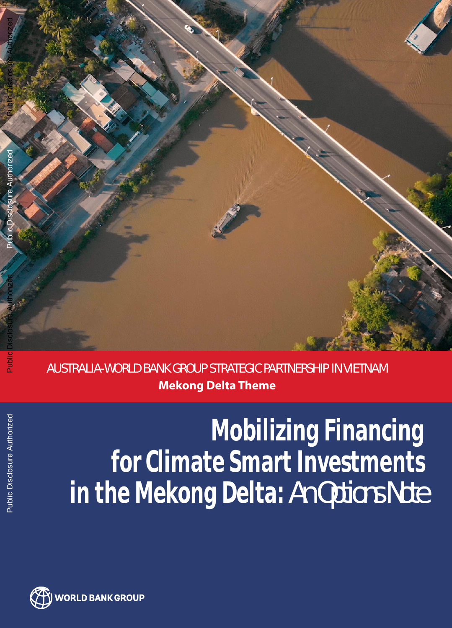

AUSTRALIA-WORLD BANK GROUP STRATEGIC PARTNERSHIP IN VIETNAM **Mekong Delta Theme**

# **Mobilizing Financing for Climate Smart Investments in the Mekong Delta: An Options Note**

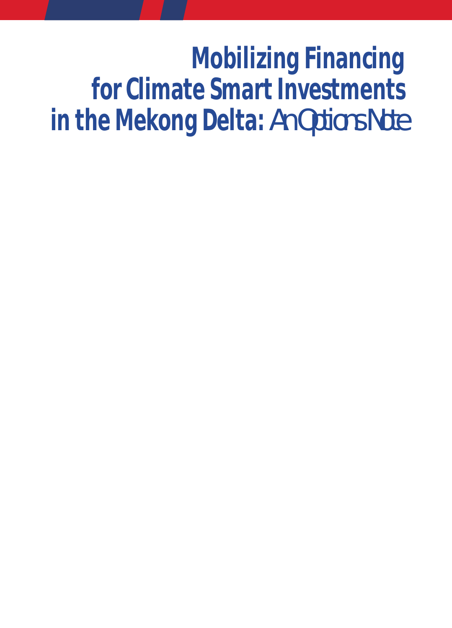# **Mobilizing Financing for Climate Smart Investments in the Mekong Delta: An Options Note**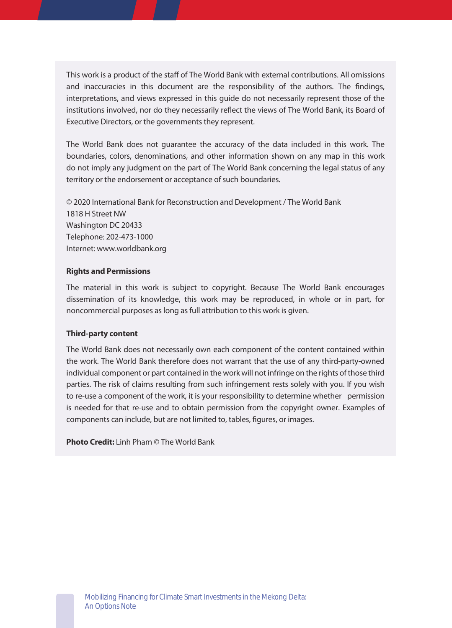This work is a product of the staff of The World Bank with external contributions. All omissions and inaccuracies in this document are the responsibility of the authors. The findings, interpretations, and views expressed in this guide do not necessarily represent those of the institutions involved, nor do they necessarily reflect the views of The World Bank, its Board of Executive Directors, or the governments they represent.

The World Bank does not guarantee the accuracy of the data included in this work. The boundaries, colors, denominations, and other information shown on any map in this work do not imply any judgment on the part of The World Bank concerning the legal status of any territory or the endorsement or acceptance of such boundaries.

© 2020 International Bank for Reconstruction and Development / The World Bank 1818 H Street NW Washington DC 20433 Telephone: 202-473-1000 Internet: www.worldbank.org

#### **Rights and Permissions**

The material in this work is subject to copyright. Because The World Bank encourages dissemination of its knowledge, this work may be reproduced, in whole or in part, for noncommercial purposes as long as full attribution to this work is given.

#### **Third-party content**

The World Bank does not necessarily own each component of the content contained within the work. The World Bank therefore does not warrant that the use of any third-party-owned individual component or part contained in the work will not infringe on the rights of those third parties. The risk of claims resulting from such infringement rests solely with you. If you wish to re-use a component of the work, it is your responsibility to determine whether permission is needed for that re-use and to obtain permission from the copyright owner. Examples of components can include, but are not limited to, tables, figures, or images.

**Photo Credit:** Linh Pham © The World Bank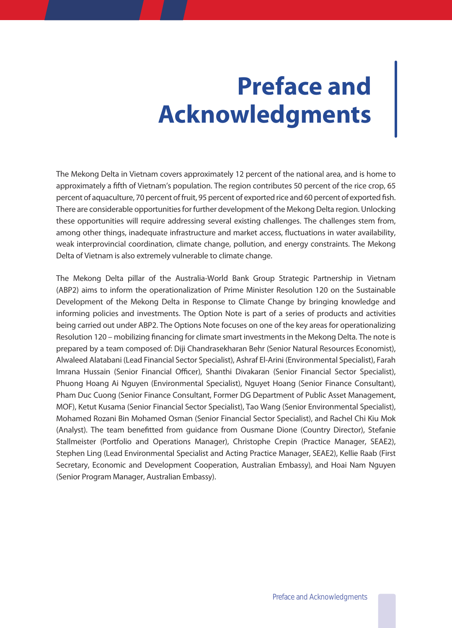# **Preface and Acknowledgments**

The Mekong Delta in Vietnam covers approximately 12 percent of the national area, and is home to approximately a fifth of Vietnam's population. The region contributes 50 percent of the rice crop, 65 percent of aquaculture, 70 percent of fruit, 95 percent of exported rice and 60 percent of exported fish. There are considerable opportunities for further development of the Mekong Delta region. Unlocking these opportunities will require addressing several existing challenges. The challenges stem from, among other things, inadequate infrastructure and market access, fluctuations in water availability, weak interprovincial coordination, climate change, pollution, and energy constraints. The Mekong Delta of Vietnam is also extremely vulnerable to climate change.

The Mekong Delta pillar of the Australia-World Bank Group Strategic Partnership in Vietnam (ABP2) aims to inform the operationalization of Prime Minister Resolution 120 on the Sustainable Development of the Mekong Delta in Response to Climate Change by bringing knowledge and informing policies and investments. The Option Note is part of a series of products and activities being carried out under ABP2. The Options Note focuses on one of the key areas for operationalizing Resolution 120 – mobilizing financing for climate smart investments in the Mekong Delta. The note is prepared by a team composed of: Diji Chandrasekharan Behr (Senior Natural Resources Economist), Alwaleed Alatabani (Lead Financial Sector Specialist), Ashraf El-Arini (Environmental Specialist), Farah Imrana Hussain (Senior Financial Officer), Shanthi Divakaran (Senior Financial Sector Specialist), Phuong Hoang Ai Nguyen (Environmental Specialist), Nguyet Hoang (Senior Finance Consultant), Pham Duc Cuong (Senior Finance Consultant, Former DG Department of Public Asset Management, MOF), Ketut Kusama (Senior Financial Sector Specialist), Tao Wang (Senior Environmental Specialist), Mohamed Rozani Bin Mohamed Osman (Senior Financial Sector Specialist), and Rachel Chi Kiu Mok (Analyst). The team benefitted from guidance from Ousmane Dione (Country Director), Stefanie Stallmeister (Portfolio and Operations Manager), Christophe Crepin (Practice Manager, SEAE2), Stephen Ling (Lead Environmental Specialist and Acting Practice Manager, SEAE2), Kellie Raab (First Secretary, Economic and Development Cooperation, Australian Embassy), and Hoai Nam Nguyen (Senior Program Manager, Australian Embassy).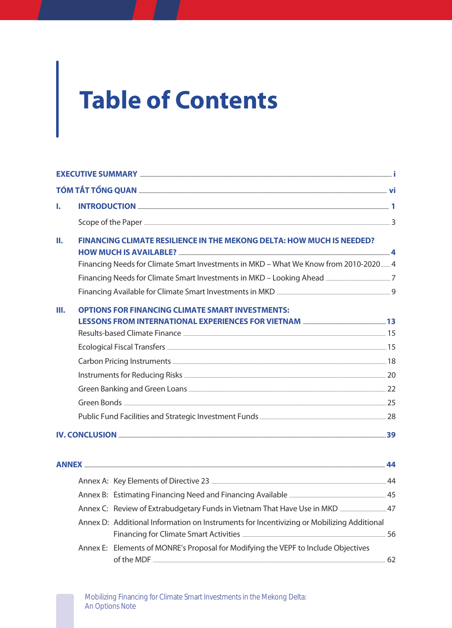# **Table of Contents**

| I. |                                                                                                                                                                                                                                      |  |
|----|--------------------------------------------------------------------------------------------------------------------------------------------------------------------------------------------------------------------------------------|--|
|    |                                                                                                                                                                                                                                      |  |
| Ш. | FINANCING CLIMATE RESILIENCE IN THE MEKONG DELTA: HOW MUCH IS NEEDED?                                                                                                                                                                |  |
|    | Financing Needs for Climate Smart Investments in MKD - What We Know from 2010-2020 14                                                                                                                                                |  |
|    |                                                                                                                                                                                                                                      |  |
|    |                                                                                                                                                                                                                                      |  |
| Ш. | <b>OPTIONS FOR FINANCING CLIMATE SMART INVESTMENTS:</b><br>LESSONS FROM INTERNATIONAL EXPERIENCES FOR VIETNAM <b>EXAMILLE SERVICE SERVICE</b>                                                                                        |  |
|    |                                                                                                                                                                                                                                      |  |
|    |                                                                                                                                                                                                                                      |  |
|    |                                                                                                                                                                                                                                      |  |
|    |                                                                                                                                                                                                                                      |  |
|    |                                                                                                                                                                                                                                      |  |
|    |                                                                                                                                                                                                                                      |  |
|    |                                                                                                                                                                                                                                      |  |
|    | <u>IV. CONCLUSION Expression and the set of the set of the set of the set of the set of the set of the set of the set of the set of the set of the set of the set of the set of the set of the set of the set of the set of the </u> |  |
|    |                                                                                                                                                                                                                                      |  |
|    |                                                                                                                                                                                                                                      |  |
|    |                                                                                                                                                                                                                                      |  |
|    | Annex C: Review of Extrabudgetary Funds in Vietnam That Have Use in MKD ______________47                                                                                                                                             |  |
|    | Annex D: Additional Information on Instruments for Incentivizing or Mobilizing Additional                                                                                                                                            |  |
|    | Annex E: Elements of MONRE's Proposal for Modifying the VEPF to Include Objectives                                                                                                                                                   |  |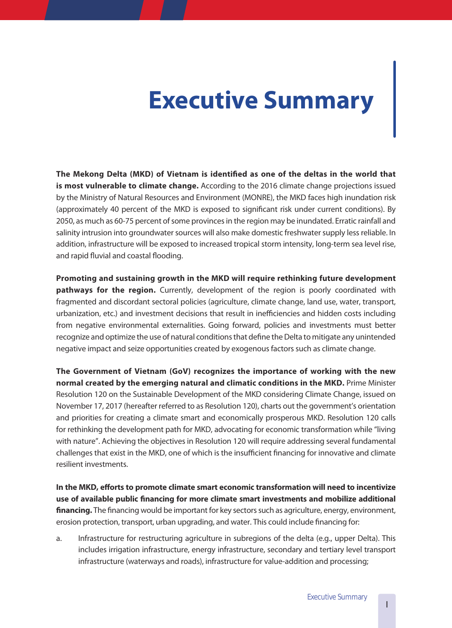# **Executive Summary**

**The Mekong Delta (MKD) of Vietnam is identified as one of the deltas in the world that is most vulnerable to climate change.** According to the 2016 climate change projections issued by the Ministry of Natural Resources and Environment (MONRE), the MKD faces high inundation risk (approximately 40 percent of the MKD is exposed to significant risk under current conditions). By 2050, as much as 60-75 percent of some provinces in the region may be inundated. Erratic rainfall and salinity intrusion into groundwater sources will also make domestic freshwater supply less reliable. In addition, infrastructure will be exposed to increased tropical storm intensity, long-term sea level rise, and rapid fluvial and coastal flooding.

**Promoting and sustaining growth in the MKD will require rethinking future development pathways for the region.** Currently, development of the region is poorly coordinated with fragmented and discordant sectoral policies (agriculture, climate change, land use, water, transport, urbanization, etc.) and investment decisions that result in inefficiencies and hidden costs including from negative environmental externalities. Going forward, policies and investments must better recognize and optimize the use of natural conditions that define the Delta to mitigate any unintended negative impact and seize opportunities created by exogenous factors such as climate change.

**The Government of Vietnam (GoV) recognizes the importance of working with the new normal created by the emerging natural and climatic conditions in the MKD.** Prime Minister Resolution 120 on the Sustainable Development of the MKD considering Climate Change, issued on November 17, 2017 (hereafter referred to as Resolution 120), charts out the government's orientation and priorities for creating a climate smart and economically prosperous MKD. Resolution 120 calls for rethinking the development path for MKD, advocating for economic transformation while "living with nature". Achieving the objectives in Resolution 120 will require addressing several fundamental challenges that exist in the MKD, one of which is the insufficient financing for innovative and climate resilient investments.

**In the MKD, efforts to promote climate smart economic transformation will need to incentivize use of available public financing for more climate smart investments and mobilize additional**  financing. The financing would be important for key sectors such as agriculture, energy, environment, erosion protection, transport, urban upgrading, and water. This could include financing for:

a. Infrastructure for restructuring agriculture in subregions of the delta (e.g., upper Delta). This includes irrigation infrastructure, energy infrastructure, secondary and tertiary level transport infrastructure (waterways and roads), infrastructure for value-addition and processing;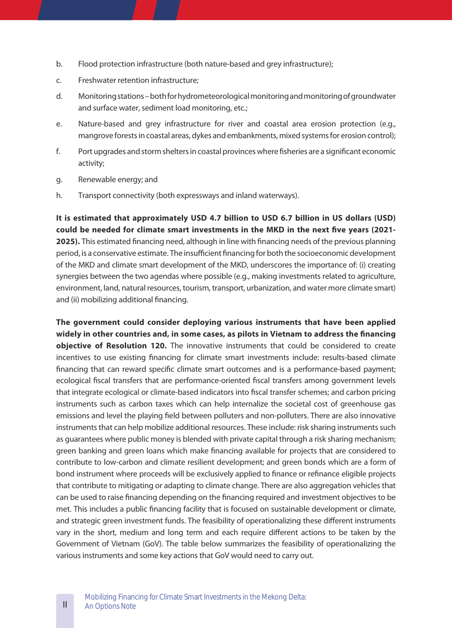- b. Flood protection infrastructure (both nature-based and grey infrastructure);
- c. Freshwater retention infrastructure;
- d. Monitoring stations both for hydrometeorological monitoring and monitoring of groundwater and surface water, sediment load monitoring, etc.;
- e. Nature-based and grey infrastructure for river and coastal area erosion protection (e.g., mangrove forests in coastal areas, dykes and embankments, mixed systems for erosion control);
- f. Port upgrades and storm shelters in coastal provinces where fisheries are a significant economic activity;
- g. Renewable energy; and
- h. Transport connectivity (both expressways and inland waterways).

**It is estimated that approximately USD 4�7 billion to USD 6�7 billion in US dollars (USD) could be needed for climate smart investments in the MKD in the next five years (2021- 2025).** This estimated financing need, although in line with financing needs of the previous planning period, is a conservative estimate. The insufficient financing for both the socioeconomic development of the MKD and climate smart development of the MKD, underscores the importance of: (i) creating synergies between the two agendas where possible (e.g., making investments related to agriculture, environment, land, natural resources, tourism, transport, urbanization, and water more climate smart) and (ii) mobilizing additional financing.

**The government could consider deploying various instruments that have been applied widely in other countries and, in some cases, as pilots in Vietnam to address the financing objective of Resolution 120.** The innovative instruments that could be considered to create incentives to use existing financing for climate smart investments include: results-based climate financing that can reward specific climate smart outcomes and is a performance-based payment; ecological fiscal transfers that are performance-oriented fiscal transfers among government levels that integrate ecological or climate-based indicators into fiscal transfer schemes; and carbon pricing instruments such as carbon taxes which can help internalize the societal cost of greenhouse gas emissions and level the playing field between polluters and non-polluters. There are also innovative instruments that can help mobilize additional resources. These include: risk sharing instruments such as guarantees where public money is blended with private capital through a risk sharing mechanism; green banking and green loans which make financing available for projects that are considered to contribute to low-carbon and climate resilient development; and green bonds which are a form of bond instrument where proceeds will be exclusively applied to finance or refinance eligible projects that contribute to mitigating or adapting to climate change. There are also aggregation vehicles that can be used to raise financing depending on the financing required and investment objectives to be met. This includes a public financing facility that is focused on sustainable development or climate, and strategic green investment funds. The feasibility of operationalizing these different instruments vary in the short, medium and long term and each require different actions to be taken by the Government of Vietnam (GoV). The table below summarizes the feasibility of operationalizing the various instruments and some key actions that GoV would need to carry out.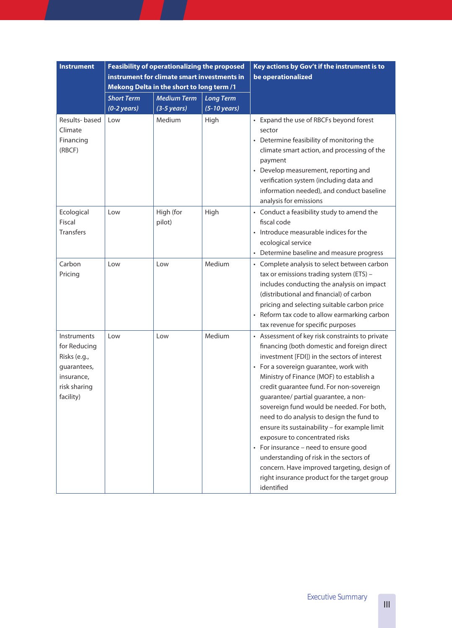| <b>Instrument</b>                                                                                            |                                            | <b>Feasibility of operationalizing the proposed</b><br>instrument for climate smart investments in<br>Mekong Delta in the short to long term /1 |                                            | Key actions by Gov't if the instrument is to<br>be operationalized                                                                                                                                                                                                                                                                                                                                                                                                                                                                                                                                                                                                                                     |  |
|--------------------------------------------------------------------------------------------------------------|--------------------------------------------|-------------------------------------------------------------------------------------------------------------------------------------------------|--------------------------------------------|--------------------------------------------------------------------------------------------------------------------------------------------------------------------------------------------------------------------------------------------------------------------------------------------------------------------------------------------------------------------------------------------------------------------------------------------------------------------------------------------------------------------------------------------------------------------------------------------------------------------------------------------------------------------------------------------------------|--|
|                                                                                                              | <b>Short Term</b><br>$(0-2 \text{ years})$ | <b>Medium Term</b><br>$(3-5 \text{ years})$                                                                                                     | <b>Long Term</b><br>$(5-10 \text{ years})$ |                                                                                                                                                                                                                                                                                                                                                                                                                                                                                                                                                                                                                                                                                                        |  |
| Results-based<br>Climate<br>Financing<br>(RBCF)                                                              | Low                                        | Medium                                                                                                                                          | High                                       | • Expand the use of RBCFs beyond forest<br>sector<br>• Determine feasibility of monitoring the<br>climate smart action, and processing of the<br>payment<br>• Develop measurement, reporting and<br>verification system (including data and<br>information needed), and conduct baseline<br>analysis for emissions                                                                                                                                                                                                                                                                                                                                                                                     |  |
| Ecological<br>Fiscal<br><b>Transfers</b>                                                                     | Low                                        | High (for<br>pilot)                                                                                                                             | High                                       | • Conduct a feasibility study to amend the<br>fiscal code<br>• Introduce measurable indices for the<br>ecological service<br>• Determine baseline and measure progress                                                                                                                                                                                                                                                                                                                                                                                                                                                                                                                                 |  |
| Carbon<br>Pricing                                                                                            | Low                                        | Low                                                                                                                                             | Medium                                     | • Complete analysis to select between carbon<br>tax or emissions trading system (ETS) -<br>includes conducting the analysis on impact<br>(distributional and financial) of carbon<br>pricing and selecting suitable carbon price<br>• Reform tax code to allow earmarking carbon<br>tax revenue for specific purposes                                                                                                                                                                                                                                                                                                                                                                                  |  |
| <b>Instruments</b><br>for Reducing<br>Risks (e.g.,<br>guarantees,<br>insurance.<br>risk sharing<br>facility) | Low                                        | Low                                                                                                                                             | Medium                                     | • Assessment of key risk constraints to private<br>financing (both domestic and foreign direct<br>investment [FDI]) in the sectors of interest<br>• For a sovereign guarantee, work with<br>Ministry of Finance (MOF) to establish a<br>credit guarantee fund. For non-sovereign<br>guarantee/ partial guarantee, a non-<br>sovereign fund would be needed. For both,<br>need to do analysis to design the fund to<br>ensure its sustainability - for example limit<br>exposure to concentrated risks<br>• For insurance - need to ensure good<br>understanding of risk in the sectors of<br>concern. Have improved targeting, design of<br>right insurance product for the target group<br>identified |  |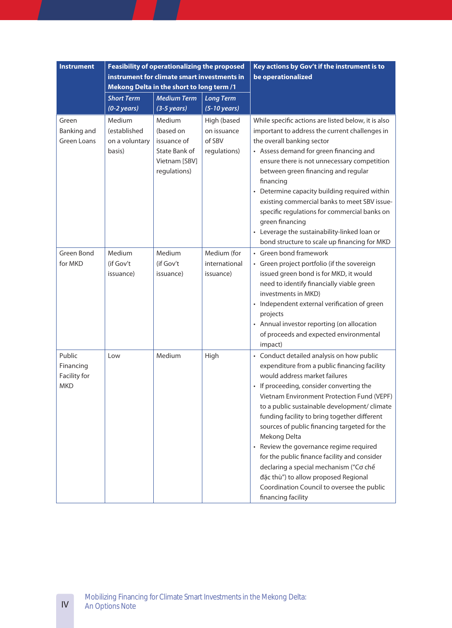| <b>Instrument</b>                                 |                                                           | <b>Feasibility of operationalizing the proposed</b><br>instrument for climate smart investments in<br>Mekong Delta in the short to long term /1 |                                                      | Key actions by Gov't if the instrument is to<br>be operationalized                                                                                                                                                                                                                                                                                                                                                                                                                                                                                                                                                                    |
|---------------------------------------------------|-----------------------------------------------------------|-------------------------------------------------------------------------------------------------------------------------------------------------|------------------------------------------------------|---------------------------------------------------------------------------------------------------------------------------------------------------------------------------------------------------------------------------------------------------------------------------------------------------------------------------------------------------------------------------------------------------------------------------------------------------------------------------------------------------------------------------------------------------------------------------------------------------------------------------------------|
|                                                   | <b>Short Term</b><br>$(0-2 \text{ years})$                | <b>Medium Term</b><br>$(3-5 \text{ years})$                                                                                                     | <b>Long Term</b><br>$(5-10 \text{ years})$           |                                                                                                                                                                                                                                                                                                                                                                                                                                                                                                                                                                                                                                       |
| Green<br>Banking and<br><b>Green Loans</b>        | Medium<br><i>(established</i><br>on a voluntary<br>basis) | Medium<br>(based on<br>issuance of<br>State Bank of<br>Vietnam [SBV]<br>regulations)                                                            | High (based<br>on issuance<br>of SBV<br>regulations) | While specific actions are listed below, it is also<br>important to address the current challenges in<br>the overall banking sector<br>• Assess demand for green financing and<br>ensure there is not unnecessary competition<br>between green financing and regular<br>financing<br>• Determine capacity building required within<br>existing commercial banks to meet SBV issue-<br>specific regulations for commercial banks on<br>green financing<br>• Leverage the sustainability-linked loan or<br>bond structure to scale up financing for MKD                                                                                 |
| <b>Green Bond</b><br>for MKD                      | Medium<br>(if Gov't<br>issuance)                          | Medium<br>(if Gov't<br>issuance)                                                                                                                | Medium (for<br>international<br>issuance)            | • Green bond framework<br>• Green project portfolio (if the sovereign<br>issued green bond is for MKD, it would<br>need to identify financially viable green<br>investments in MKD)<br>• Independent external verification of green<br>projects<br>• Annual investor reporting (on allocation<br>of proceeds and expected environmental<br>impact)                                                                                                                                                                                                                                                                                    |
| Public<br>Financing<br>Facility for<br><b>MKD</b> | Low                                                       | Medium                                                                                                                                          | High                                                 | • Conduct detailed analysis on how public<br>expenditure from a public financing facility<br>would address market failures<br>• If proceeding, consider converting the<br>Vietnam Environment Protection Fund (VEPF)<br>to a public sustainable development/ climate<br>funding facility to bring together different<br>sources of public financing targeted for the<br>Mekong Delta<br>• Review the governance regime required<br>for the public finance facility and consider<br>declaring a special mechanism ("Co chế<br>đặc thù") to allow proposed Regional<br>Coordination Council to oversee the public<br>financing facility |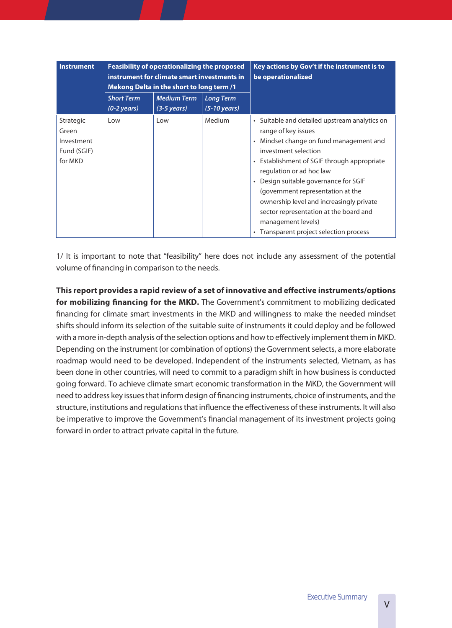| <b>Instrument</b>                                          | <b>Feasibility of operationalizing the proposed</b><br>instrument for climate smart investments in<br>Mekong Delta in the short to long term /1 |     |                                            | Key actions by Gov't if the instrument is to<br>be operationalized                                                                                                                                                                                                                                                                                                                                                                                      |
|------------------------------------------------------------|-------------------------------------------------------------------------------------------------------------------------------------------------|-----|--------------------------------------------|---------------------------------------------------------------------------------------------------------------------------------------------------------------------------------------------------------------------------------------------------------------------------------------------------------------------------------------------------------------------------------------------------------------------------------------------------------|
|                                                            | <b>Short Term</b><br><b>Medium Term</b><br>$(0-2 \text{ years})$<br>$(3-5 \text{ years})$                                                       |     | <b>Long Term</b><br>$(5-10 \text{ years})$ |                                                                                                                                                                                                                                                                                                                                                                                                                                                         |
| Strategic<br>Green<br>Investment<br>Fund (SGIF)<br>for MKD | Low                                                                                                                                             | Low | Medium                                     | • Suitable and detailed upstream analytics on<br>range of key issues<br>• Mindset change on fund management and<br>investment selection<br>• Establishment of SGIF through appropriate<br>regulation or ad hoc law<br>• Design suitable governance for SGIF<br>(government representation at the<br>ownership level and increasingly private<br>sector representation at the board and<br>management levels)<br>• Transparent project selection process |

1/ It is important to note that "feasibility" here does not include any assessment of the potential volume of financing in comparison to the needs.

**This report provides a rapid review of a set of innovative and effective instruments/options**  for mobilizing financing for the MKD. The Government's commitment to mobilizing dedicated financing for climate smart investments in the MKD and willingness to make the needed mindset shifts should inform its selection of the suitable suite of instruments it could deploy and be followed with a more in-depth analysis of the selection options and how to effectively implement them in MKD. Depending on the instrument (or combination of options) the Government selects, a more elaborate roadmap would need to be developed. Independent of the instruments selected, Vietnam, as has been done in other countries, will need to commit to a paradigm shift in how business is conducted going forward. To achieve climate smart economic transformation in the MKD, the Government will need to address key issues that inform design of financing instruments, choice of instruments, and the structure, institutions and regulations that influence the effectiveness of these instruments. It will also be imperative to improve the Government's financial management of its investment projects going forward in order to attract private capital in the future.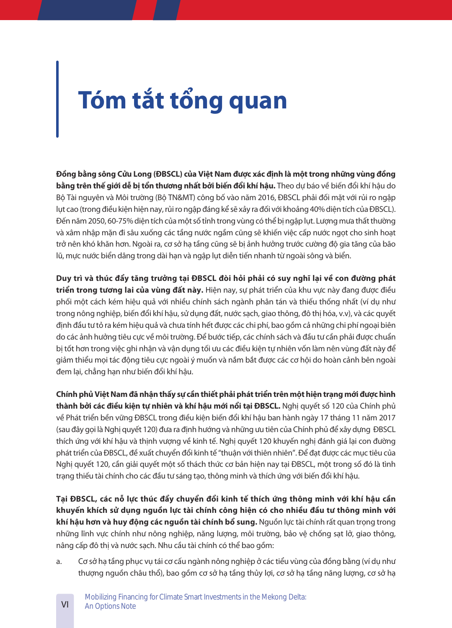# **Tóm tắt tổng quan**

**Đồng bằng sông Cửu Long (ĐBSCL) của Việt Nam được xác định là một trong những vùng đồng**  bằng trên thế giới dễ bi tổn thương nhất bởi biến đổi khí hâu. Theo dư báo về biến đổi khí hâu do Bộ Tài nguyên và Môi trường (Bộ TN&MT) công bố vào năm 2016, ĐBSCL phải đối mặt với rủi ro ngập lụt cao (trong điều kiện hiện nay, rủi ro ngập đáng kể sẽ xảy ra đối với khoảng 40% diện tích của ĐBSCL). Đến năm 2050, 60-75% diện tích của một số tỉnh trong vùng có thể bị ngập lụt. Lượng mưa thất thường và xâm nhập mặn đi sâu xuống các tầng nước ngầm cũng sẽ khiến việc cấp nước ngọt cho sinh hoạt trở nên khó khăn hơn. Ngoài ra, cơ sở hạ tầng cũng sẽ bị ảnh hưởng trước cường độ gia tăng của bão lũ, mực nước biển dâng trong dài hạn và ngập lụt diễn tiến nhanh từ ngoài sông và biển.

**Duy trì và thúc đẩy tăng trưởng tại ĐBSCL đòi hỏi phải có suy nghĩ lại về con đường phát triển trong tương lai của vùng đất này�** Hiện nay, sự phát triển của khu vực này đang được điều phối một cách kém hiệu quả với nhiều chính sách ngành phân tán và thiếu thống nhất (ví dụ như trong nông nghiệp, biến đổi khí hậu, sử dụng đất, nước sạch, giao thông, đô thị hóa, v.v), và các quyết định đầu tư tỏ ra kém hiệu quả và chưa tính hết được các chi phí, bao gồm cả những chi phí ngoại biên do các ảnh hưởng tiêu cực về môi trường. Để bước tiếp, các chính sách và đầu tư cần phải được chuẩn bị tốt hơn trong việc ghi nhận và vận dụng tối ưu các điều kiện tự nhiên vốn làm nên vùng đất này để giảm thiểu mọi tác động tiêu cực ngoài ý muốn và nắm bắt được các cơ hội do hoàn cảnh bên ngoài đem lại, chẳng hạn như biến đổi khí hậu.

**Chính phủ Việt Nam đã nhận thấy sự cần thiết phải phát triển trên một hiện trạng mới được hình**  thành bởi các điều kiên tư nhiên và khí hâu mới nổi tai ĐBSCL. Nghi quyết số 120 của Chính phủ về Phát triển bền vững ĐBSCL trong điều kiện biến đổi khí hậu ban hành ngày 17 tháng 11 năm 2017 (sau đây gọi là Nghị quyết 120) đưa ra định hướng và những ưu tiên của Chính phủ để xây dựng ĐBSCL thích ứng với khí hậu và thịnh vượng về kinh tế. Nghị quyết 120 khuyến nghị đánh giá lại con đường phát triển của ĐBSCL, đề xuất chuyển đổi kinh tế "thuận với thiên nhiên". Để đạt được các mục tiêu của Nghị quyết 120, cần giải quyết một số thách thức cơ bản hiện nay tại ĐBSCL, một trong số đó là tình trạng thiếu tài chính cho các đầu tư sáng tạo, thông minh và thích ứng với biến đổi khí hậu.

**Tại ĐBSCL, các nỗ lực thúc đẩy chuyển đổi kinh tế thích ứng thông minh với khí hậu cần khuyến khích sử dụng nguồn lực tài chính công hiện có cho nhiều đầu tư thông minh với khí hậu hơn và huy động các nguồn tài chính bổ sung�** Nguồn lực tài chính rất quan trọng trong những lĩnh vực chính như nông nghiệp, năng lượng, môi trường, bảo vệ chống sạt lở, giao thông, nâng cấp đô thị và nước sạch. Nhu cầu tài chính có thể bao gồm:

a. Cơ sở hạ tầng phục vụ tái cơ cấu ngành nông nghiệp ở các tiểu vùng của đồng bằng (ví dụ như thượng nguồn châu thổ), bao gồm cơ sở hạ tầng thủy lợi, cơ sở hạ tầng năng lượng, cơ sở hạ

VI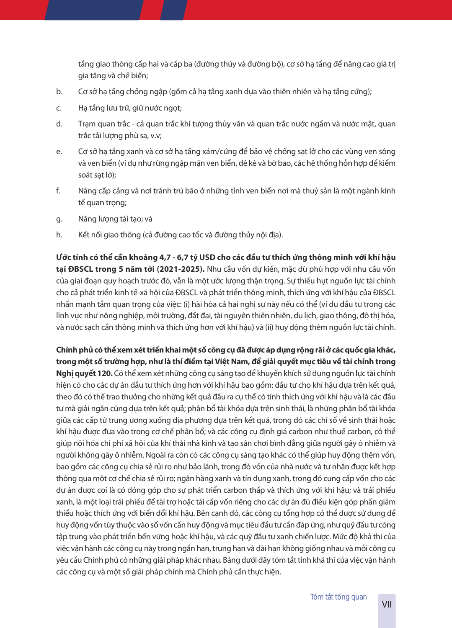tầng giao thông cấp hai và cấp ba (đường thủy và đường bộ), cơ sở hạ tầng để nâng cao giá trị gia tăng và chế biến;

- b. Cơ sở hạ tầng chống ngập (gồm cả hạ tầng xanh dựa vào thiên nhiên và hạ tầng cứng);
- c. Hạ tầng lưu trữ, giữ nước ngọt;
- d. Trạm quan trắc cả quan trắc khí tượng thủy văn và quan trắc nước ngầm và nước mặt, quan trắc tải lượng phù sa, v.v;
- e. Cơ sở hạ tầng xanh và cơ sở hạ tầng xám/cứng để bảo vệ chống sạt lở cho các vùng ven sông và ven biển (ví dụ như rừng ngập mặn ven biển, đê kè và bờ bao, các hệ thống hỗn hợp để kiểm soát sạt lở);
- f. Nâng cấp cảng và nơi tránh trú bão ở những tỉnh ven biển nơi mà thuỷ sản là một ngành kinh tế quan trong;
- g. Năng lượng tái tạo; và
- h. Kết nối giao thông (cả đường cao tốc và đường thủy nội địa).

**Ước tính có thể cần khoảng 4,7 - 6,7 tỷ USD cho các đầu tư thích ứng thông minh với khí hậu**  tai ĐBSCL trong 5 năm tới (2021-2025). Nhu cầu vốn dư kiến, mặc dù phù hợp với nhu cầu vốn của giai đoạn quy hoạch trước đó, vẫn là một ước lượng thận trọng. Sự thiếu hụt nguồn lực tài chính cho cả phát triển kinh tế-xã hội của ĐBSCL và phát triển thông minh, thích ứng với khí hậu của ĐBSCL nhấn mạnh tầm quan trọng của việc: (i) hài hòa cả hai nghị sự này nếu có thể (ví dụ đầu tư trong các lĩnh vực như nông nghiệp, môi trường, đất đai, tài nguyên thiên nhiên, du lịch, giao thông, đô thị hóa, và nước sạch cần thông minh và thích ứng hơn với khí hậu) và (ii) huy động thêm nguồn lực tài chính.

**Chính phủ có thể xem xét triển khai một số công cụ đã được áp dụng rộng rãi ở các quốc gia khác, trong một số trường hợp, như là thí điểm tại Việt Nam, để giải quyết mục tiêu về tài chính trong Nghị quyết 120�** Có thể xem xét những công cụ sáng tạo để khuyến khích sử dụng nguồn lực tài chính hiện có cho các dự án đầu tư thích ứng hơn với khí hậu bao gồm: đầu tư cho khí hậu dựa trên kết quả, theo đó có thể trao thưởng cho những kết quả đầu ra cụ thể có tính thích ứng với khí hậu và là các đầu tư mà giải ngân cũng dựa trên kết quả; phân bổ tài khóa dựa trên sinh thái, là những phân bổ tài khóa giữa các cấp từ trung ương xuống địa phương dựa trên kết quả, trong đó các chỉ số về sinh thái hoặc khí hậu được đưa vào trong cơ chế phân bổ; và các công cụ định giá carbon như thuế carbon, có thể giúp nội hóa chi phí xã hội của khí thải nhà kính và tạo sân chơi bình đẳng giữa người gây ô nhiễm và người không gây ô nhiễm. Ngoài ra còn có các công cụ sáng tạo khác có thể giúp huy động thêm vốn, bao gồm các công cụ chia sẻ rủi ro như bảo lãnh, trong đó vốn của nhà nước và tư nhân được kết hợp thông qua một cơ chế chia sẻ rủi ro; ngân hàng xanh và tín dụng xanh, trong đó cung cấp vốn cho các dự án được coi là có đóng góp cho sự phát triển carbon thấp và thích ứng với khí hậu; và trái phiếu xanh, là một loại trái phiếu để tài trợ hoặc tái cấp vốn riêng cho các dự án đủ điều kiện góp phần giảm thiểu hoặc thích ứng với biến đổi khí hậu. Bên cạnh đó, các công cụ tổng hợp có thể được sử dụng để huy động vốn tùy thuộc vào số vốn cần huy động và mục tiêu đầu tư cần đáp ứng, như quỹ đầu tư công tập trung vào phát triển bền vững hoặc khí hậu, và các quỹ đầu tư xanh chiến lược. Mức độ khả thi của việc vận hành các công cụ này trong ngắn hạn, trung hạn và dài hạn không giống nhau và mỗi công cụ yêu cầu Chính phủ có những giải pháp khác nhau. Bảng dưới đây tóm tắt tính khả thi của việc vận hành các công cụ và một số giải pháp chính mà Chính phủ cần thực hiện.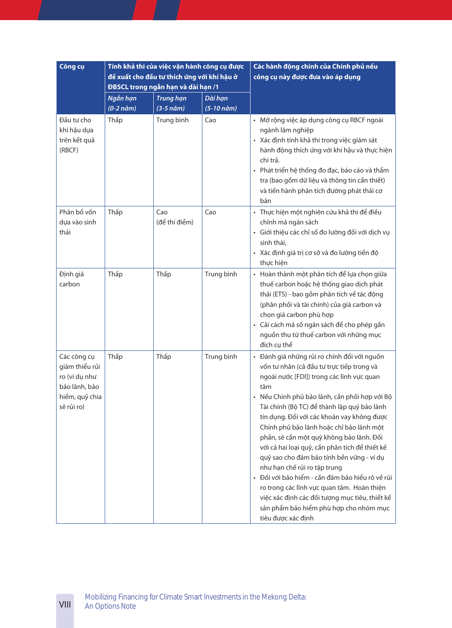| Công cụ                                                                                         |                                 | Tính khả thi của việc vận hành công cụ được<br>đề xuất cho đầu tư thích ứng với khí hậu ở<br>ĐBSCL trong ngắn hạn và dài hạn /1 |                       | Các hành động chính của Chính phủ nếu<br>công cụ này được đưa vào áp dụng                                                                                                                                                                                                                                                                                                                                                                                                                                                                                                                                                                                                                                                            |
|-------------------------------------------------------------------------------------------------|---------------------------------|---------------------------------------------------------------------------------------------------------------------------------|-----------------------|--------------------------------------------------------------------------------------------------------------------------------------------------------------------------------------------------------------------------------------------------------------------------------------------------------------------------------------------------------------------------------------------------------------------------------------------------------------------------------------------------------------------------------------------------------------------------------------------------------------------------------------------------------------------------------------------------------------------------------------|
|                                                                                                 | Ngắn hạn<br>$(0-2 n\check{a}m)$ | <b>Trung hạn</b><br>$(3-5 n\ddot{a}m)$                                                                                          | Dài hạn<br>(5-10 năm) |                                                                                                                                                                                                                                                                                                                                                                                                                                                                                                                                                                                                                                                                                                                                      |
| Đầu tư cho<br>khí hậu dựa<br>trên kết quả<br>(RBCF)                                             | Thấp                            | Trung bình                                                                                                                      | Cao                   | · Mở rộng việc áp dụng công cụ RBCF ngoài<br>ngành lâm nghiệp<br>· Xác định tính khả thi trong việc giám sát<br>hành động thích ứng với khí hậu và thực hiện<br>chi trả.<br>· Phát triển hệ thống đo đạc, báo cáo và thẩm<br>tra (bao gồm dữ liệu và thông tin cần thiết)<br>và tiến hành phân tích đường phát thải cơ<br>bản                                                                                                                                                                                                                                                                                                                                                                                                        |
| Phân bổ vốn<br>dựa vào sinh<br>thái                                                             | Thấp                            | Cao<br>(để thí điểm)                                                                                                            | Cao                   | · Thực hiện một nghiên cứu khả thi để điều<br>chỉnh mã ngân sách<br>· Giới thiệu các chỉ số đo lường đối với dịch vụ<br>sinh thái,<br>· Xác định giá trị cơ sở và đo lường tiến độ<br>thực hiện                                                                                                                                                                                                                                                                                                                                                                                                                                                                                                                                      |
| Định giá<br>carbon                                                                              | Thấp                            | Thấp                                                                                                                            | Trung bình            | · Hoàn thành một phân tích để lựa chọn giữa<br>thuế carbon hoặc hệ thống giao dịch phát<br>thải (ETS) - bao gồm phân tích về tác động<br>(phân phối và tài chính) của giá carbon và<br>chọn giá carbon phù hợp<br>· Cải cách mã số ngân sách để cho phép gắn<br>nguồn thu từ thuế carbon với những mục<br>đích cụ thể                                                                                                                                                                                                                                                                                                                                                                                                                |
| Các công cụ<br>giảm thiểu rủi<br>ro (ví dụ như<br>bảo lãnh, bảo<br>hiểm, quỹ chia<br>sẻ rủi ro) | Thấp                            | Thấp                                                                                                                            | Trung bình            | · Đánh giá những rủi ro chính đối với nguồn<br>vốn tư nhân (cả đầu tư trực tiếp trong và<br>ngoài nước [FDI]) trong các lĩnh vực quan<br>tâm<br>· Nếu Chính phủ bảo lãnh, cần phối hợp với Bộ<br>Tài chính (Bộ TC) để thành lập quỹ bảo lãnh<br>tín dụng. Đối với các khoản vay không được<br>Chính phủ bảo lãnh hoặc chỉ bảo lãnh một<br>phần, sẽ cần một quỹ không bảo lãnh. Đối<br>với cả hai loại quỹ, cần phân tích để thiết kế<br>quỹ sao cho đảm bảo tính bền vững - ví dụ<br>như hạn chế rủi ro tập trung<br>· Đối với bảo hiểm - cần đảm bảo hiểu rõ về rủi<br>ro trong các lĩnh vực quan tâm. Hoàn thiện<br>việc xác định các đối tượng mục tiêu, thiết kế<br>sản phẩm bảo hiểm phù hợp cho nhóm mục<br>tiêu được xác định |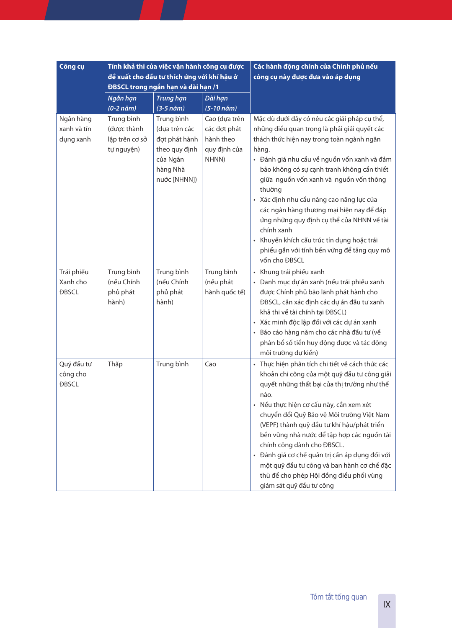| Công cụ                                |                                                           | Tính khả thi của việc vận hành công cụ được<br>đề xuất cho đầu tư thích ứng với khí hậu ở<br>ĐBSCL trong ngắn hạn và dài hạn /1 |                                                                     | Các hành động chính của Chính phủ nếu<br>công cụ này được đưa vào áp dụng                                                                                                                                                                                                                                                                                                                                                                                                                                                                                           |  |
|----------------------------------------|-----------------------------------------------------------|---------------------------------------------------------------------------------------------------------------------------------|---------------------------------------------------------------------|---------------------------------------------------------------------------------------------------------------------------------------------------------------------------------------------------------------------------------------------------------------------------------------------------------------------------------------------------------------------------------------------------------------------------------------------------------------------------------------------------------------------------------------------------------------------|--|
|                                        | Ngắn hạn<br>$(0-2 n\check{a}m)$                           | <b>Trung hạn</b><br>$(3-5 n\ddot{\text{a}}m)$                                                                                   | Dài hạn<br>(5-10 năm)                                               |                                                                                                                                                                                                                                                                                                                                                                                                                                                                                                                                                                     |  |
| Ngân hàng<br>xanh và tín<br>dụng xanh  | Trung bình<br>(được thành<br>lập trên cơ sở<br>tự nguyện) | Trung bình<br>(dựa trên các<br>đơt phát hành<br>theo quy định<br>của Ngân<br>hàng Nhà<br>nước [NHNN])                           | Cao (dựa trên<br>các đợt phát<br>hành theo<br>quy định của<br>NHNN) | Mặc dù dưới đây có nêu các giải pháp cụ thể,<br>những điều quan trọng là phải giải quyết các<br>thách thức hiện nay trong toàn ngành ngân<br>hàng.<br>· Đánh giá nhu cầu về nguồn vốn xanh và đảm<br>bảo không có sự cạnh tranh không cần thiết<br>giữa nguồn vốn xanh và nguồn vốn thông<br>thường<br>· Xác định nhu cầu nâng cao năng lực của<br>các ngân hàng thương mại hiện nay để đáp<br>ứng những quy định cụ thể của NHNN về tài<br>chính xanh<br>· Khuyến khích cấu trúc tín dụng hoặc trái<br>phiếu gắn với tính bền vững để tăng quy mô<br>vốn cho ĐBSCL |  |
| Trái phiếu<br>Xanh cho<br><b>ĐBSCL</b> | Trung bình<br>(nếu Chính<br>phủ phát<br>hành)             | Trung bình<br>(nếu Chính<br>phủ phát<br>hành)                                                                                   | Trung bình<br>(nếu phát<br>hành quốc tế)                            | Khung trái phiếu xanh<br>· Danh mục dự án xanh (nếu trái phiếu xanh<br>được Chính phủ bão lãnh phát hành cho<br>ĐBSCL, cần xác định các dự án đầu tư xanh<br>khả thi về tài chính tại ĐBSCL)<br>Xác minh độc lập đối với các dự án xanh<br>· Báo cáo hàng năm cho các nhà đầu tư (về<br>phân bổ số tiền huy động được và tác động<br>môi trường dự kiến)                                                                                                                                                                                                            |  |
| Quỹ đầu tư<br>công cho<br><b>ĐBSCL</b> | Thấp                                                      | Trung bình                                                                                                                      | Cao                                                                 | Thực hiện phân tích chi tiết về cách thức các<br>khoản chi công của một quỹ đầu tư công giải<br>quyết những thất bại của thị trường như thế<br>nào.<br>Nếu thực hiện cơ cấu này, cần xem xét<br>chuyển đổi Quỹ Bảo vệ Môi trường Việt Nam<br>(VEPF) thành quỹ đầu tư khí hậu/phát triển<br>bền vững nhà nước để tập hợp các nguồn tài<br>chính công dành cho ĐBSCL.<br>· Đánh giá cơ chế quản trị cần áp dụng đối với<br>một quỹ đầu tư công và ban hành cơ chế đặc<br>thù để cho phép Hội đồng điều phối vùng<br>giám sát quỹ đầu tư công                          |  |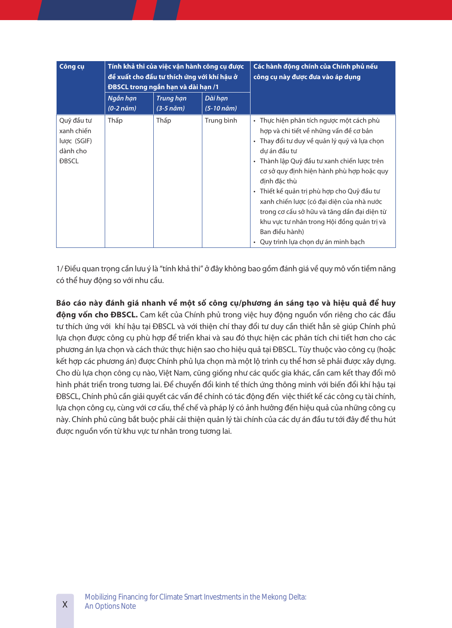| Công cụ                                                             |                       | Tính khả thi của việc vận hành công cụ được<br>đề xuất cho đầu tư thích ứng với khí hâu ở<br>ĐBSCL trong ngắn hạn và dài hạn /1 |                                             | Các hành động chính của Chính phủ nếu<br>công cụ này được đưa vào áp dụng                                                                                                                                                                                                                                                                                                                                                                                                                                        |  |
|---------------------------------------------------------------------|-----------------------|---------------------------------------------------------------------------------------------------------------------------------|---------------------------------------------|------------------------------------------------------------------------------------------------------------------------------------------------------------------------------------------------------------------------------------------------------------------------------------------------------------------------------------------------------------------------------------------------------------------------------------------------------------------------------------------------------------------|--|
|                                                                     | Ngắn hạn<br>(0-2 năm) | <b>Trung hạn</b><br>$(3-5 n\ddot{\text{a}}m)$                                                                                   | Dài han<br>$(5-10 \text{ n\ddot{\alpha}}m)$ |                                                                                                                                                                                                                                                                                                                                                                                                                                                                                                                  |  |
| Quỹ đầu tư<br>xanh chiến<br>lược (SGIF)<br>dành cho<br><b>DBSCL</b> | Thấp                  | Thấp                                                                                                                            | Trung bình                                  | • Thực hiện phân tích ngược một cách phù<br>hợp và chi tiết về những vấn đề cơ bản<br>· Thay đổi tư duy về quản lý quỹ và lựa chọn<br>dự án đầu tư<br>· Thành lập Quỹ đầu tư xanh chiến lược trên<br>cơ sở quy đinh hiện hành phù hợp hoặc quy<br>định đặc thù<br>· Thiết kế quản trị phù hợp cho Quỹ đầu tư<br>xanh chiến lược (có đại diện của nhà nước<br>trong cơ cấu sở hữu và tăng dần đại diện từ<br>khu vực tự nhân trong Hội đồng quản trị và<br>Ban điều hành)<br>• Quy trình lưa chon dư án minh bach |  |

1/ Điều quan trọng cần lưu ý là "tính khả thi" ở đây không bao gồm đánh giá về quy mô vốn tiềm năng có thể huy động so với nhu cầu.

**Báo cáo này đánh giá nhanh về một số công cụ/phương án sáng tạo và hiệu quả để huy**  động vốn cho ĐBSCL. Cam kết của Chính phủ trong việc huy động nguồn vốn riêng cho các đầu tư thích ứng với khí hậu tại ĐBSCL và với thiện chí thay đổi tư duy cần thiết hẳn sẽ giúp Chính phủ lựa chọn được công cụ phù hợp để triển khai và sau đó thực hiện các phân tích chi tiết hơn cho các phương án lựa chọn và cách thức thực hiện sao cho hiệu quả tại ĐBSCL. Tùy thuộc vào công cụ (hoặc kết hợp các phương án) được Chính phủ lựa chọn mà một lộ trình cụ thể hơn sẽ phải được xây dựng. Cho dù lựa chọn công cụ nào, Việt Nam, cũng giống như các quốc gia khác, cần cam kết thay đổi mô hình phát triển trong tương lai. Để chuyển đổi kinh tế thích ứng thông minh với biến đổi khí hậu tại ĐBSCL, Chính phủ cần giải quyết các vấn đề chính có tác động đến việc thiết kế các công cụ tài chính, lựa chọn công cụ, cùng với cơ cấu, thể chế và pháp lý có ảnh hưởng đến hiệu quả của những công cụ này. Chính phủ cũng bắt buộc phải cải thiện quản lý tài chính của các dự án đầu tư tới đây để thu hút được nguồn vốn từ khu vực tư nhân trong tương lai.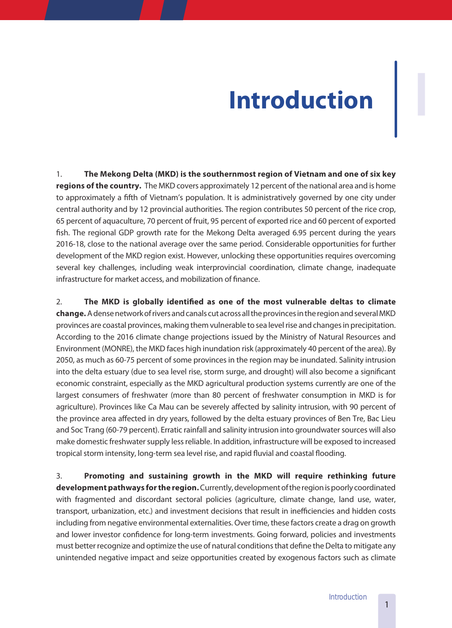# **Introduction I**

1. **The Mekong Delta (MKD) is the southernmost region of Vietnam and one of six key regions of the country.** The MKD covers approximately 12 percent of the national area and is home to approximately a fifth of Vietnam's population. It is administratively governed by one city under central authority and by 12 provincial authorities. The region contributes 50 percent of the rice crop, 65 percent of aquaculture, 70 percent of fruit, 95 percent of exported rice and 60 percent of exported fish. The regional GDP growth rate for the Mekong Delta averaged 6.95 percent during the years 2016-18, close to the national average over the same period. Considerable opportunities for further development of the MKD region exist. However, unlocking these opportunities requires overcoming several key challenges, including weak interprovincial coordination, climate change, inadequate infrastructure for market access, and mobilization of finance.

2. **The MKD is globally identified as one of the most vulnerable deltas to climate change�**A dense network of rivers and canals cut across all the provinces in the region and several MKD provinces are coastal provinces, making them vulnerable to sea level rise and changes in precipitation. According to the 2016 climate change projections issued by the Ministry of Natural Resources and Environment (MONRE), the MKD faces high inundation risk (approximately 40 percent of the area). By 2050, as much as 60-75 percent of some provinces in the region may be inundated. Salinity intrusion into the delta estuary (due to sea level rise, storm surge, and drought) will also become a significant economic constraint, especially as the MKD agricultural production systems currently are one of the largest consumers of freshwater (more than 80 percent of freshwater consumption in MKD is for agriculture). Provinces like Ca Mau can be severely affected by salinity intrusion, with 90 percent of the province area affected in dry years, followed by the delta estuary provinces of Ben Tre, Bac Lieu and Soc Trang (60-79 percent). Erratic rainfall and salinity intrusion into groundwater sources will also make domestic freshwater supply less reliable. In addition, infrastructure will be exposed to increased tropical storm intensity, long-term sea level rise, and rapid fluvial and coastal flooding.

3. **Promoting and sustaining growth in the MKD will require rethinking future development pathways for the region�** Currently, development of the region is poorly coordinated with fragmented and discordant sectoral policies (agriculture, climate change, land use, water, transport, urbanization, etc.) and investment decisions that result in inefficiencies and hidden costs including from negative environmental externalities. Over time, these factors create a drag on growth and lower investor confidence for long-term investments. Going forward, policies and investments must better recognize and optimize the use of natural conditions that define the Delta to mitigate any unintended negative impact and seize opportunities created by exogenous factors such as climate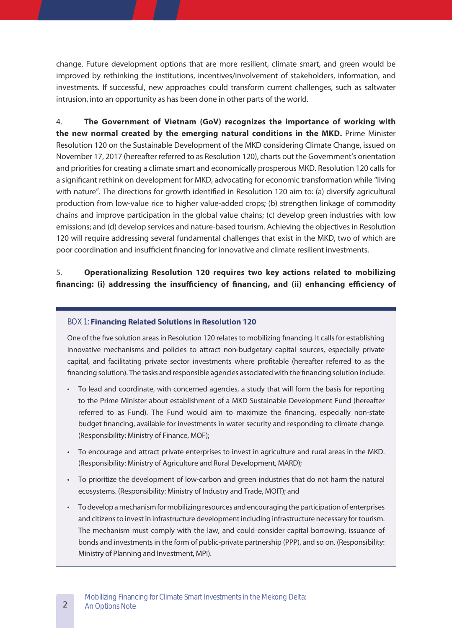change. Future development options that are more resilient, climate smart, and green would be improved by rethinking the institutions, incentives/involvement of stakeholders, information, and investments. If successful, new approaches could transform current challenges, such as saltwater intrusion, into an opportunity as has been done in other parts of the world.

4. **The Government of Vietnam (GoV) recognizes the importance of working with the new normal created by the emerging natural conditions in the MKD.** Prime Minister Resolution 120 on the Sustainable Development of the MKD considering Climate Change, issued on November 17, 2017 (hereafter referred to as Resolution 120), charts out the Government's orientation and priorities for creating a climate smart and economically prosperous MKD. Resolution 120 calls for a significant rethink on development for MKD, advocating for economic transformation while "living with nature". The directions for growth identified in Resolution 120 aim to: (a) diversify agricultural production from low-value rice to higher value-added crops; (b) strengthen linkage of commodity chains and improve participation in the global value chains; (c) develop green industries with low emissions; and (d) develop services and nature-based tourism. Achieving the objectives in Resolution 120 will require addressing several fundamental challenges that exist in the MKD, two of which are poor coordination and insufficient financing for innovative and climate resilient investments.

### 5. **Operationalizing Resolution 120 requires two key actions related to mobilizing financing: (i) addressing the insufficiency of financing, and (ii) enhancing efficiency of**

#### BOX 1: **Financing Related Solutions in Resolution 120**

One of the five solution areas in Resolution 120 relates to mobilizing financing. It calls for establishing innovative mechanisms and policies to attract non-budgetary capital sources, especially private capital, and facilitating private sector investments where profitable (hereafter referred to as the financing solution). The tasks and responsible agencies associated with the financing solution include:

- To lead and coordinate, with concerned agencies, a study that will form the basis for reporting to the Prime Minister about establishment of a MKD Sustainable Development Fund (hereafter referred to as Fund). The Fund would aim to maximize the financing, especially non-state budget financing, available for investments in water security and responding to climate change. (Responsibility: Ministry of Finance, MOF);
- To encourage and attract private enterprises to invest in agriculture and rural areas in the MKD. (Responsibility: Ministry of Agriculture and Rural Development, MARD);
- To prioritize the development of low-carbon and green industries that do not harm the natural ecosystems. (Responsibility: Ministry of Industry and Trade, MOIT); and
- To develop a mechanism for mobilizing resources and encouraging the participation of enterprises and citizens to invest in infrastructure development including infrastructure necessary for tourism. The mechanism must comply with the law, and could consider capital borrowing, issuance of bonds and investments in the form of public-private partnership (PPP), and so on. (Responsibility: Ministry of Planning and Investment, MPI).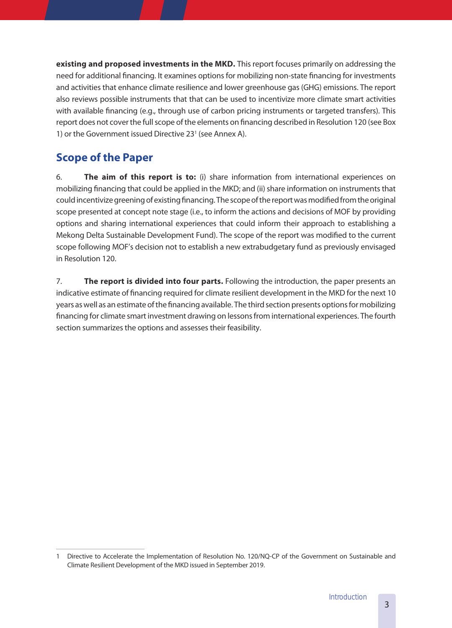**existing and proposed investments in the MKD.** This report focuses primarily on addressing the need for additional financing. It examines options for mobilizing non-state financing for investments and activities that enhance climate resilience and lower greenhouse gas (GHG) emissions. The report also reviews possible instruments that that can be used to incentivize more climate smart activities with available financing (e.g., through use of carbon pricing instruments or targeted transfers). This report does not cover the full scope of the elements on financing described in Resolution 120 (see Box 1) or the Government issued Directive 23<sup>1</sup> (see Annex A).

# **Scope of the Paper**

6. **The aim of this report is to:** (i) share information from international experiences on mobilizing financing that could be applied in the MKD; and (ii) share information on instruments that could incentivize greening of existing financing. The scope of the report was modified from the original scope presented at concept note stage (i.e., to inform the actions and decisions of MOF by providing options and sharing international experiences that could inform their approach to establishing a Mekong Delta Sustainable Development Fund). The scope of the report was modified to the current scope following MOF's decision not to establish a new extrabudgetary fund as previously envisaged in Resolution 120.

7. **The report is divided into four parts.** Following the introduction, the paper presents an indicative estimate of financing required for climate resilient development in the MKD for the next 10 years as well as an estimate of the financing available. The third section presents options for mobilizing financing for climate smart investment drawing on lessons from international experiences. The fourth section summarizes the options and assesses their feasibility.

<sup>1</sup> Directive to Accelerate the Implementation of Resolution No. 120/NQ-CP of the Government on Sustainable and Climate Resilient Development of the MKD issued in September 2019.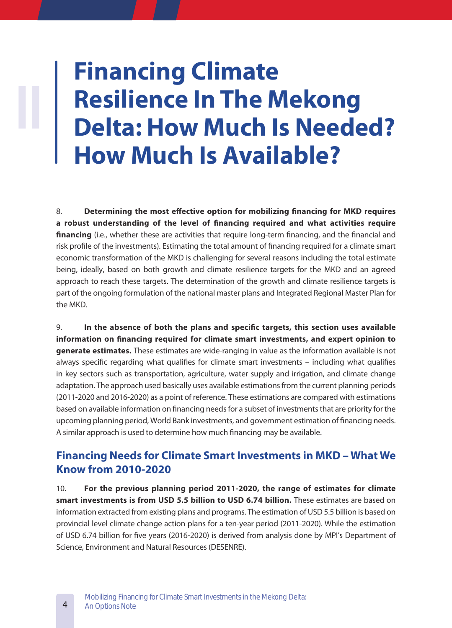# **Financing Climate Resilience In The Mekong Delta: How Much Is Needed? How Much Is Available?**

8. **Determining the most effective option for mobilizing financing for MKD requires a robust understanding of the level of financing required and what activities require financing** (i.e., whether these are activities that require long-term financing, and the financial and risk profile of the investments). Estimating the total amount of financing required for a climate smart economic transformation of the MKD is challenging for several reasons including the total estimate being, ideally, based on both growth and climate resilience targets for the MKD and an agreed approach to reach these targets. The determination of the growth and climate resilience targets is part of the ongoing formulation of the national master plans and Integrated Regional Master Plan for the MKD.

9. **In the absence of both the plans and specific targets, this section uses available information on financing required for climate smart investments, and expert opinion to**  generate estimates. These estimates are wide-ranging in value as the information available is not always specific regarding what qualifies for climate smart investments – including what qualifies in key sectors such as transportation, agriculture, water supply and irrigation, and climate change adaptation. The approach used basically uses available estimations from the current planning periods (2011-2020 and 2016-2020) as a point of reference. These estimations are compared with estimations based on available information on financing needs for a subset of investments that are priority for the upcoming planning period, World Bank investments, and government estimation of financing needs. A similar approach is used to determine how much financing may be available.

## **Financing Needs for Climate Smart Investments in MKD – What We Know from 2010-2020**

10. **For the previous planning period 2011-2020, the range of estimates for climate smart investments is from USD 5.5 billion to USD 6.74 billion.** These estimates are based on information extracted from existing plans and programs. The estimation of USD 5.5 billion is based on provincial level climate change action plans for a ten-year period (2011-2020). While the estimation of USD 6.74 billion for five years (2016-2020) is derived from analysis done by MPI's Department of Science, Environment and Natural Resources (DESENRE).

**II**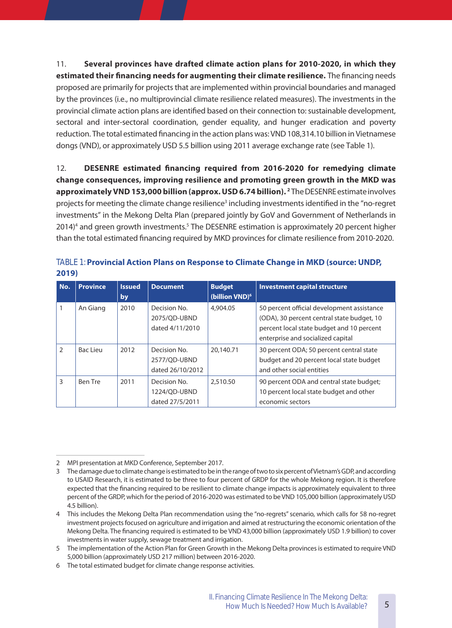11. **Several provinces have drafted climate action plans for 2010-2020, in which they**  estimated their financing needs for augmenting their climate resilience. The financing needs proposed are primarily for projects that are implemented within provincial boundaries and managed by the provinces (i.e., no multiprovincial climate resilience related measures). The investments in the provincial climate action plans are identified based on their connection to: sustainable development, sectoral and inter-sectoral coordination, gender equality, and hunger eradication and poverty reduction. The total estimated financing in the action plans was: VND 108,314.10 billion in Vietnamese dongs (VND), or approximately USD 5.5 billion using 2011 average exchange rate (see Table 1).

12. **DESENRE estimated financing required from 2016-2020 for remedying climate change consequences, improving resilience and promoting green growth in the MKD was**  approximately VND 153,000 billion (approx. USD 6.74 billion).<sup>2</sup> The DESENRE estimate involves projects for meeting the climate change resilience<sup>3</sup> including investments identified in the "no-regret investments" in the Mekong Delta Plan (prepared jointly by GoV and Government of Netherlands in 2014)<sup>4</sup> and green growth investments.<sup>5</sup> The DESENRE estimation is approximately 20 percent higher than the total estimated financing required by MKD provinces for climate resilience from 2010-2020.

| No.           | <b>Province</b> | <b>Issued</b><br>by | <b>Document</b>                                  | <b>Budget</b><br>(billion VND) <sup>6</sup> | <b>Investment capital structure</b>                                                                                                                                        |
|---------------|-----------------|---------------------|--------------------------------------------------|---------------------------------------------|----------------------------------------------------------------------------------------------------------------------------------------------------------------------------|
|               | An Giang        | 2010                | Decision No.<br>2075/OD-UBND<br>dated 4/11/2010  | 4,904.05                                    | 50 percent official development assistance<br>(ODA), 30 percent central state budget, 10<br>percent local state budget and 10 percent<br>enterprise and socialized capital |
| $\mathcal{P}$ | Bac Lieu        | 2012                | Decision No.<br>2577/OD-UBND<br>dated 26/10/2012 | 20.140.71                                   | 30 percent ODA; 50 percent central state<br>budget and 20 percent local state budget<br>and other social entities                                                          |
| 3             | Ben Tre         | 2011                | Decision No.<br>1224/OD-UBND<br>dated 27/5/2011  | 2,510.50                                    | 90 percent ODA and central state budget;<br>10 percent local state budget and other<br>economic sectors                                                                    |

TABLE 1: **Provincial Action Plans on Response to Climate Change in MKD (source: UNDP, 2019)**

<sup>2</sup> MPI presentation at MKD Conference, September 2017.

<sup>3</sup> The damage due to climate change is estimated to be in the range of two to six percent of Vietnam's GDP, and according to USAID Research, it is estimated to be three to four percent of GRDP for the whole Mekong region. It is therefore expected that the financing required to be resilient to climate change impacts is approximately equivalent to three percent of the GRDP, which for the period of 2016-2020 was estimated to be VND 105,000 billion (approximately USD 4.5 billion).

<sup>4</sup> This includes the Mekong Delta Plan recommendation using the "no-regrets" scenario, which calls for 58 no-regret investment projects focused on agriculture and irrigation and aimed at restructuring the economic orientation of the Mekong Delta. The financing required is estimated to be VND 43,000 billion (approximately USD 1.9 billion) to cover investments in water supply, sewage treatment and irrigation.

<sup>5</sup> The implementation of the Action Plan for Green Growth in the Mekong Delta provinces is estimated to require VND 5,000 billion (approximately USD 217 million) between 2016-2020.

<sup>6</sup> The total estimated budget for climate change response activities.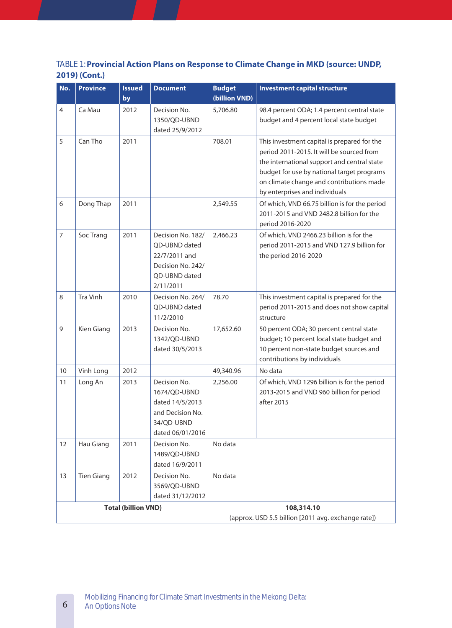## TABLE 1: **Provincial Action Plans on Response to Climate Change in MKD (source: UNDP, 2019) (Cont�)**

| No.                        | <b>Province</b>   | <b>Issued</b><br>by | <b>Document</b>                                                                                        | <b>Budget</b><br>(billion VND) | <b>Investment capital structure</b>                                                                                                                                                                                                                                 |
|----------------------------|-------------------|---------------------|--------------------------------------------------------------------------------------------------------|--------------------------------|---------------------------------------------------------------------------------------------------------------------------------------------------------------------------------------------------------------------------------------------------------------------|
| $\overline{4}$             | Ca Mau            | 2012                | Decision No.<br>1350/QD-UBND<br>dated 25/9/2012                                                        | 5,706.80                       | 98.4 percent ODA; 1.4 percent central state<br>budget and 4 percent local state budget                                                                                                                                                                              |
| 5                          | Can Tho           | 2011                |                                                                                                        | 708.01                         | This investment capital is prepared for the<br>period 2011-2015. It will be sourced from<br>the international support and central state<br>budget for use by national target programs<br>on climate change and contributions made<br>by enterprises and individuals |
| 6                          | Dong Thap         | 2011                |                                                                                                        | 2,549.55                       | Of which, VND 66.75 billion is for the period<br>2011-2015 and VND 2482.8 billion for the<br>period 2016-2020                                                                                                                                                       |
| $\overline{7}$             | Soc Trang         | 2011                | Decision No. 182/<br>QD-UBND dated<br>22/7/2011 and<br>Decision No. 242/<br>OD-UBND dated<br>2/11/2011 | 2,466.23                       | Of which, VND 2466.23 billion is for the<br>period 2011-2015 and VND 127.9 billion for<br>the period 2016-2020                                                                                                                                                      |
| 8                          | <b>Tra Vinh</b>   | 2010                | Decision No. 264/<br>QD-UBND dated<br>11/2/2010                                                        | 78.70                          | This investment capital is prepared for the<br>period 2011-2015 and does not show capital<br>structure                                                                                                                                                              |
| 9                          | Kien Giang        | 2013                | Decision No.<br>1342/QD-UBND<br>dated 30/5/2013                                                        | 17,652.60                      | 50 percent ODA; 30 percent central state<br>budget; 10 percent local state budget and<br>10 percent non-state budget sources and<br>contributions by individuals                                                                                                    |
| 10                         | Vinh Long         | 2012                |                                                                                                        | 49,340.96                      | No data                                                                                                                                                                                                                                                             |
| 11                         | Long An           | 2013                | Decision No.<br>1674/OD-UBND<br>dated 14/5/2013<br>and Decision No.<br>34/QD-UBND<br>dated 06/01/2016  | 2,256.00                       | Of which, VND 1296 billion is for the period<br>2013-2015 and VND 960 billion for period<br>after 2015                                                                                                                                                              |
| 12                         | Hau Giang         | 2011                | Decision No.<br>1489/QD-UBND<br>dated 16/9/2011                                                        | No data                        |                                                                                                                                                                                                                                                                     |
| 13                         | <b>Tien Giang</b> | 2012                | Decision No.<br>3569/QD-UBND<br>dated 31/12/2012                                                       | No data                        |                                                                                                                                                                                                                                                                     |
| <b>Total (billion VND)</b> |                   |                     |                                                                                                        |                                | 108,314.10<br>(approx. USD 5.5 billion [2011 avg. exchange rate])                                                                                                                                                                                                   |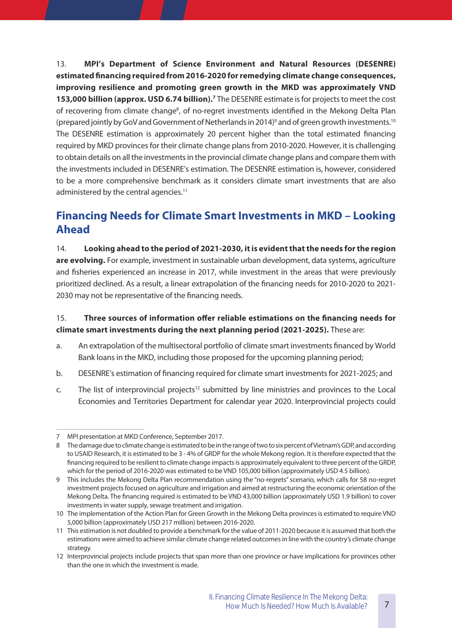13. **MPI's Department of Science Environment and Natural Resources (DESENRE) estimated financing required from 2016-2020 for remedying climate change consequences, improving resilience and promoting green growth in the MKD was approximately VND**  153,000 billion (approx. USD 6.74 billion).<sup>7</sup> The DESENRE estimate is for projects to meet the cost of recovering from climate change<sup>8</sup>, of no-regret investments identified in the Mekong Delta Plan (prepared jointly by GoV and Government of Netherlands in 2014)<sup>9</sup> and of green growth investments.<sup>10</sup> The DESENRE estimation is approximately 20 percent higher than the total estimated financing required by MKD provinces for their climate change plans from 2010-2020. However, it is challenging to obtain details on all the investments in the provincial climate change plans and compare them with the investments included in DESENRE's estimation. The DESENRE estimation is, however, considered to be a more comprehensive benchmark as it considers climate smart investments that are also administered by the central agencies.<sup>11</sup>

# **Financing Needs for Climate Smart Investments in MKD – Looking Ahead**

14. **Looking ahead to the period of 2021-2030, it is evident that the needs for the region**  are evolving. For example, investment in sustainable urban development, data systems, agriculture and fisheries experienced an increase in 2017, while investment in the areas that were previously prioritized declined. As a result, a linear extrapolation of the financing needs for 2010-2020 to 2021- 2030 may not be representative of the financing needs.

### 15. **Three sources of information offer reliable estimations on the financing needs for climate smart investments during the next planning period (2021-2025).** These are:

- a. An extrapolation of the multisectoral portfolio of climate smart investments financed by World Bank loans in the MKD, including those proposed for the upcoming planning period;
- b. DESENRE's estimation of financing required for climate smart investments for 2021-2025; and
- c. The list of interprovincial projects<sup>12</sup> submitted by line ministries and provinces to the Local Economies and Territories Department for calendar year 2020. Interprovincial projects could

<sup>7</sup> MPI presentation at MKD Conference, September 2017.

<sup>8</sup> The damage due to climate change is estimated to be in the range of two to six percent of Vietnam's GDP, and according to USAID Research, it is estimated to be 3 - 4% of GRDP for the whole Mekong region. It is therefore expected that the financing required to be resilient to climate change impacts is approximately equivalent to three percent of the GRDP, which for the period of 2016-2020 was estimated to be VND 105,000 billion (approximately USD 4.5 billion).

<sup>9</sup> This includes the Mekong Delta Plan recommendation using the "no-regrets" scenario, which calls for 58 no-regret investment projects focused on agriculture and irrigation and aimed at restructuring the economic orientation of the Mekong Delta. The financing required is estimated to be VND 43,000 billion (approximately USD 1.9 billion) to cover investments in water supply, sewage treatment and irrigation.

<sup>10</sup> The implementation of the Action Plan for Green Growth in the Mekong Delta provinces is estimated to require VND 5,000 billion (approximately USD 217 million) between 2016-2020.

<sup>11</sup> This estimation is not doubled to provide a benchmark for the value of 2011-2020 because it is assumed that both the estimations were aimed to achieve similar climate change related outcomes in line with the country's climate change strategy.

<sup>12</sup> Interprovincial projects include projects that span more than one province or have implications for provinces other than the one in which the investment is made.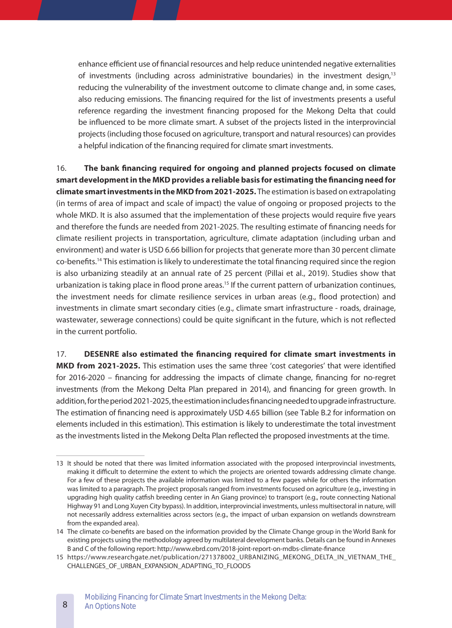enhance efficient use of financial resources and help reduce unintended negative externalities of investments (including across administrative boundaries) in the investment design,<sup>13</sup> reducing the vulnerability of the investment outcome to climate change and, in some cases, also reducing emissions. The financing required for the list of investments presents a useful reference regarding the investment financing proposed for the Mekong Delta that could be influenced to be more climate smart. A subset of the projects listed in the interprovincial projects (including those focused on agriculture, transport and natural resources) can provides a helpful indication of the financing required for climate smart investments.

16. **The bank financing required for ongoing and planned projects focused on climate smart development in the MKD provides a reliable basis for estimating the financing need for climate smart investments in the MKD from 2021-2025.** The estimation is based on extrapolating (in terms of area of impact and scale of impact) the value of ongoing or proposed projects to the whole MKD. It is also assumed that the implementation of these projects would require five years and therefore the funds are needed from 2021-2025. The resulting estimate of financing needs for climate resilient projects in transportation, agriculture, climate adaptation (including urban and environment) and water is USD 6.66 billion for projects that generate more than 30 percent climate co-benefits.14 This estimation is likely to underestimate the total financing required since the region is also urbanizing steadily at an annual rate of 25 percent (Pillai et al., 2019). Studies show that urbanization is taking place in flood prone areas.<sup>15</sup> If the current pattern of urbanization continues, the investment needs for climate resilience services in urban areas (e.g., flood protection) and investments in climate smart secondary cities (e.g., climate smart infrastructure - roads, drainage, wastewater, sewerage connections) could be quite significant in the future, which is not reflected in the current portfolio.

17. **DESENRE also estimated the financing required for climate smart investments in MKD from 2021-2025.** This estimation uses the same three 'cost categories' that were identified for 2016-2020 – financing for addressing the impacts of climate change, financing for no-regret investments (from the Mekong Delta Plan prepared in 2014), and financing for green growth. In addition, for the period 2021-2025, the estimation includes financing needed to upgrade infrastructure. The estimation of financing need is approximately USD 4.65 billion (see Table B.2 for information on elements included in this estimation). This estimation is likely to underestimate the total investment as the investments listed in the Mekong Delta Plan reflected the proposed investments at the time.

<sup>13</sup> It should be noted that there was limited information associated with the proposed interprovincial investments, making it difficult to determine the extent to which the projects are oriented towards addressing climate change. For a few of these projects the available information was limited to a few pages while for others the information was limited to a paragraph. The project proposals ranged from investments focused on agriculture (e.g., investing in upgrading high quality catfish breeding center in An Giang province) to transport (e.g., route connecting National Highway 91 and Long Xuyen City bypass). In addition, interprovincial investments, unless multisectoral in nature, will not necessarily address externalities across sectors (e.g., the impact of urban expansion on wetlands downstream from the expanded area).

<sup>14</sup> The climate co-benefits are based on the information provided by the Climate Change group in the World Bank for existing projects using the methodology agreed by multilateral development banks. Details can be found in Annexes B and C of the following report: http://www.ebrd.com/2018-joint-report-on-mdbs-climate-finance

<sup>15</sup> https://www.researchgate.net/publication/271378002\_URBANIZING\_MEKONG\_DELTA\_IN\_VIETNAM\_THE\_ CHALLENGES\_OF\_URBAN\_EXPANSION\_ADAPTING\_TO\_FLOODS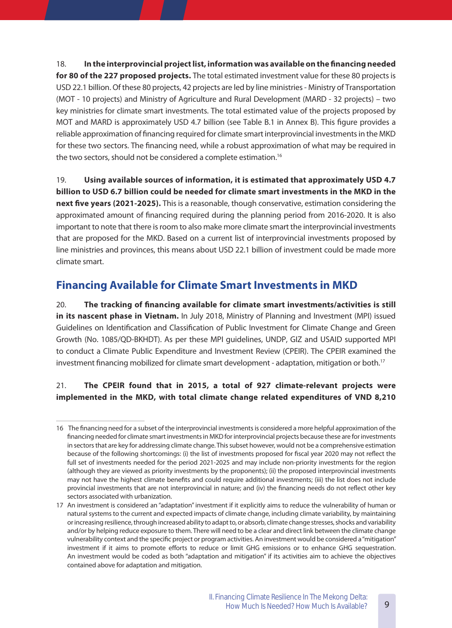18. **In the interprovincial project list, information was available on the financing needed**  for 80 of the 227 proposed projects. The total estimated investment value for these 80 projects is USD 22.1 billion. Of these 80 projects, 42 projects are led by line ministries - Ministry of Transportation (MOT - 10 projects) and Ministry of Agriculture and Rural Development (MARD - 32 projects) – two key ministries for climate smart investments. The total estimated value of the projects proposed by MOT and MARD is approximately USD 4.7 billion (see Table B.1 in Annex B). This figure provides a reliable approximation of financing required for climate smart interprovincial investments in the MKD for these two sectors. The financing need, while a robust approximation of what may be required in the two sectors, should not be considered a complete estimation.16

19. **Using available sources of information, it is estimated that approximately USD 4�7 billion to USD 6�7 billion could be needed for climate smart investments in the MKD in the next five years (2021-2025).** This is a reasonable, though conservative, estimation considering the approximated amount of financing required during the planning period from 2016-2020. It is also important to note that there is room to also make more climate smart the interprovincial investments that are proposed for the MKD. Based on a current list of interprovincial investments proposed by line ministries and provinces, this means about USD 22.1 billion of investment could be made more climate smart.

# **Financing Available for Climate Smart Investments in MKD**

20. **The tracking of financing available for climate smart investments/activities is still**  in its nascent phase in Vietnam. In July 2018, Ministry of Planning and Investment (MPI) issued Guidelines on Identification and Classification of Public Investment for Climate Change and Green Growth (No. 1085/QD-BKHDT). As per these MPI guidelines, UNDP, GIZ and USAID supported MPI to conduct a Climate Public Expenditure and Investment Review (CPEIR). The CPEIR examined the investment financing mobilized for climate smart development - adaptation, mitigation or both.<sup>17</sup>

## 21. **The CPEIR found that in 2015, a total of 927 climate-relevant projects were implemented in the MKD, with total climate change related expenditures of VND 8,210**

<sup>16</sup> The financing need for a subset of the interprovincial investments is considered a more helpful approximation of the financing needed for climate smart investments in MKD for interprovincial projects because these are for investments in sectors that are key for addressing climate change. This subset however, would not be a comprehensive estimation because of the following shortcomings: (i) the list of investments proposed for fiscal year 2020 may not reflect the full set of investments needed for the period 2021-2025 and may include non-priority investments for the region (although they are viewed as priority investments by the proponents); (ii) the proposed interprovincial investments may not have the highest climate benefits and could require additional investments; (iii) the list does not include provincial investments that are not interprovincial in nature; and (iv) the financing needs do not reflect other key sectors associated with urbanization.

<sup>17</sup> An investment is considered an "adaptation" investment if it explicitly aims to reduce the vulnerability of human or natural systems to the current and expected impacts of climate change, including climate variability, by maintaining or increasing resilience, through increased ability to adapt to, or absorb, climate change stresses, shocks and variability and/or by helping reduce exposure to them. There will need to be a clear and direct link between the climate change vulnerability context and the specific project or program activities. An investment would be considered a "mitigation" investment if it aims to promote efforts to reduce or limit GHG emissions or to enhance GHG sequestration. An investment would be coded as both "adaptation and mitigation" if its activities aim to achieve the objectives contained above for adaptation and mitigation.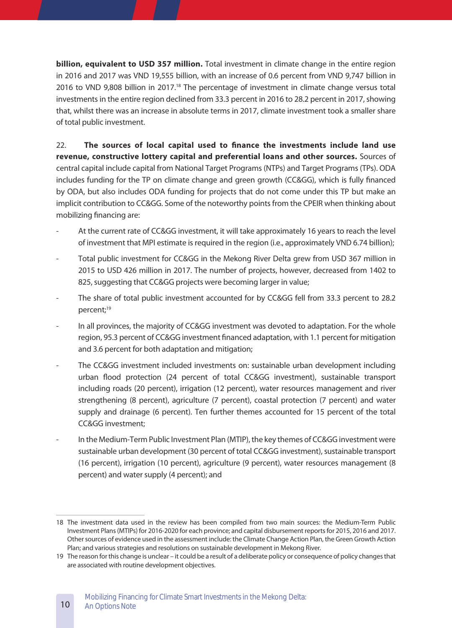**billion, equivalent to USD 357 million.** Total investment in climate change in the entire region in 2016 and 2017 was VND 19,555 billion, with an increase of 0.6 percent from VND 9,747 billion in 2016 to VND 9,808 billion in 2017.<sup>18</sup> The percentage of investment in climate change versus total investments in the entire region declined from 33.3 percent in 2016 to 28.2 percent in 2017, showing that, whilst there was an increase in absolute terms in 2017, climate investment took a smaller share of total public investment.

22. **The sources of local capital used to finance the investments include land use**  revenue, constructive lottery capital and preferential loans and other sources. Sources of central capital include capital from National Target Programs (NTPs) and Target Programs (TPs). ODA includes funding for the TP on climate change and green growth (CC&GG), which is fully financed by ODA, but also includes ODA funding for projects that do not come under this TP but make an implicit contribution to CC&GG. Some of the noteworthy points from the CPEIR when thinking about mobilizing financing are:

- At the current rate of CC&GG investment, it will take approximately 16 years to reach the level of investment that MPI estimate is required in the region (i.e., approximately VND 6.74 billion);
- Total public investment for CC&GG in the Mekong River Delta grew from USD 367 million in 2015 to USD 426 million in 2017. The number of projects, however, decreased from 1402 to 825, suggesting that CC&GG projects were becoming larger in value;
- The share of total public investment accounted for by CC&GG fell from 33.3 percent to 28.2 percent;<sup>19</sup>
- In all provinces, the majority of CC&GG investment was devoted to adaptation. For the whole region, 95.3 percent of CC&GG investment financed adaptation, with 1.1 percent for mitigation and 3.6 percent for both adaptation and mitigation;
- The CC&GG investment included investments on: sustainable urban development including urban flood protection (24 percent of total CC&GG investment), sustainable transport including roads (20 percent), irrigation (12 percent), water resources management and river strengthening (8 percent), agriculture (7 percent), coastal protection (7 percent) and water supply and drainage (6 percent). Ten further themes accounted for 15 percent of the total CC&GG investment;
- In the Medium-Term Public Investment Plan (MTIP), the key themes of CC&GG investment were sustainable urban development (30 percent of total CC&GG investment), sustainable transport (16 percent), irrigation (10 percent), agriculture (9 percent), water resources management (8 percent) and water supply (4 percent); and

10

<sup>18</sup> The investment data used in the review has been compiled from two main sources: the Medium-Term Public Investment Plans (MTIPs) for 2016-2020 for each province; and capital disbursement reports for 2015, 2016 and 2017. Other sources of evidence used in the assessment include: the Climate Change Action Plan, the Green Growth Action Plan; and various strategies and resolutions on sustainable development in Mekong River.

<sup>19</sup> The reason for this change is unclear – it could be a result of a deliberate policy or consequence of policy changes that are associated with routine development objectives.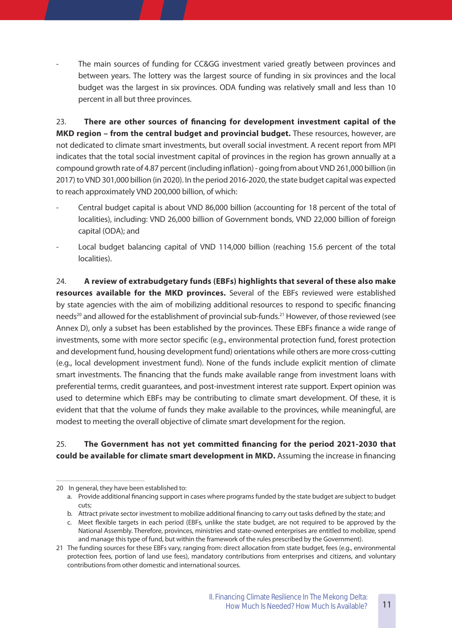The main sources of funding for CC&GG investment varied greatly between provinces and between years. The lottery was the largest source of funding in six provinces and the local budget was the largest in six provinces. ODA funding was relatively small and less than 10 percent in all but three provinces.

23. **There are other sources of financing for development investment capital of the MKD region – from the central budget and provincial budget.** These resources, however, are not dedicated to climate smart investments, but overall social investment. A recent report from MPI indicates that the total social investment capital of provinces in the region has grown annually at a compound growth rate of 4.87 percent (including inflation) - going from about VND 261,000 billion (in 2017) to VND 301,000 billion (in 2020). In the period 2016-2020, the state budget capital was expected to reach approximately VND 200,000 billion, of which:

- Central budget capital is about VND 86,000 billion (accounting for 18 percent of the total of localities), including: VND 26,000 billion of Government bonds, VND 22,000 billion of foreign capital (ODA); and
- Local budget balancing capital of VND 114,000 billion (reaching 15.6 percent of the total localities).

24. **A review of extrabudgetary funds (EBFs) highlights that several of these also make**  resources available for the MKD provinces. Several of the EBFs reviewed were established by state agencies with the aim of mobilizing additional resources to respond to specific financing needs<sup>20</sup> and allowed for the establishment of provincial sub-funds.<sup>21</sup> However, of those reviewed (see Annex D), only a subset has been established by the provinces. These EBFs finance a wide range of investments, some with more sector specific (e.g., environmental protection fund, forest protection and development fund, housing development fund) orientations while others are more cross-cutting (e.g., local development investment fund). None of the funds include explicit mention of climate smart investments. The financing that the funds make available range from investment loans with preferential terms, credit guarantees, and post-investment interest rate support. Expert opinion was used to determine which EBFs may be contributing to climate smart development. Of these, it is evident that that the volume of funds they make available to the provinces, while meaningful, are modest to meeting the overall objective of climate smart development for the region.

### 25. **The Government has not yet committed financing for the period 2021-2030 that could be available for climate smart development in MKD.** Assuming the increase in financing

<sup>20</sup> In general, they have been established to:

a. Provide additional financing support in cases where programs funded by the state budget are subject to budget cuts;

b. Attract private sector investment to mobilize additional financing to carry out tasks defined by the state; and

c. Meet flexible targets in each period (EBFs, unlike the state budget, are not required to be approved by the National Assembly. Therefore, provinces, ministries and state-owned enterprises are entitled to mobilize, spend and manage this type of fund, but within the framework of the rules prescribed by the Government).

<sup>21</sup> The funding sources for these EBFs vary, ranging from: direct allocation from state budget, fees (e.g., environmental protection fees, portion of land use fees), mandatory contributions from enterprises and citizens, and voluntary contributions from other domestic and international sources.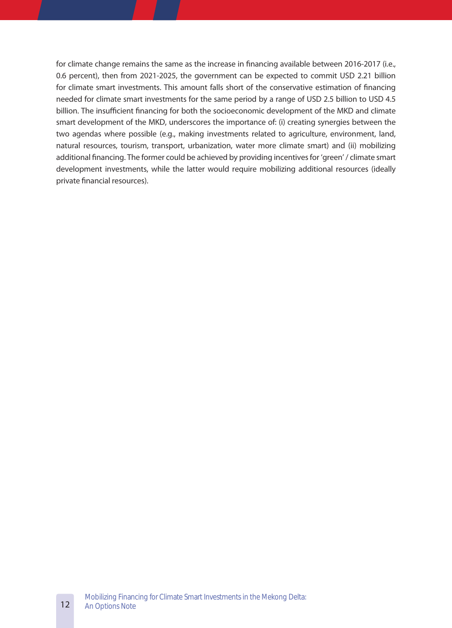for climate change remains the same as the increase in financing available between 2016-2017 (i.e., 0.6 percent), then from 2021-2025, the government can be expected to commit USD 2.21 billion for climate smart investments. This amount falls short of the conservative estimation of financing needed for climate smart investments for the same period by a range of USD 2.5 billion to USD 4.5 billion. The insufficient financing for both the socioeconomic development of the MKD and climate smart development of the MKD, underscores the importance of: (i) creating synergies between the two agendas where possible (e.g., making investments related to agriculture, environment, land, natural resources, tourism, transport, urbanization, water more climate smart) and (ii) mobilizing additional financing. The former could be achieved by providing incentives for 'green' / climate smart development investments, while the latter would require mobilizing additional resources (ideally private financial resources).

12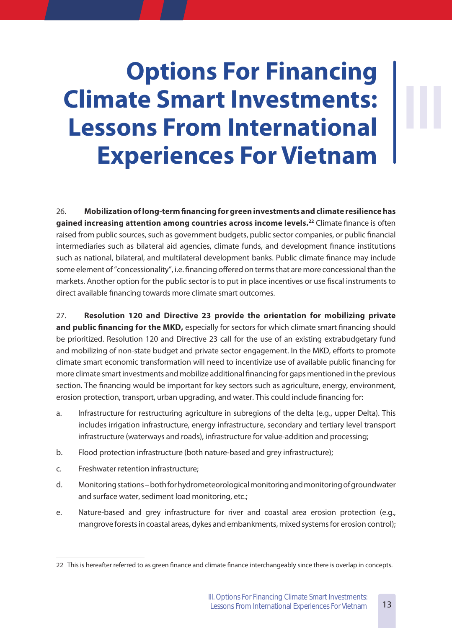# **Options For Financing Climate Smart Investments: Lessons From International Experiences For Vietnam**

**III**

26. **Mobilization of long-term financing for green investments and climate resilience has gained increasing attention among countries across income levels� <sup>22</sup>** Climate finance is often raised from public sources, such as government budgets, public sector companies, or public financial intermediaries such as bilateral aid agencies, climate funds, and development finance institutions such as national, bilateral, and multilateral development banks. Public climate finance may include some element of "concessionality", i.e. financing offered on terms that are more concessional than the markets. Another option for the public sector is to put in place incentives or use fiscal instruments to direct available financing towards more climate smart outcomes.

27. **Resolution 120 and Directive 23 provide the orientation for mobilizing private and public financing for the MKD,** especially for sectors for which climate smart financing should be prioritized. Resolution 120 and Directive 23 call for the use of an existing extrabudgetary fund and mobilizing of non-state budget and private sector engagement. In the MKD, efforts to promote climate smart economic transformation will need to incentivize use of available public financing for more climate smart investments and mobilize additional financing for gaps mentioned in the previous section. The financing would be important for key sectors such as agriculture, energy, environment, erosion protection, transport, urban upgrading, and water. This could include financing for:

- a. Infrastructure for restructuring agriculture in subregions of the delta (e.g., upper Delta). This includes irrigation infrastructure, energy infrastructure, secondary and tertiary level transport infrastructure (waterways and roads), infrastructure for value-addition and processing;
- b. Flood protection infrastructure (both nature-based and grey infrastructure);
- c. Freshwater retention infrastructure;
- d. Monitoring stations both for hydrometeorological monitoring and monitoring of groundwater and surface water, sediment load monitoring, etc.;
- e. Nature-based and grey infrastructure for river and coastal area erosion protection (e.g., mangrove forests in coastal areas, dykes and embankments, mixed systems for erosion control);

<sup>22</sup> This is hereafter referred to as green finance and climate finance interchangeably since there is overlap in concepts.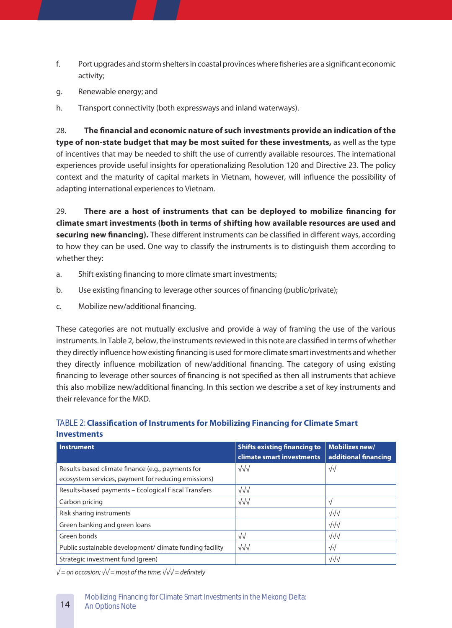- f. Port upgrades and storm shelters in coastal provinces where fisheries are a significant economic activity;
- g. Renewable energy; and
- h. Transport connectivity (both expressways and inland waterways).

28. **The financial and economic nature of such investments provide an indication of the type of non-state budget that may be most suited for these investments,** as well as the type of incentives that may be needed to shift the use of currently available resources. The international experiences provide useful insights for operationalizing Resolution 120 and Directive 23. The policy context and the maturity of capital markets in Vietnam, however, will influence the possibility of adapting international experiences to Vietnam.

29. **There are a host of instruments that can be deployed to mobilize financing for climate smart investments (both in terms of shifting how available resources are used and securing new financing).** These different instruments can be classified in different ways, according to how they can be used. One way to classify the instruments is to distinguish them according to whether they:

- a. Shift existing financing to more climate smart investments;
- b. Use existing financing to leverage other sources of financing (public/private);
- c. Mobilize new/additional financing.

These categories are not mutually exclusive and provide a way of framing the use of the various instruments. In Table 2, below, the instruments reviewed in this note are classified in terms of whether they directly influence how existing financing is used for more climate smart investments and whether they directly influence mobilization of new/additional financing. The category of using existing financing to leverage other sources of financing is not specified as then all instruments that achieve this also mobilize new/additional financing. In this section we describe a set of key instruments and their relevance for the MKD.

#### TABLE 2: **Classification of Instruments for Mobilizing Financing for Climate Smart Investments**

| <b>Instrument</b>                                                                                        | <b>Shifts existing financing to</b><br>climate smart investments | Mobilizes new/<br>additional financing |
|----------------------------------------------------------------------------------------------------------|------------------------------------------------------------------|----------------------------------------|
| Results-based climate finance (e.g., payments for<br>ecosystem services, payment for reducing emissions) | $\sqrt{\sqrt{}}$                                                 | √√                                     |
| Results-based payments - Ecological Fiscal Transfers                                                     | $\sqrt{\sqrt{}}$                                                 |                                        |
| Carbon pricing                                                                                           | $\sqrt{\sqrt{}}$                                                 | V                                      |
| Risk sharing instruments                                                                                 |                                                                  | $\sqrt{\sqrt{}}$                       |
| Green banking and green loans                                                                            |                                                                  | $\sqrt{\sqrt{}}$                       |
| Green bonds                                                                                              | $\sqrt{\sqrt{2}}$                                                | $\sqrt{\sqrt{}}$                       |
| Public sustainable development/ climate funding facility                                                 | $\sqrt{\sqrt{}}$                                                 | $\sqrt{\sqrt{2}}$                      |
| Strategic investment fund (green)                                                                        |                                                                  | $\sqrt{\sqrt{}}$                       |

*√ = on occasion; √√ = most of the time; √√√ = definitely*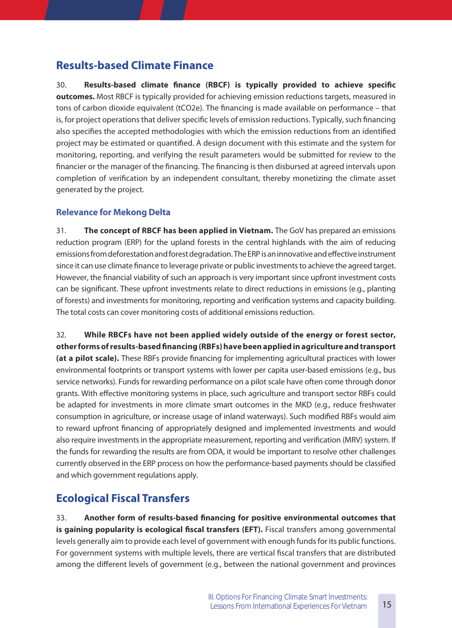# **Results-based Climate Finance**

30. **Results-based climate finance (RBCF) is typically provided to achieve specific outcomes.** Most RBCF is typically provided for achieving emission reductions targets, measured in tons of carbon dioxide equivalent (tCO2e). The financing is made available on performance – that is, for project operations that deliver specific levels of emission reductions. Typically, such financing also specifies the accepted methodologies with which the emission reductions from an identified project may be estimated or quantified. A design document with this estimate and the system for monitoring, reporting, and verifying the result parameters would be submitted for review to the financier or the manager of the financing. The financing is then disbursed at agreed intervals upon completion of verification by an independent consultant, thereby monetizing the climate asset generated by the project.

### **Relevance for Mekong Delta**

31. **The concept of RBCF has been applied in Vietnam�** The GoV has prepared an emissions reduction program (ERP) for the upland forests in the central highlands with the aim of reducing emissions from deforestation and forest degradation. The ERP is an innovative and effective instrument since it can use climate finance to leverage private or public investments to achieve the agreed target. However, the financial viability of such an approach is very important since upfront investment costs can be significant. These upfront investments relate to direct reductions in emissions (e.g., planting of forests) and investments for monitoring, reporting and verification systems and capacity building. The total costs can cover monitoring costs of additional emissions reduction.

32. **While RBCFs have not been applied widely outside of the energy or forest sector, other forms of results-based financing (RBFs) have been applied in agriculture and transport (at a pilot scale).** These RBFs provide financing for implementing agricultural practices with lower environmental footprints or transport systems with lower per capita user-based emissions (e.g., bus service networks). Funds for rewarding performance on a pilot scale have often come through donor grants. With effective monitoring systems in place, such agriculture and transport sector RBFs could be adapted for investments in more climate smart outcomes in the MKD (e.g., reduce freshwater consumption in agriculture, or increase usage of inland waterways). Such modified RBFs would aim to reward upfront financing of appropriately designed and implemented investments and would also require investments in the appropriate measurement, reporting and verification (MRV) system. If the funds for rewarding the results are from ODA, it would be important to resolve other challenges currently observed in the ERP process on how the performance-based payments should be classified and which government regulations apply.

# **Ecological Fiscal Transfers**

33. **Another form of results-based financing for positive environmental outcomes that**  is gaining popularity is ecological fiscal transfers (EFT). Fiscal transfers among governmental levels generally aim to provide each level of government with enough funds for its public functions. For government systems with multiple levels, there are vertical fiscal transfers that are distributed among the different levels of government (e.g., between the national government and provinces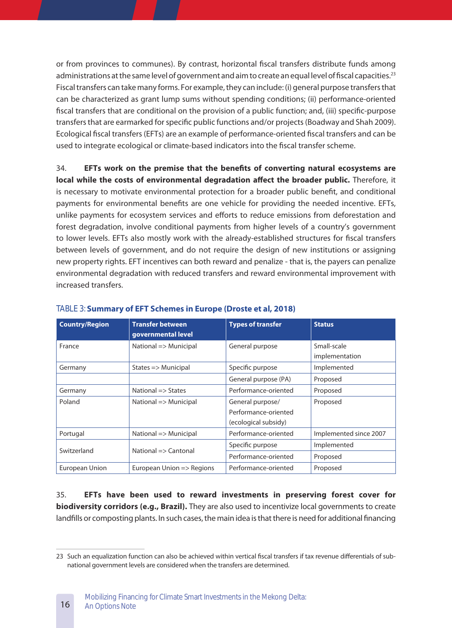or from provinces to communes). By contrast, horizontal fiscal transfers distribute funds among administrations at the same level of government and aim to create an equal level of fiscal capacities.<sup>23</sup> Fiscal transfers can take many forms. For example, they can include: (i) general purpose transfers that can be characterized as grant lump sums without spending conditions; (ii) performance-oriented fiscal transfers that are conditional on the provision of a public function; and, (iii) specific-purpose transfers that are earmarked for specific public functions and/or projects (Boadway and Shah 2009). Ecological fiscal transfers (EFTs) are an example of performance-oriented fiscal transfers and can be used to integrate ecological or climate-based indicators into the fiscal transfer scheme.

34. **EFTs work on the premise that the benefits of converting natural ecosystems are**  local while the costs of environmental degradation affect the broader public. Therefore, it is necessary to motivate environmental protection for a broader public benefit, and conditional payments for environmental benefits are one vehicle for providing the needed incentive. EFTs, unlike payments for ecosystem services and efforts to reduce emissions from deforestation and forest degradation, involve conditional payments from higher levels of a country's government to lower levels. EFTs also mostly work with the already-established structures for fiscal transfers between levels of government, and do not require the design of new institutions or assigning new property rights. EFT incentives can both reward and penalize - that is, the payers can penalize environmental degradation with reduced transfers and reward environmental improvement with increased transfers.

| <b>Country/Region</b> | <b>Transfer between</b><br>governmental level | <b>Types of transfer</b>                                         | <b>Status</b>                 |
|-----------------------|-----------------------------------------------|------------------------------------------------------------------|-------------------------------|
| France                | National => Municipal                         | General purpose                                                  | Small-scale<br>implementation |
| Germany               | States $\Rightarrow$ Municipal                | Specific purpose                                                 | Implemented                   |
|                       |                                               | General purpose (PA)                                             | Proposed                      |
| Germany               | National $\Rightarrow$ States                 | Performance-oriented                                             | Proposed                      |
| Poland                | National => Municipal                         | General purpose/<br>Performance-oriented<br>(ecological subsidy) | Proposed                      |
| Portugal              | National => Municipal                         | Performance-oriented                                             | Implemented since 2007        |
| Switzerland           | National $\Rightarrow$ Cantonal               | Specific purpose                                                 | Implemented                   |
|                       |                                               | Performance-oriented                                             | Proposed                      |
| European Union        | European Union => Regions                     | Performance-oriented                                             | Proposed                      |

#### TABLE 3: **Summary of EFT Schemes in Europe (Droste et al, 2018)**

35. **EFTs have been used to reward investments in preserving forest cover for biodiversity corridors (e.g., Brazil).** They are also used to incentivize local governments to create landfills or composting plants. In such cases, the main idea is that there is need for additional financing

16

<sup>23</sup> Such an equalization function can also be achieved within vertical fiscal transfers if tax revenue differentials of subnational government levels are considered when the transfers are determined.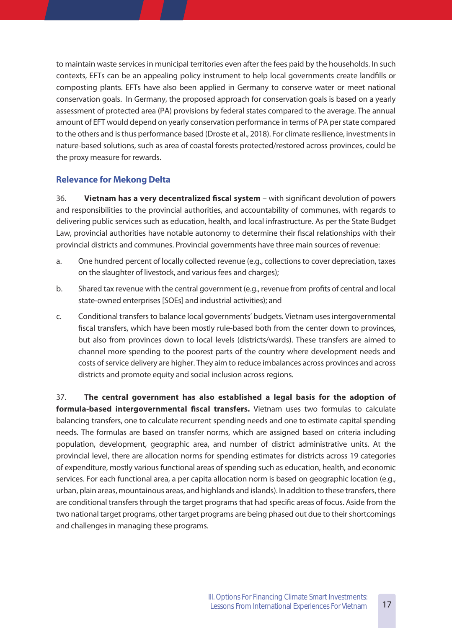to maintain waste services in municipal territories even after the fees paid by the households. In such contexts, EFTs can be an appealing policy instrument to help local governments create landfills or composting plants. EFTs have also been applied in Germany to conserve water or meet national conservation goals. In Germany, the proposed approach for conservation goals is based on a yearly assessment of protected area (PA) provisions by federal states compared to the average. The annual amount of EFT would depend on yearly conservation performance in terms of PA per state compared to the others and is thus performance based (Droste et al., 2018). For climate resilience, investments in nature-based solutions, such as area of coastal forests protected/restored across provinces, could be the proxy measure for rewards.

### **Relevance for Mekong Delta**

36. **Vietnam has a very decentralized fiscal system** – with significant devolution of powers and responsibilities to the provincial authorities, and accountability of communes, with regards to delivering public services such as education, health, and local infrastructure. As per the State Budget Law, provincial authorities have notable autonomy to determine their fiscal relationships with their provincial districts and communes. Provincial governments have three main sources of revenue:

- a. One hundred percent of locally collected revenue (e.g., collections to cover depreciation, taxes on the slaughter of livestock, and various fees and charges);
- b. Shared tax revenue with the central government (e.g., revenue from profits of central and local state-owned enterprises [SOEs] and industrial activities); and
- c. Conditional transfers to balance local governments' budgets. Vietnam uses intergovernmental fiscal transfers, which have been mostly rule-based both from the center down to provinces, but also from provinces down to local levels (districts/wards). These transfers are aimed to channel more spending to the poorest parts of the country where development needs and costs of service delivery are higher. They aim to reduce imbalances across provinces and across districts and promote equity and social inclusion across regions.

37. **The central government has also established a legal basis for the adoption of**  formula-based intergovernmental fiscal transfers. Vietnam uses two formulas to calculate balancing transfers, one to calculate recurrent spending needs and one to estimate capital spending needs. The formulas are based on transfer norms, which are assigned based on criteria including population, development, geographic area, and number of district administrative units. At the provincial level, there are allocation norms for spending estimates for districts across 19 categories of expenditure, mostly various functional areas of spending such as education, health, and economic services. For each functional area, a per capita allocation norm is based on geographic location (e.g., urban, plain areas, mountainous areas, and highlands and islands). In addition to these transfers, there are conditional transfers through the target programs that had specific areas of focus. Aside from the two national target programs, other target programs are being phased out due to their shortcomings and challenges in managing these programs.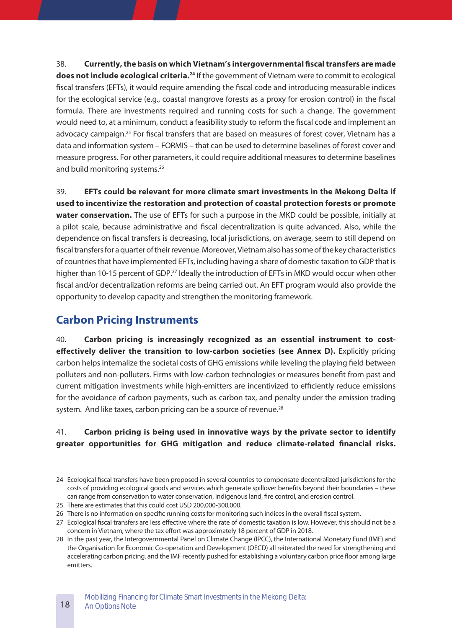38. **Currently, the basis on which Vietnam's intergovernmental fiscal transfers are made**  does not include ecological criteria.<sup>24</sup> If the government of Vietnam were to commit to ecological fiscal transfers (EFTs), it would require amending the fiscal code and introducing measurable indices for the ecological service (e.g., coastal mangrove forests as a proxy for erosion control) in the fiscal formula. There are investments required and running costs for such a change. The government would need to, at a minimum, conduct a feasibility study to reform the fiscal code and implement an advocacy campaign.<sup>25</sup> For fiscal transfers that are based on measures of forest cover, Vietnam has a data and information system – FORMIS – that can be used to determine baselines of forest cover and measure progress. For other parameters, it could require additional measures to determine baselines and build monitoring systems.<sup>26</sup>

39. **EFTs could be relevant for more climate smart investments in the Mekong Delta if used to incentivize the restoration and protection of coastal protection forests or promote**  water conservation. The use of EFTs for such a purpose in the MKD could be possible, initially at a pilot scale, because administrative and fiscal decentralization is quite advanced. Also, while the dependence on fiscal transfers is decreasing, local jurisdictions, on average, seem to still depend on fiscal transfers for a quarter of their revenue. Moreover, Vietnam also has some of the key characteristics of countries that have implemented EFTs, including having a share of domestic taxation to GDP that is higher than 10-15 percent of GDP.<sup>27</sup> Ideally the introduction of EFTs in MKD would occur when other fiscal and/or decentralization reforms are being carried out. An EFT program would also provide the opportunity to develop capacity and strengthen the monitoring framework.

## **Carbon Pricing Instruments**

40. **Carbon pricing is increasingly recognized as an essential instrument to costeffectively deliver the transition to low-carbon societies (see Annex D).** Explicitly pricing carbon helps internalize the societal costs of GHG emissions while leveling the playing field between polluters and non-polluters. Firms with low-carbon technologies or measures benefit from past and current mitigation investments while high-emitters are incentivized to efficiently reduce emissions for the avoidance of carbon payments, such as carbon tax, and penalty under the emission trading system. And like taxes, carbon pricing can be a source of revenue.<sup>28</sup>

### 41. **Carbon pricing is being used in innovative ways by the private sector to identify**  greater opportunities for GHG mitigation and reduce climate-related financial risks.

18

<sup>24</sup> Ecological fiscal transfers have been proposed in several countries to compensate decentralized jurisdictions for the costs of providing ecological goods and services which generate spillover benefits beyond their boundaries – these can range from conservation to water conservation, indigenous land, fire control, and erosion control.

<sup>25</sup> There are estimates that this could cost USD 200,000-300,000.

<sup>26</sup> There is no information on specific running costs for monitoring such indices in the overall fiscal system.

<sup>27</sup> Ecological fiscal transfers are less effective where the rate of domestic taxation is low. However, this should not be a concern in Vietnam, where the tax effort was approximately 18 percent of GDP in 2018.

<sup>28</sup> In the past year, the Intergovernmental Panel on Climate Change (IPCC), the International Monetary Fund (IMF) and the Organisation for Economic Co-operation and Development (OECD) all reiterated the need for strengthening and accelerating carbon pricing, and the IMF recently pushed for establishing a voluntary carbon price floor among large emitters.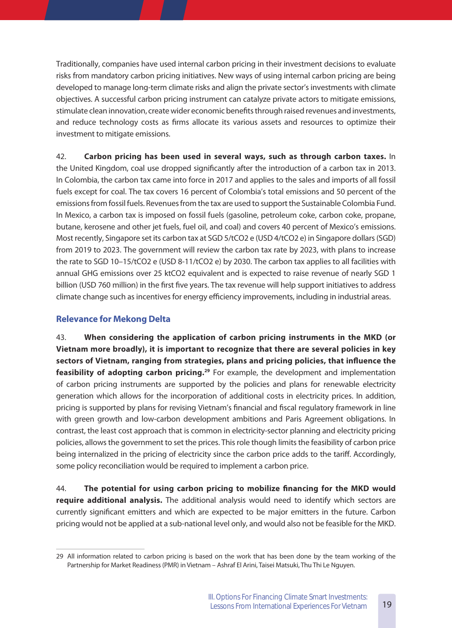Traditionally, companies have used internal carbon pricing in their investment decisions to evaluate risks from mandatory carbon pricing initiatives. New ways of using internal carbon pricing are being developed to manage long-term climate risks and align the private sector's investments with climate objectives. A successful carbon pricing instrument can catalyze private actors to mitigate emissions, stimulate clean innovation, create wider economic benefits through raised revenues and investments, and reduce technology costs as firms allocate its various assets and resources to optimize their investment to mitigate emissions.

42. **Carbon pricing has been used in several ways, such as through carbon taxes.** In the United Kingdom, coal use dropped significantly after the introduction of a carbon tax in 2013. In Colombia, the carbon tax came into force in 2017 and applies to the sales and imports of all fossil fuels except for coal. The tax covers 16 percent of Colombia's total emissions and 50 percent of the emissions from fossil fuels. Revenues from the tax are used to support the Sustainable Colombia Fund. In Mexico, a carbon tax is imposed on fossil fuels (gasoline, petroleum coke, carbon coke, propane, butane, kerosene and other jet fuels, fuel oil, and coal) and covers 40 percent of Mexico's emissions. Most recently, Singapore set its carbon tax at SGD 5/tCO2 e (USD 4/tCO2 e) in Singapore dollars (SGD) from 2019 to 2023. The government will review the carbon tax rate by 2023, with plans to increase the rate to SGD 10–15/tCO2 e (USD 8-11/tCO2 e) by 2030. The carbon tax applies to all facilities with annual GHG emissions over 25 ktCO2 equivalent and is expected to raise revenue of nearly SGD 1 billion (USD 760 million) in the first five years. The tax revenue will help support initiatives to address climate change such as incentives for energy efficiency improvements, including in industrial areas.

#### **Relevance for Mekong Delta**

43. **When considering the application of carbon pricing instruments in the MKD (or Vietnam more broadly), it is important to recognize that there are several policies in key sectors of Vietnam, ranging from strategies, plans and pricing policies, that influence the**  feasibility of adopting carbon pricing.<sup>29</sup> For example, the development and implementation of carbon pricing instruments are supported by the policies and plans for renewable electricity generation which allows for the incorporation of additional costs in electricity prices. In addition, pricing is supported by plans for revising Vietnam's financial and fiscal regulatory framework in line with green growth and low-carbon development ambitions and Paris Agreement obligations. In contrast, the least cost approach that is common in electricity-sector planning and electricity pricing policies, allows the government to set the prices. This role though limits the feasibility of carbon price being internalized in the pricing of electricity since the carbon price adds to the tariff. Accordingly, some policy reconciliation would be required to implement a carbon price.

44. **The potential for using carbon pricing to mobilize financing for the MKD would**  require additional analysis. The additional analysis would need to identify which sectors are currently significant emitters and which are expected to be major emitters in the future. Carbon pricing would not be applied at a sub-national level only, and would also not be feasible for the MKD.

<sup>29</sup> All information related to carbon pricing is based on the work that has been done by the team working of the Partnership for Market Readiness (PMR) in Vietnam – Ashraf El Arini, Taisei Matsuki, Thu Thi Le Nguyen.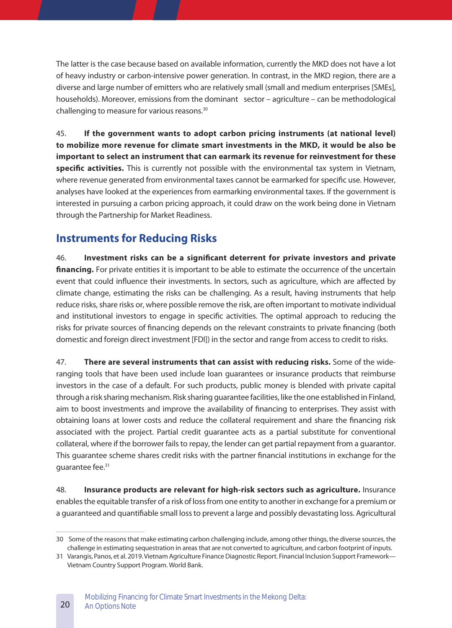The latter is the case because based on available information, currently the MKD does not have a lot of heavy industry or carbon-intensive power generation. In contrast, in the MKD region, there are a diverse and large number of emitters who are relatively small (small and medium enterprises [SMEs], households). Moreover, emissions from the dominant sector – agriculture – can be methodological challenging to measure for various reasons.30

45. **If the government wants to adopt carbon pricing instruments (at national level) to mobilize more revenue for climate smart investments in the MKD, it would be also be important to select an instrument that can earmark its revenue for reinvestment for these**  specific activities. This is currently not possible with the environmental tax system in Vietnam, where revenue generated from environmental taxes cannot be earmarked for specific use. However, analyses have looked at the experiences from earmarking environmental taxes. If the government is interested in pursuing a carbon pricing approach, it could draw on the work being done in Vietnam through the Partnership for Market Readiness.

# **Instruments for Reducing Risks**

46. **Investment risks can be a significant deterrent for private investors and private financing.** For private entities it is important to be able to estimate the occurrence of the uncertain event that could influence their investments. In sectors, such as agriculture, which are affected by climate change, estimating the risks can be challenging. As a result, having instruments that help reduce risks, share risks or, where possible remove the risk, are often important to motivate individual and institutional investors to engage in specific activities. The optimal approach to reducing the risks for private sources of financing depends on the relevant constraints to private financing (both domestic and foreign direct investment [FDI]) in the sector and range from access to credit to risks.

47. **There are several instruments that can assist with reducing risks.** Some of the wideranging tools that have been used include loan guarantees or insurance products that reimburse investors in the case of a default. For such products, public money is blended with private capital through a risk sharing mechanism. Risk sharing guarantee facilities, like the one established in Finland, aim to boost investments and improve the availability of financing to enterprises. They assist with obtaining loans at lower costs and reduce the collateral requirement and share the financing risk associated with the project. Partial credit guarantee acts as a partial substitute for conventional collateral, where if the borrower fails to repay, the lender can get partial repayment from a guarantor. This guarantee scheme shares credit risks with the partner financial institutions in exchange for the guarantee fee.<sup>31</sup>

48. **Insurance products are relevant for high-risk sectors such as agriculture.** Insurance enables the equitable transfer of a risk of loss from one entity to another in exchange for a premium or a guaranteed and quantifiable small loss to prevent a large and possibly devastating loss. Agricultural

<sup>30</sup> Some of the reasons that make estimating carbon challenging include, among other things, the diverse sources, the challenge in estimating sequestration in areas that are not converted to agriculture, and carbon footprint of inputs.

<sup>31</sup> Varangis, Panos, et al. 2019. Vietnam Agriculture Finance Diagnostic Report. Financial Inclusion Support Framework— Vietnam Country Support Program. World Bank.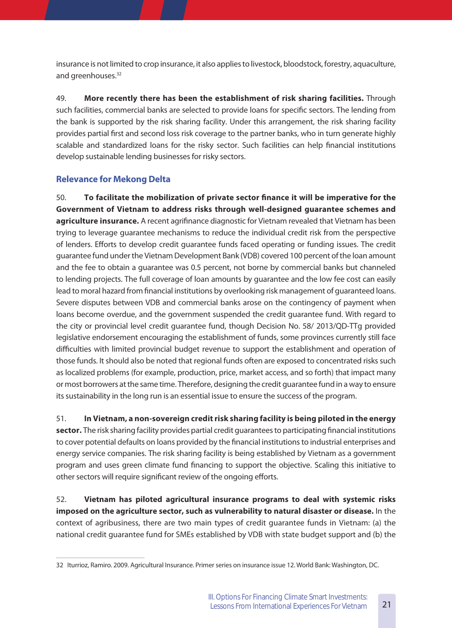insurance is not limited to crop insurance, it also applies to livestock, bloodstock, forestry, aquaculture, and greenhouses.<sup>32</sup>

49. **More recently there has been the establishment of risk sharing facilities.** Through such facilities, commercial banks are selected to provide loans for specific sectors. The lending from the bank is supported by the risk sharing facility. Under this arrangement, the risk sharing facility provides partial first and second loss risk coverage to the partner banks, who in turn generate highly scalable and standardized loans for the risky sector. Such facilities can help financial institutions develop sustainable lending businesses for risky sectors.

### **Relevance for Mekong Delta**

50. **To facilitate the mobilization of private sector finance it will be imperative for the Government of Vietnam to address risks through well-designed guarantee schemes and**  agriculture insurance. A recent agrifinance diagnostic for Vietnam revealed that Vietnam has been trying to leverage guarantee mechanisms to reduce the individual credit risk from the perspective of lenders. Efforts to develop credit guarantee funds faced operating or funding issues. The credit guarantee fund under the Vietnam Development Bank (VDB) covered 100 percent of the loan amount and the fee to obtain a guarantee was 0.5 percent, not borne by commercial banks but channeled to lending projects. The full coverage of loan amounts by guarantee and the low fee cost can easily lead to moral hazard from financial institutions by overlooking risk management of guaranteed loans. Severe disputes between VDB and commercial banks arose on the contingency of payment when loans become overdue, and the government suspended the credit guarantee fund. With regard to the city or provincial level credit guarantee fund, though Decision No. 58/ 2013/QD-TTg provided legislative endorsement encouraging the establishment of funds, some provinces currently still face difficulties with limited provincial budget revenue to support the establishment and operation of those funds. It should also be noted that regional funds often are exposed to concentrated risks such as localized problems (for example, production, price, market access, and so forth) that impact many or most borrowers at the same time. Therefore, designing the credit guarantee fund in a way to ensure its sustainability in the long run is an essential issue to ensure the success of the program.

51. **In Vietnam, a non-sovereign credit risk sharing facility is being piloted in the energy sector.** The risk sharing facility provides partial credit guarantees to participating financial institutions to cover potential defaults on loans provided by the financial institutions to industrial enterprises and energy service companies. The risk sharing facility is being established by Vietnam as a government program and uses green climate fund financing to support the objective. Scaling this initiative to other sectors will require significant review of the ongoing efforts.

52. **Vietnam has piloted agricultural insurance programs to deal with systemic risks imposed on the agriculture sector, such as vulnerability to natural disaster or disease.** In the context of agribusiness, there are two main types of credit guarantee funds in Vietnam: (a) the national credit guarantee fund for SMEs established by VDB with state budget support and (b) the

<sup>32</sup> Iturrioz, Ramiro. 2009. Agricultural Insurance. Primer series on insurance issue 12. World Bank: Washington, DC.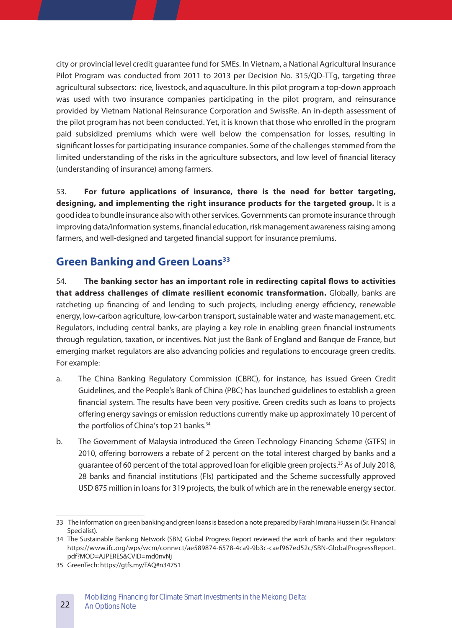city or provincial level credit guarantee fund for SMEs. In Vietnam, a National Agricultural Insurance Pilot Program was conducted from 2011 to 2013 per Decision No. 315/QD-TTg, targeting three agricultural subsectors: rice, livestock, and aquaculture. In this pilot program a top-down approach was used with two insurance companies participating in the pilot program, and reinsurance provided by Vietnam National Reinsurance Corporation and SwissRe. An in-depth assessment of the pilot program has not been conducted. Yet, it is known that those who enrolled in the program paid subsidized premiums which were well below the compensation for losses, resulting in significant losses for participating insurance companies. Some of the challenges stemmed from the limited understanding of the risks in the agriculture subsectors, and low level of financial literacy (understanding of insurance) among farmers.

53. **For future applications of insurance, there is the need for better targeting, designing, and implementing the right insurance products for the targeted group.** It is a good idea to bundle insurance also with other services. Governments can promote insurance through improving data/information systems, financial education, risk management awareness raising among farmers, and well-designed and targeted financial support for insurance premiums.

## **Green Banking and Green Loans**<sup>33</sup>

54. **The banking sector has an important role in redirecting capital flows to activities that address challenges of climate resilient economic transformation�** Globally, banks are ratcheting up financing of and lending to such projects, including energy efficiency, renewable energy, low-carbon agriculture, low-carbon transport, sustainable water and waste management, etc. Regulators, including central banks, are playing a key role in enabling green financial instruments through regulation, taxation, or incentives. Not just the Bank of England and Banque de France, but emerging market regulators are also advancing policies and regulations to encourage green credits. For example:

- a. The China Banking Regulatory Commission (CBRC), for instance, has issued Green Credit Guidelines, and the People's Bank of China (PBC) has launched guidelines to establish a green financial system. The results have been very positive. Green credits such as loans to projects offering energy savings or emission reductions currently make up approximately 10 percent of the portfolios of China's top 21 banks.<sup>34</sup>
- b. The Government of Malaysia introduced the Green Technology Financing Scheme (GTFS) in 2010, offering borrowers a rebate of 2 percent on the total interest charged by banks and a guarantee of 60 percent of the total approved loan for eligible green projects.<sup>35</sup> As of July 2018, 28 banks and financial institutions (FIs) participated and the Scheme successfully approved USD 875 million in loans for 319 projects, the bulk of which are in the renewable energy sector.

<sup>33</sup> The information on green banking and green loans is based on a note prepared by Farah Imrana Hussein (Sr. Financial Specialist).

<sup>34</sup> The Sustainable Banking Network (SBN) Global Progress Report reviewed the work of banks and their regulators: https://www.ifc.org/wps/wcm/connect/ae589874-6578-4ca9-9b3c-caef967ed52c/SBN-GlobalProgressReport. pdf?MOD=AJPERES&CVID=md0nvNj

<sup>35</sup> GreenTech: https://gtfs.my/FAQ#n34751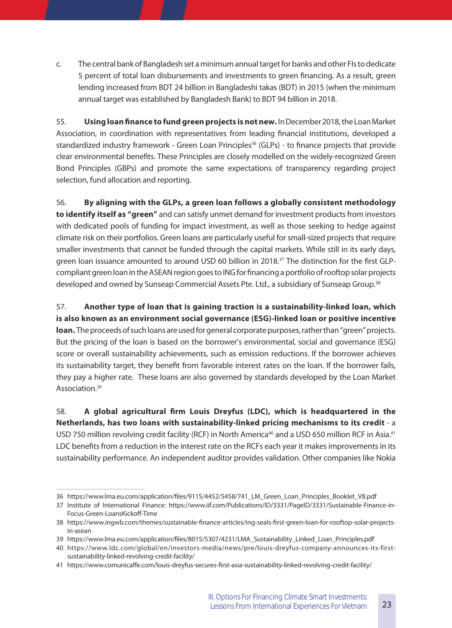c. The central bank of Bangladesh set a minimum annual target for banks and other FIs to dedicate 5 percent of total loan disbursements and investments to green financing. As a result, green lending increased from BDT 24 billion in Bangladeshi takas (BDT) in 2015 (when the minimum annual target was established by Bangladesh Bank) to BDT 94 billion in 2018.

55. **Using loan finance to fund green projects is not new�** In December 2018, the Loan Market Association, in coordination with representatives from leading financial institutions, developed a standardized industry framework - Green Loan Principles<sup>36</sup> (GLPs) - to finance projects that provide clear environmental benefits. These Principles are closely modelled on the widely-recognized Green Bond Principles (GBPs) and promote the same expectations of transparency regarding project selection, fund allocation and reporting.

56. **By aligning with the GLPs, a green loan follows a globally consistent methodology to identify itself as "green"** and can satisfy unmet demand for investment products from investors with dedicated pools of funding for impact investment, as well as those seeking to hedge against climate risk on their portfolios. Green loans are particularly useful for small-sized projects that require smaller investments that cannot be funded through the capital markets. While still in its early days, green loan issuance amounted to around USD 60 billion in 2018.<sup>37</sup> The distinction for the first GLPcompliant green loan in the ASEAN region goes to ING for financing a portfolio of rooftop solar projects developed and owned by Sunseap Commercial Assets Pte. Ltd., a subsidiary of Sunseap Group.38

57. **Another type of loan that is gaining traction is a sustainability-linked loan, which is also known as an environment social governance (ESG)-linked loan or positive incentive**  loan. The proceeds of such loans are used for general corporate purposes, rather than "green" projects. But the pricing of the loan is based on the borrower's environmental, social and governance (ESG) score or overall sustainability achievements, such as emission reductions. If the borrower achieves its sustainability target, they benefit from favorable interest rates on the loan. If the borrower fails, they pay a higher rate. These loans are also governed by standards developed by the Loan Market Association.39

58. **A global agricultural firm Louis Dreyfus (LDC), which is headquartered in the Netherlands, has two loans with sustainability-linked pricing mechanisms to its credit** - a USD 750 million revolving credit facility (RCF) in North America<sup>40</sup> and a USD 650 million RCF in Asia.<sup>41</sup> LDC benefits from a reduction in the interest rate on the RCFs each year it makes improvements in its sustainability performance. An independent auditor provides validation. Other companies like Nokia

<sup>36</sup> https://www.lma.eu.com/application/files/9115/4452/5458/741\_LM\_Green\_Loan\_Principles\_Booklet\_V8.pdf

<sup>37</sup> Institute of International Finance: https://www.iif.com/Publications/ID/3331/PageID/3331/Sustainable-Finance-in-Focus-Green-LoansKickoff-Time

<sup>38</sup> https://www.ingwb.com/themes/sustainable-finance-articles/ing-seals-first-green-loan-for-rooftop-solar-projectsin-asean

<sup>39</sup> https://www.lma.eu.com/application/files/8015/5307/4231/LMA\_Sustainability\_Linked\_Loan\_Principles.pdf

<sup>40</sup> https://www.ldc.com/global/en/investors-media/news/pre/louis-dreyfus-company-announces-its-firstsustainability-linked-revolving-credit-facility/

<sup>41</sup> https://www.comunicaffe.com/louis-dreyfus-secures-first-asia-sustainability-linked-revolving-credit-facility/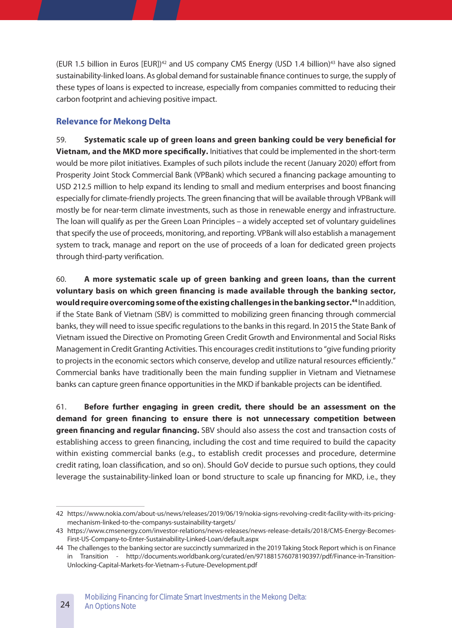(EUR 1.5 billion in Euros [EUR])<sup>42</sup> and US company CMS Energy (USD 1.4 billion)<sup>43</sup> have also signed sustainability-linked loans. As global demand for sustainable finance continues to surge, the supply of these types of loans is expected to increase, especially from companies committed to reducing their carbon footprint and achieving positive impact.

#### **Relevance for Mekong Delta**

59. **Systematic scale up of green loans and green banking could be very beneficial for Vietnam, and the MKD more specifically.** Initiatives that could be implemented in the short-term would be more pilot initiatives. Examples of such pilots include the recent (January 2020) effort from Prosperity Joint Stock Commercial Bank (VPBank) which secured a financing package amounting to USD 212.5 million to help expand its lending to small and medium enterprises and boost financing especially for climate-friendly projects. The green financing that will be available through VPBank will mostly be for near-term climate investments, such as those in renewable energy and infrastructure. The loan will qualify as per the Green Loan Principles – a widely accepted set of voluntary guidelines that specify the use of proceeds, monitoring, and reporting. VPBank will also establish a management system to track, manage and report on the use of proceeds of a loan for dedicated green projects through third-party verification.

60. **A more systematic scale up of green banking and green loans, than the current voluntary basis on which green financing is made available through the banking sector, would require overcoming some of the existing challenges in the banking sector.<sup>44</sup> In addition,** if the State Bank of Vietnam (SBV) is committed to mobilizing green financing through commercial banks, they will need to issue specific regulations to the banks in this regard. In 2015 the State Bank of Vietnam issued the Directive on Promoting Green Credit Growth and Environmental and Social Risks Management in Credit Granting Activities. This encourages credit institutions to "give funding priority to projects in the economic sectors which conserve, develop and utilize natural resources efficiently." Commercial banks have traditionally been the main funding supplier in Vietnam and Vietnamese banks can capture green finance opportunities in the MKD if bankable projects can be identified.

61. **Before further engaging in green credit, there should be an assessment on the demand for green financing to ensure there is not unnecessary competition between green financing and regular financing�** SBV should also assess the cost and transaction costs of establishing access to green financing, including the cost and time required to build the capacity within existing commercial banks (e.g., to establish credit processes and procedure, determine credit rating, loan classification, and so on). Should GoV decide to pursue such options, they could leverage the sustainability-linked loan or bond structure to scale up financing for MKD, i.e., they

<sup>42</sup> https://www.nokia.com/about-us/news/releases/2019/06/19/nokia-signs-revolving-credit-facility-with-its-pricingmechanism-linked-to-the-companys-sustainability-targets/

<sup>43</sup> https://www.cmsenergy.com/investor-relations/news-releases/news-release-details/2018/CMS-Energy-Becomes-First-US-Company-to-Enter-Sustainability-Linked-Loan/default.aspx

<sup>44</sup> The challenges to the banking sector are succinctly summarized in the 2019 Taking Stock Report which is on Finance in Transition - http://documents.worldbank.org/curated/en/971881576078190397/pdf/Finance-in-Transition-Unlocking-Capital-Markets-for-Vietnam-s-Future-Development.pdf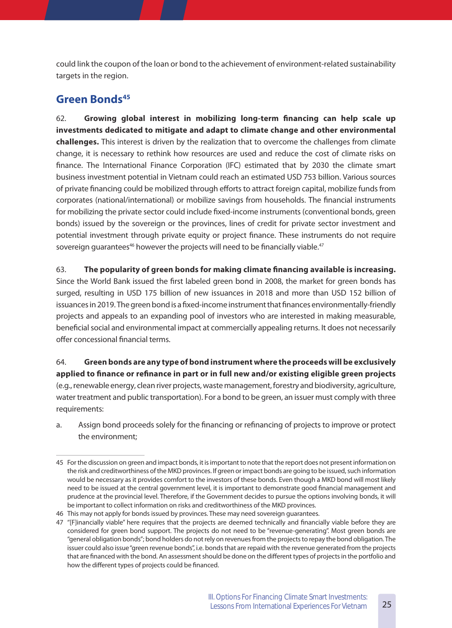could link the coupon of the loan or bond to the achievement of environment-related sustainability targets in the region.

### **Green Bonds45**

62. **Growing global interest in mobilizing long-term financing can help scale up investments dedicated to mitigate and adapt to climate change and other environmental challenges�** This interest is driven by the realization that to overcome the challenges from climate change, it is necessary to rethink how resources are used and reduce the cost of climate risks on finance. The International Finance Corporation (IFC) estimated that by 2030 the climate smart business investment potential in Vietnam could reach an estimated USD 753 billion. Various sources of private financing could be mobilized through efforts to attract foreign capital, mobilize funds from corporates (national/international) or mobilize savings from households. The financial instruments for mobilizing the private sector could include fixed-income instruments (conventional bonds, green bonds) issued by the sovereign or the provinces, lines of credit for private sector investment and potential investment through private equity or project finance. These instruments do not require sovereign guarantees<sup>46</sup> however the projects will need to be financially viable.<sup>47</sup>

63. **The popularity of green bonds for making climate financing available is increasing�** Since the World Bank issued the first labeled green bond in 2008, the market for green bonds has surged, resulting in USD 175 billion of new issuances in 2018 and more than USD 152 billion of issuances in 2019. The green bond is a fixed-income instrument that finances environmentally-friendly projects and appeals to an expanding pool of investors who are interested in making measurable, beneficial social and environmental impact at commercially appealing returns. It does not necessarily offer concessional financial terms.

64. **Green bonds are any type of bond instrument where the proceeds will be exclusively applied to finance or refinance in part or in full new and/or existing eligible green projects** (e.g., renewable energy, clean river projects, waste management, forestry and biodiversity, agriculture, water treatment and public transportation). For a bond to be green, an issuer must comply with three requirements:

a. Assign bond proceeds solely for the financing or refinancing of projects to improve or protect the environment;

<sup>45</sup> For the discussion on green and impact bonds, it is important to note that the report does not present information on the risk and creditworthiness of the MKD provinces. If green or impact bonds are going to be issued, such information would be necessary as it provides comfort to the investors of these bonds. Even though a MKD bond will most likely need to be issued at the central government level, it is important to demonstrate good financial management and prudence at the provincial level. Therefore, if the Government decides to pursue the options involving bonds, it will be important to collect information on risks and creditworthiness of the MKD provinces.

<sup>46</sup> This may not apply for bonds issued by provinces. These may need sovereign guarantees.

<sup>47</sup> "[F]inancially viable" here requires that the projects are deemed technically and financially viable before they are considered for green bond support. The projects do not need to be "revenue-generating". Most green bonds are "general obligation bonds"; bond holders do not rely on revenues from the projects to repay the bond obligation. The issuer could also issue "green revenue bonds", i.e. bonds that are repaid with the revenue generated from the projects that are financed with the bond. An assessment should be done on the different types of projects in the portfolio and how the different types of projects could be financed.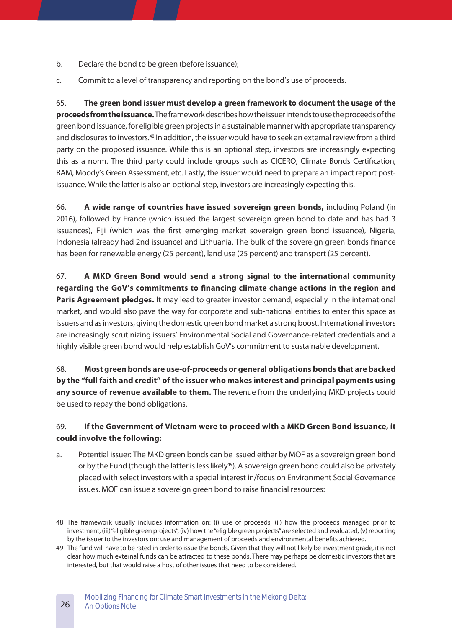- b. Declare the bond to be green (before issuance);
- c. Commit to a level of transparency and reporting on the bond's use of proceeds.

65. **The green bond issuer must develop a green framework to document the usage of the proceeds from the issuance�**The framework describes how the issuer intends to use the proceeds of the green bond issuance, for eligible green projects in a sustainable manner with appropriate transparency and disclosures to investors.48 In addition, the issuer would have to seek an external review from a third party on the proposed issuance. While this is an optional step, investors are increasingly expecting this as a norm. The third party could include groups such as CICERO, Climate Bonds Certification, RAM, Moody's Green Assessment, etc. Lastly, the issuer would need to prepare an impact report postissuance. While the latter is also an optional step, investors are increasingly expecting this.

66. **A wide range of countries have issued sovereign green bonds,** including Poland (in 2016), followed by France (which issued the largest sovereign green bond to date and has had 3 issuances), Fiji (which was the first emerging market sovereign green bond issuance), Nigeria, Indonesia (already had 2nd issuance) and Lithuania. The bulk of the sovereign green bonds finance has been for renewable energy (25 percent), land use (25 percent) and transport (25 percent).

67. **A MKD Green Bond would send a strong signal to the international community regarding the GoV's commitments to financing climate change actions in the region and**  Paris Agreement pledges. It may lead to greater investor demand, especially in the international market, and would also pave the way for corporate and sub-national entities to enter this space as issuers and as investors, giving the domestic green bond market a strong boost. International investors are increasingly scrutinizing issuers' Environmental Social and Governance-related credentials and a highly visible green bond would help establish GoV's commitment to sustainable development.

68. **Most green bonds are use-of-proceeds or general obligations bonds that are backed by the "full faith and credit" of the issuer who makes interest and principal payments using**  any source of revenue available to them. The revenue from the underlying MKD projects could be used to repay the bond obligations.

#### 69. **If the Government of Vietnam were to proceed with a MKD Green Bond issuance, it could involve the following:**

a. Potential issuer: The MKD green bonds can be issued either by MOF as a sovereign green bond or by the Fund (though the latter is less likely<sup>49</sup>). A sovereign green bond could also be privately placed with select investors with a special interest in/focus on Environment Social Governance issues. MOF can issue a sovereign green bond to raise financial resources:

<sup>48</sup> The framework usually includes information on: (i) use of proceeds, (ii) how the proceeds managed prior to investment, (iii) "eligible green projects", (iv) how the "eligible green projects" are selected and evaluated, (v) reporting by the issuer to the investors on: use and management of proceeds and environmental benefits achieved.

<sup>49</sup> The fund will have to be rated in order to issue the bonds. Given that they will not likely be investment grade, it is not clear how much external funds can be attracted to these bonds. There may perhaps be domestic investors that are interested, but that would raise a host of other issues that need to be considered.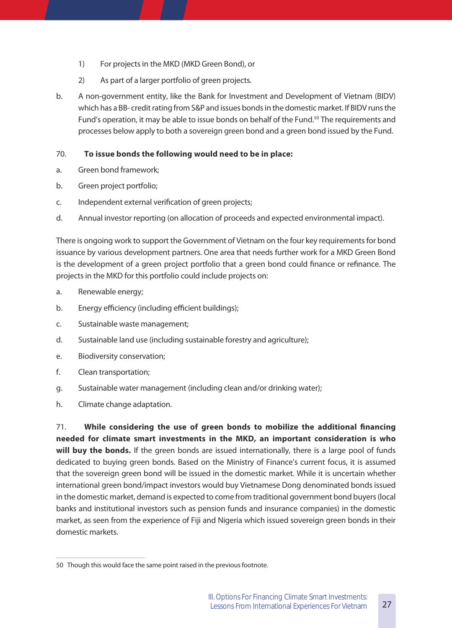- 1) For projects in the MKD (MKD Green Bond), or
- 2) As part of a larger portfolio of green projects.
- b. A non-government entity, like the Bank for Investment and Development of Vietnam (BIDV) which has a BB- credit rating from S&P and issues bonds in the domestic market. If BIDV runs the Fund's operation, it may be able to issue bonds on behalf of the Fund.<sup>50</sup> The requirements and processes below apply to both a sovereign green bond and a green bond issued by the Fund.

#### 70. **To issue bonds the following would need to be in place:**

- a. Green bond framework;
- b. Green project portfolio;
- c. Independent external verification of green projects;
- d. Annual investor reporting (on allocation of proceeds and expected environmental impact).

There is ongoing work to support the Government of Vietnam on the four key requirements for bond issuance by various development partners. One area that needs further work for a MKD Green Bond is the development of a green project portfolio that a green bond could finance or refinance. The projects in the MKD for this portfolio could include projects on:

- a. Renewable energy;
- b. Energy efficiency (including efficient buildings);
- c. Sustainable waste management;
- d. Sustainable land use (including sustainable forestry and agriculture);
- e. Biodiversity conservation;
- f. Clean transportation;
- g. Sustainable water management (including clean and/or drinking water);
- h. Climate change adaptation.

71. **While considering the use of green bonds to mobilize the additional financing needed for climate smart investments in the MKD, an important consideration is who**  will buy the bonds. If the green bonds are issued internationally, there is a large pool of funds dedicated to buying green bonds. Based on the Ministry of Finance's current focus, it is assumed that the sovereign green bond will be issued in the domestic market. While it is uncertain whether international green bond/impact investors would buy Vietnamese Dong denominated bonds issued in the domestic market, demand is expected to come from traditional government bond buyers (local banks and institutional investors such as pension funds and insurance companies) in the domestic market, as seen from the experience of Fiji and Nigeria which issued sovereign green bonds in their domestic markets.

<sup>50</sup> Though this would face the same point raised in the previous footnote.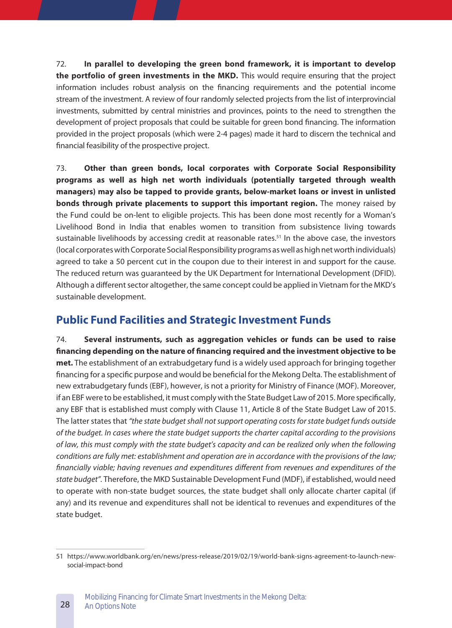72. **In parallel to developing the green bond framework, it is important to develop the portfolio of green investments in the MKD.** This would require ensuring that the project information includes robust analysis on the financing requirements and the potential income stream of the investment. A review of four randomly selected projects from the list of interprovincial investments, submitted by central ministries and provinces, points to the need to strengthen the development of project proposals that could be suitable for green bond financing. The information provided in the project proposals (which were 2-4 pages) made it hard to discern the technical and financial feasibility of the prospective project.

73. **Other than green bonds, local corporates with Corporate Social Responsibility programs as well as high net worth individuals (potentially targeted through wealth managers) may also be tapped to provide grants, below-market loans or invest in unlisted bonds through private placements to support this important region.** The money raised by the Fund could be on-lent to eligible projects. This has been done most recently for a Woman's Livelihood Bond in India that enables women to transition from subsistence living towards sustainable livelihoods by accessing credit at reasonable rates.<sup>51</sup> In the above case, the investors (local corporates with Corporate Social Responsibility programs as well as high net worth individuals) agreed to take a 50 percent cut in the coupon due to their interest in and support for the cause. The reduced return was guaranteed by the UK Department for International Development (DFID). Although a different sector altogether, the same concept could be applied in Vietnam for the MKD's sustainable development.

## **Public Fund Facilities and Strategic Investment Funds**

74. **Several instruments, such as aggregation vehicles or funds can be used to raise financing depending on the nature of financing required and the investment objective to be met.** The establishment of an extrabudgetary fund is a widely used approach for bringing together financing for a specific purpose and would be beneficial for the Mekong Delta. The establishment of new extrabudgetary funds (EBF), however, is not a priority for Ministry of Finance (MOF). Moreover, if an EBF were to be established, it must comply with the State Budget Law of 2015. More specifically, any EBF that is established must comply with Clause 11, Article 8 of the State Budget Law of 2015. The latter states that *"the state budget shall not support operating costs for state budget funds outside of the budget. In cases where the state budget supports the charter capital according to the provisions of law, this must comply with the state budget's capacity and can be realized only when the following conditions are fully met: establishment and operation are in accordance with the provisions of the law; financially viable; having revenues and expenditures different from revenues and expenditures of the state budget".* Therefore, the MKD Sustainable Development Fund (MDF), if established, would need to operate with non-state budget sources, the state budget shall only allocate charter capital (if any) and its revenue and expenditures shall not be identical to revenues and expenditures of the state budget.

<sup>51</sup> https://www.worldbank.org/en/news/press-release/2019/02/19/world-bank-signs-agreement-to-launch-newsocial-impact-bond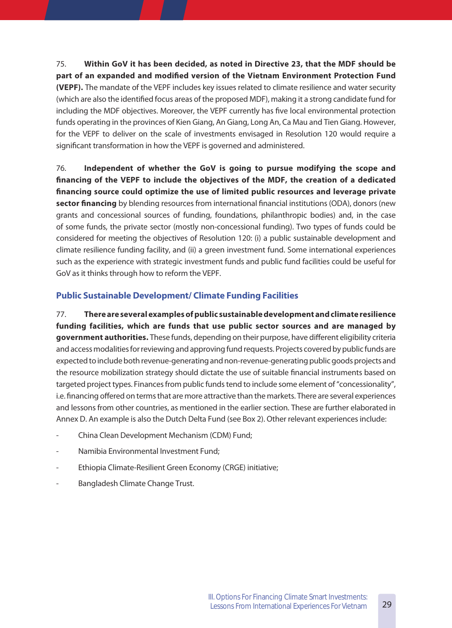75. **Within GoV it has been decided, as noted in Directive 23, that the MDF should be part of an expanded and modified version of the Vietnam Environment Protection Fund (VEPF).** The mandate of the VEPF includes key issues related to climate resilience and water security (which are also the identified focus areas of the proposed MDF), making it a strong candidate fund for including the MDF objectives. Moreover, the VEPF currently has five local environmental protection funds operating in the provinces of Kien Giang, An Giang, Long An, Ca Mau and Tien Giang. However, for the VEPF to deliver on the scale of investments envisaged in Resolution 120 would require a significant transformation in how the VEPF is governed and administered.

76. **Independent of whether the GoV is going to pursue modifying the scope and financing of the VEPF to include the objectives of the MDF, the creation of a dedicated financing source could optimize the use of limited public resources and leverage private sector financing** by blending resources from international financial institutions (ODA), donors (new grants and concessional sources of funding, foundations, philanthropic bodies) and, in the case of some funds, the private sector (mostly non-concessional funding). Two types of funds could be considered for meeting the objectives of Resolution 120: (i) a public sustainable development and climate resilience funding facility, and (ii) a green investment fund. Some international experiences such as the experience with strategic investment funds and public fund facilities could be useful for GoV as it thinks through how to reform the VEPF.

#### **Public Sustainable Development/ Climate Funding Facilities**

77. **There are several examples of public sustainable development and climate resilience funding facilities, which are funds that use public sector sources and are managed by government authorities�** These funds, depending on their purpose, have different eligibility criteria and access modalities for reviewing and approving fund requests. Projects covered by public funds are expected to include both revenue-generating and non-revenue-generating public goods projects and the resource mobilization strategy should dictate the use of suitable financial instruments based on targeted project types. Finances from public funds tend to include some element of "concessionality", i.e. financing offered on terms that are more attractive than the markets. There are several experiences and lessons from other countries, as mentioned in the earlier section. These are further elaborated in Annex D. An example is also the Dutch Delta Fund (see Box 2). Other relevant experiences include:

- China Clean Development Mechanism (CDM) Fund;
- Namibia Environmental Investment Fund;
- Ethiopia Climate-Resilient Green Economy (CRGE) initiative;
- Bangladesh Climate Change Trust.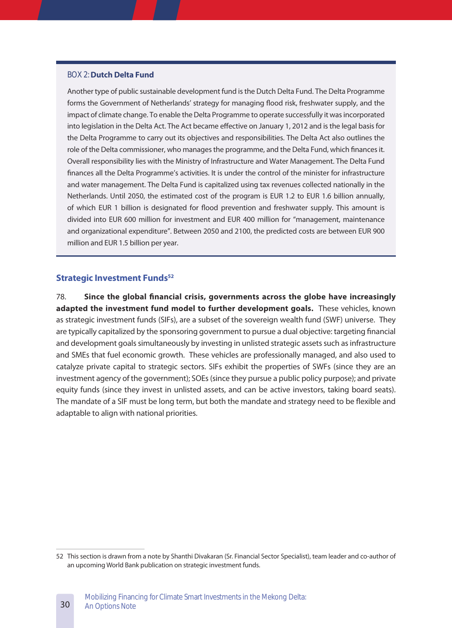#### BOX 2: **Dutch Delta Fund**

Another type of public sustainable development fund is the Dutch Delta Fund. The Delta Programme forms the Government of Netherlands' strategy for managing flood risk, freshwater supply, and the impact of climate change. To enable the Delta Programme to operate successfully it was incorporated into legislation in the Delta Act. The Act became effective on January 1, 2012 and is the legal basis for the Delta Programme to carry out its objectives and responsibilities. The Delta Act also outlines the role of the Delta commissioner, who manages the programme, and the Delta Fund, which finances it. Overall responsibility lies with the Ministry of Infrastructure and Water Management. The Delta Fund finances all the Delta Programme's activities. It is under the control of the minister for infrastructure and water management. The Delta Fund is capitalized using tax revenues collected nationally in the Netherlands. Until 2050, the estimated cost of the program is EUR 1.2 to EUR 1.6 billion annually, of which EUR 1 billion is designated for flood prevention and freshwater supply. This amount is divided into EUR 600 million for investment and EUR 400 million for "management, maintenance and organizational expenditure". Between 2050 and 2100, the predicted costs are between EUR 900 million and EUR 1.5 billion per year.

#### **Strategic Investment Funds<sup>52</sup>**

30

78. **Since the global financial crisis, governments across the globe have increasingly**  adapted the investment fund model to further development goals. These vehicles, known as strategic investment funds (SIFs), are a subset of the sovereign wealth fund (SWF) universe. They are typically capitalized by the sponsoring government to pursue a dual objective: targeting financial and development goals simultaneously by investing in unlisted strategic assets such as infrastructure and SMEs that fuel economic growth. These vehicles are professionally managed, and also used to catalyze private capital to strategic sectors. SIFs exhibit the properties of SWFs (since they are an investment agency of the government); SOEs (since they pursue a public policy purpose); and private equity funds (since they invest in unlisted assets, and can be active investors, taking board seats). The mandate of a SIF must be long term, but both the mandate and strategy need to be flexible and adaptable to align with national priorities.

<sup>52</sup> This section is drawn from a note by Shanthi Divakaran (Sr. Financial Sector Specialist), team leader and co-author of an upcoming World Bank publication on strategic investment funds.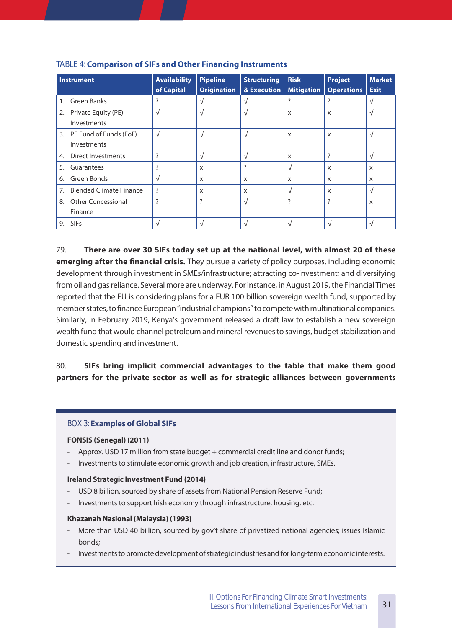|    | <b>Instrument</b>                        | <b>Availability</b><br>of Capital | <b>Pipeline</b><br><b>Origination</b> | <b>Structuring</b><br>& Execution | <b>Risk</b><br><b>Mitigation</b> | <b>Project</b><br><b>Operations</b> | <b>Market</b><br><b>Exit</b> |
|----|------------------------------------------|-----------------------------------|---------------------------------------|-----------------------------------|----------------------------------|-------------------------------------|------------------------------|
| 1. | <b>Green Banks</b>                       | ?                                 | $\sqrt{ }$                            | V                                 | ?                                | ?                                   | V                            |
|    | 2. Private Equity (PE)<br>Investments    | $\sqrt{ }$                        | $\sqrt{ }$                            | V                                 | X                                | X                                   | N                            |
|    | 3. PE Fund of Funds (FoF)<br>Investments | $\sqrt{ }$                        | $\sqrt{ }$                            | V                                 | $\boldsymbol{\mathsf{X}}$        | X                                   | $\sqrt{ }$                   |
| 4. | Direct Investments                       | ?                                 | V                                     | V                                 | $\boldsymbol{\mathsf{X}}$        | ?                                   | $\sqrt{ }$                   |
| 5. | Guarantees                               | ?                                 | $\times$                              | ?                                 | V                                | $\times$                            | $\times$                     |
| 6. | Green Bonds                              | V                                 | X                                     | X                                 | X                                | $\boldsymbol{\mathsf{x}}$           | $\boldsymbol{\mathsf{x}}$    |
|    | 7. Blended Climate Finance               | ?                                 | $\times$                              | X                                 | $\sqrt{ }$                       | $\times$                            | $\sqrt{ }$                   |
| 8. | <b>Other Concessional</b><br>Finance     | ?                                 | ?                                     | N                                 | ?                                | ?                                   | $\boldsymbol{\mathsf{X}}$    |
| 9. | SIFs                                     | N                                 | V                                     |                                   | $\sqrt{ }$                       | ٦I                                  |                              |

#### TABLE 4: **Comparison of SIFs and Other Financing Instruments**

79. **There are over 30 SIFs today set up at the national level, with almost 20 of these emerging after the financial crisis.** They pursue a variety of policy purposes, including economic development through investment in SMEs/infrastructure; attracting co-investment; and diversifying from oil and gas reliance. Several more are underway. For instance, in August 2019, the Financial Times reported that the EU is considering plans for a EUR 100 billion sovereign wealth fund, supported by member states, to finance European "industrial champions" to compete with multinational companies. Similarly, in February 2019, Kenya's government released a draft law to establish a new sovereign wealth fund that would channel petroleum and mineral revenues to savings, budget stabilization and domestic spending and investment.

#### 80. **SIFs bring implicit commercial advantages to the table that make them good partners for the private sector as well as for strategic alliances between governments**

#### BOX 3: **Examples of Global SIFs**

#### **FONSIS (Senegal) (2011)**

- Approx. USD 17 million from state budget + commercial credit line and donor funds;
- Investments to stimulate economic growth and job creation, infrastructure, SMEs.

#### **Ireland Strategic Investment Fund (2014)**

- USD 8 billion, sourced by share of assets from National Pension Reserve Fund;
- Investments to support Irish economy through infrastructure, housing, etc.

#### **Khazanah Nasional (Malaysia) (1993)**

- More than USD 40 billion, sourced by gov't share of privatized national agencies; issues Islamic bonds;
- Investments to promote development of strategic industries and for long-term economic interests.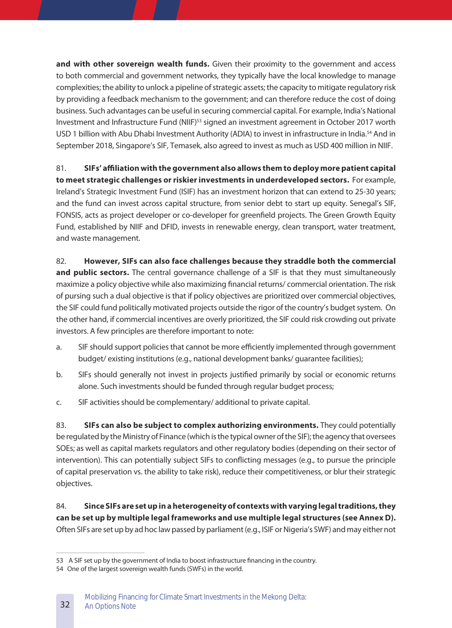and with other sovereign wealth funds. Given their proximity to the government and access to both commercial and government networks, they typically have the local knowledge to manage complexities; the ability to unlock a pipeline of strategic assets; the capacity to mitigate regulatory risk by providing a feedback mechanism to the government; and can therefore reduce the cost of doing business. Such advantages can be useful in securing commercial capital. For example, India's National Investment and Infrastructure Fund (NIIF)53 signed an investment agreement in October 2017 worth USD 1 billion with Abu Dhabi Investment Authority (ADIA) to invest in infrastructure in India.<sup>54</sup> And in September 2018, Singapore's SIF, Temasek, also agreed to invest as much as USD 400 million in NIIF.

81. **SIFs' affiliation with the government also allows them to deploy more patient capital**  to meet strategic challenges or riskier investments in underdeveloped sectors. For example, Ireland's Strategic Investment Fund (ISIF) has an investment horizon that can extend to 25-30 years; and the fund can invest across capital structure, from senior debt to start up equity. Senegal's SIF, FONSIS, acts as project developer or co-developer for greenfield projects. The Green Growth Equity Fund, established by NIIF and DFID, invests in renewable energy, clean transport, water treatment, and waste management.

82. **However, SIFs can also face challenges because they straddle both the commercial**  and public sectors. The central governance challenge of a SIF is that they must simultaneously maximize a policy objective while also maximizing financial returns/ commercial orientation. The risk of pursing such a dual objective is that if policy objectives are prioritized over commercial objectives, the SIF could fund politically motivated projects outside the rigor of the country's budget system. On the other hand, if commercial incentives are overly prioritized, the SIF could risk crowding out private investors. A few principles are therefore important to note:

- a. SIF should support policies that cannot be more efficiently implemented through government budget/ existing institutions (e.g., national development banks/ guarantee facilities);
- b. SIFs should generally not invest in projects justified primarily by social or economic returns alone. Such investments should be funded through regular budget process;
- c. SIF activities should be complementary/ additional to private capital.

83. **SIFs can also be subject to complex authorizing environments.** They could potentially be regulated by the Ministry of Finance (which is the typical owner of the SIF); the agency that oversees SOEs; as well as capital markets regulators and other regulatory bodies (depending on their sector of intervention). This can potentially subject SIFs to conflicting messages (e.g., to pursue the principle of capital preservation vs. the ability to take risk), reduce their competitiveness, or blur their strategic objectives.

84. **Since SIFs are set up in a heterogeneity of contexts with varying legal traditions, they can be set up by multiple legal frameworks and use multiple legal structures (see Annex D)�** Often SIFs are set up by ad hoc law passed by parliament (e.g., ISIF or Nigeria's SWF) and may either not

<sup>53</sup> A SIF set up by the government of India to boost infrastructure financing in the country.

<sup>54</sup> One of the largest sovereign wealth funds (SWFs) in the world.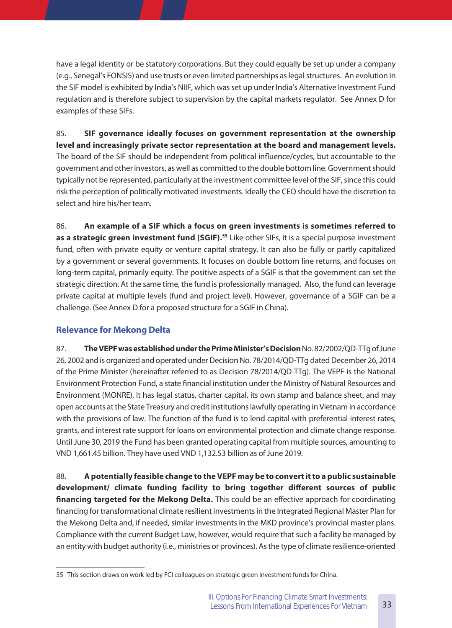have a legal identity or be statutory corporations. But they could equally be set up under a company (e.g., Senegal's FONSIS) and use trusts or even limited partnerships as legal structures. An evolution in the SIF model is exhibited by India's NIIF, which was set up under India's Alternative Investment Fund regulation and is therefore subject to supervision by the capital markets regulator. See Annex D for examples of these SIFs.

85. **SIF governance ideally focuses on government representation at the ownership**  level and increasingly private sector representation at the board and management levels. The board of the SIF should be independent from political influence/cycles, but accountable to the government and other investors, as well as committed to the double bottom line. Government should typically not be represented, particularly at the investment committee level of the SIF, since this could risk the perception of politically motivated investments. Ideally the CEO should have the discretion to select and hire his/her team.

86. **An example of a SIF which a focus on green investments is sometimes referred to**  as a strategic green investment fund (SGIF).<sup>55</sup> Like other SIFs, it is a special purpose investment fund, often with private equity or venture capital strategy. It can also be fully or partly capitalized by a government or several governments. It focuses on double bottom line returns, and focuses on long-term capital, primarily equity. The positive aspects of a SGIF is that the government can set the strategic direction. At the same time, the fund is professionally managed. Also, the fund can leverage private capital at multiple levels (fund and project level). However, governance of a SGIF can be a challenge. (See Annex D for a proposed structure for a SGIF in China).

#### **Relevance for Mekong Delta**

87. **The VEPF was established under the Prime Minister's Decision** No. 82/2002/QD-TTg of June 26, 2002 and is organized and operated under Decision No. 78/2014/QD-TTg dated December 26, 2014 of the Prime Minister (hereinafter referred to as Decision 78/2014/QD-TTg). The VEPF is the National Environment Protection Fund, a state financial institution under the Ministry of Natural Resources and Environment (MONRE). It has legal status, charter capital, its own stamp and balance sheet, and may open accounts at the State Treasury and credit institutions lawfully operating in Vietnam in accordance with the provisions of law. The function of the fund is to lend capital with preferential interest rates, grants, and interest rate support for loans on environmental protection and climate change response. Until June 30, 2019 the Fund has been granted operating capital from multiple sources, amounting to VND 1,661.45 billion. They have used VND 1,132.53 billion as of June 2019.

88. **A potentially feasible change to the VEPF may be to convert it to a public sustainable development/ climate funding facility to bring together different sources of public financing targeted for the Mekong Delta.** This could be an effective approach for coordinating financing for transformational climate resilient investments in the Integrated Regional Master Plan for the Mekong Delta and, if needed, similar investments in the MKD province's provincial master plans. Compliance with the current Budget Law, however, would require that such a facility be managed by an entity with budget authority (i.e., ministries or provinces). As the type of climate resilience-oriented

<sup>55</sup> This section draws on work led by FCI colleagues on strategic green investment funds for China.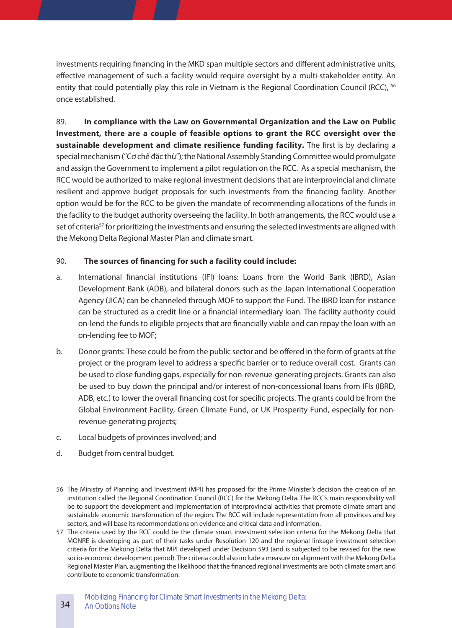investments requiring financing in the MKD span multiple sectors and different administrative units, effective management of such a facility would require oversight by a multi-stakeholder entity. An entity that could potentially play this role in Vietnam is the Regional Coordination Council (RCC), <sup>56</sup> once established.

89. **In compliance with the Law on Governmental Organization and the Law on Public Investment, there are a couple of feasible options to grant the RCC oversight over the**  sustainable development and climate resilience funding facility. The first is by declaring a special mechanism ("Cơ chế đặc thù"); the National Assembly Standing Committee would promulgate and assign the Government to implement a pilot regulation on the RCC. As a special mechanism, the RCC would be authorized to make regional investment decisions that are interprovincial and climate resilient and approve budget proposals for such investments from the financing facility. Another option would be for the RCC to be given the mandate of recommending allocations of the funds in the facility to the budget authority overseeing the facility. In both arrangements, the RCC would use a set of criteria<sup>57</sup> for prioritizing the investments and ensuring the selected investments are aligned with the Mekong Delta Regional Master Plan and climate smart.

#### 90. **The sources of financing for such a facility could include:**

- a. International financial institutions (IFI) loans: Loans from the World Bank (IBRD), Asian Development Bank (ADB), and bilateral donors such as the Japan International Cooperation Agency (JICA) can be channeled through MOF to support the Fund. The IBRD loan for instance can be structured as a credit line or a financial intermediary loan. The facility authority could on-lend the funds to eligible projects that are financially viable and can repay the loan with an on-lending fee to MOF;
- b. Donor grants: These could be from the public sector and be offered in the form of grants at the project or the program level to address a specific barrier or to reduce overall cost. Grants can be used to close funding gaps, especially for non-revenue-generating projects. Grants can also be used to buy down the principal and/or interest of non-concessional loans from IFIs (IBRD, ADB, etc.) to lower the overall financing cost for specific projects. The grants could be from the Global Environment Facility, Green Climate Fund, or UK Prosperity Fund, especially for nonrevenue-generating projects;
- c. Local budgets of provinces involved; and
- d. Budget from central budget.

<sup>56</sup> The Ministry of Planning and Investment (MPI) has proposed for the Prime Minister's decision the creation of an institution called the Regional Coordination Council (RCC) for the Mekong Delta. The RCC's main responsibility will be to support the development and implementation of interprovincial activities that promote climate smart and sustainable economic transformation of the region. The RCC will include representation from all provinces and key sectors, and will base its recommendations on evidence and critical data and information.

<sup>57</sup> The criteria used by the RCC could be the climate smart investment selection criteria for the Mekong Delta that MONRE is developing as part of their tasks under Resolution 120 and the regional linkage investment selection criteria for the Mekong Delta that MPI developed under Decision 593 (and is subjected to be revised for the new socio-economic development period). The criteria could also include a measure on alignment with the Mekong Delta Regional Master Plan, augmenting the likelihood that the financed regional investments are both climate smart and contribute to economic transformation.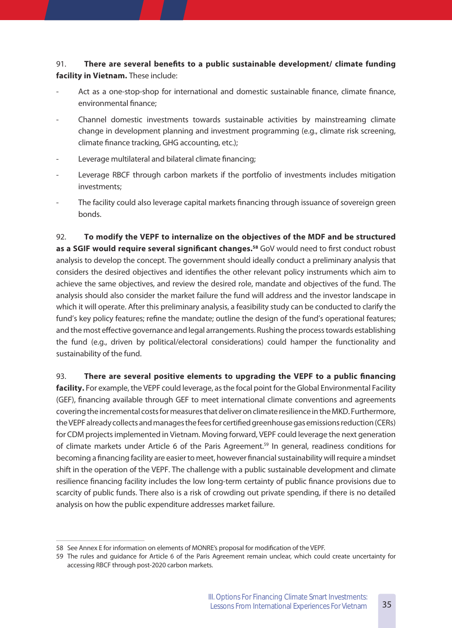#### 91. **There are several benefits to a public sustainable development/ climate funding**  facility in Vietnam. These include:

- Act as a one-stop-shop for international and domestic sustainable finance, climate finance, environmental finance;
- Channel domestic investments towards sustainable activities by mainstreaming climate change in development planning and investment programming (e.g., climate risk screening, climate finance tracking, GHG accounting, etc.);
- Leverage multilateral and bilateral climate financing;
- Leverage RBCF through carbon markets if the portfolio of investments includes mitigation investments;
- The facility could also leverage capital markets financing through issuance of sovereign green bonds.

92. **To modify the VEPF to internalize on the objectives of the MDF and be structured**  as a SGIF would require several significant changes.<sup>58</sup> GoV would need to first conduct robust analysis to develop the concept. The government should ideally conduct a preliminary analysis that considers the desired objectives and identifies the other relevant policy instruments which aim to achieve the same objectives, and review the desired role, mandate and objectives of the fund. The analysis should also consider the market failure the fund will address and the investor landscape in which it will operate. After this preliminary analysis, a feasibility study can be conducted to clarify the fund's key policy features; refine the mandate; outline the design of the fund's operational features; and the most effective governance and legal arrangements. Rushing the process towards establishing the fund (e.g., driven by political/electoral considerations) could hamper the functionality and sustainability of the fund.

93. **There are several positive elements to upgrading the VEPF to a public financing**  facility. For example, the VEPF could leverage, as the focal point for the Global Environmental Facility (GEF), financing available through GEF to meet international climate conventions and agreements covering the incremental costs for measures that deliver on climate resilience in the MKD. Furthermore, the VEPF already collects and manages the fees for certified greenhouse gas emissions reduction (CERs) for CDM projects implemented in Vietnam. Moving forward, VEPF could leverage the next generation of climate markets under Article 6 of the Paris Agreement.<sup>59</sup> In general, readiness conditions for becoming a financing facility are easier to meet, however financial sustainability will require a mindset shift in the operation of the VEPF. The challenge with a public sustainable development and climate resilience financing facility includes the low long-term certainty of public finance provisions due to scarcity of public funds. There also is a risk of crowding out private spending, if there is no detailed analysis on how the public expenditure addresses market failure.

<sup>58</sup> See Annex E for information on elements of MONRE's proposal for modification of the VEPF.

<sup>59</sup> The rules and guidance for Article 6 of the Paris Agreement remain unclear, which could create uncertainty for accessing RBCF through post-2020 carbon markets.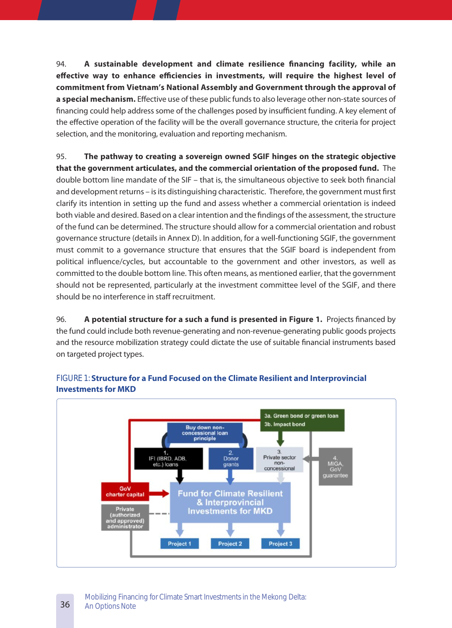94. **A sustainable development and climate resilience financing facility, while an effective way to enhance efficiencies in investments, will require the highest level of commitment from Vietnam's National Assembly and Government through the approval of a special mechanism�** Effective use of these public funds to also leverage other non-state sources of financing could help address some of the challenges posed by insufficient funding. A key element of the effective operation of the facility will be the overall governance structure, the criteria for project selection, and the monitoring, evaluation and reporting mechanism.

95. **The pathway to creating a sovereign owned SGIF hinges on the strategic objective that the government articulates, and the commercial orientation of the proposed fund�** The double bottom line mandate of the SIF – that is, the simultaneous objective to seek both financial and development returns – is its distinguishing characteristic. Therefore, the government must first clarify its intention in setting up the fund and assess whether a commercial orientation is indeed both viable and desired. Based on a clear intention and the findings of the assessment, the structure of the fund can be determined. The structure should allow for a commercial orientation and robust governance structure (details in Annex D). In addition, for a well-functioning SGIF, the government must commit to a governance structure that ensures that the SGIF board is independent from political influence/cycles, but accountable to the government and other investors, as well as committed to the double bottom line. This often means, as mentioned earlier, that the government should not be represented, particularly at the investment committee level of the SGIF, and there should be no interference in staff recruitment.

96. **A potential structure for a such a fund is presented in Figure 1.** Projects financed by the fund could include both revenue-generating and non-revenue-generating public goods projects and the resource mobilization strategy could dictate the use of suitable financial instruments based on targeted project types.



#### FIGURE 1: **Structure for a Fund Focused on the Climate Resilient and Interprovincial Investments for MKD**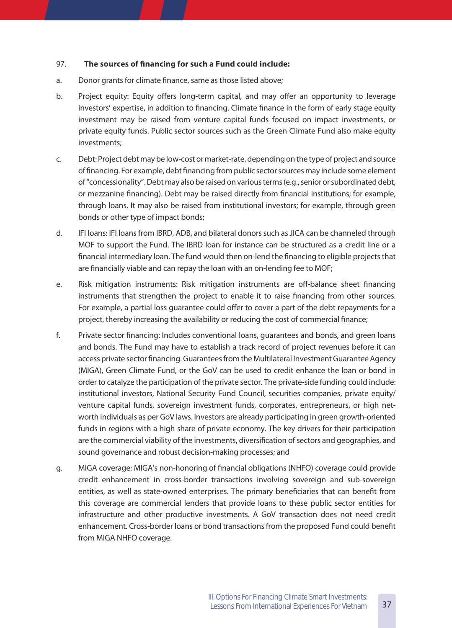#### 97. **The sources of financing for such a Fund could include:**

- a. Donor grants for climate finance, same as those listed above;
- b. Project equity: Equity offers long-term capital, and may offer an opportunity to leverage investors' expertise, in addition to financing. Climate finance in the form of early stage equity investment may be raised from venture capital funds focused on impact investments, or private equity funds. Public sector sources such as the Green Climate Fund also make equity investments;
- c. Debt: Project debt may be low-cost or market-rate, depending on the type of project and source of financing. For example, debt financing from public sector sources may include some element of "concessionality". Debt may also be raised on various terms (e.g., senior or subordinated debt, or mezzanine financing). Debt may be raised directly from financial institutions; for example, through loans. It may also be raised from institutional investors; for example, through green bonds or other type of impact bonds;
- d. IFI loans: IFI loans from IBRD, ADB, and bilateral donors such as JICA can be channeled through MOF to support the Fund. The IBRD loan for instance can be structured as a credit line or a financial intermediary loan. The fund would then on-lend the financing to eligible projects that are financially viable and can repay the loan with an on-lending fee to MOF;
- e. Risk mitigation instruments: Risk mitigation instruments are off-balance sheet financing instruments that strengthen the project to enable it to raise financing from other sources. For example, a partial loss guarantee could offer to cover a part of the debt repayments for a project, thereby increasing the availability or reducing the cost of commercial finance;
- f. Private sector financing: Includes conventional loans, guarantees and bonds, and green loans and bonds. The Fund may have to establish a track record of project revenues before it can access private sector financing. Guarantees from the Multilateral Investment Guarantee Agency (MIGA), Green Climate Fund, or the GoV can be used to credit enhance the loan or bond in order to catalyze the participation of the private sector. The private-side funding could include: institutional investors, National Security Fund Council, securities companies, private equity/ venture capital funds, sovereign investment funds, corporates, entrepreneurs, or high networth individuals as per GoV laws. Investors are already participating in green growth-oriented funds in regions with a high share of private economy. The key drivers for their participation are the commercial viability of the investments, diversification of sectors and geographies, and sound governance and robust decision-making processes; and
- g. MIGA coverage: MIGA's non-honoring of financial obligations (NHFO) coverage could provide credit enhancement in cross-border transactions involving sovereign and sub-sovereign entities, as well as state-owned enterprises. The primary beneficiaries that can benefit from this coverage are commercial lenders that provide loans to these public sector entities for infrastructure and other productive investments. A GoV transaction does not need credit enhancement. Cross-border loans or bond transactions from the proposed Fund could benefit from MIGA NHFO coverage.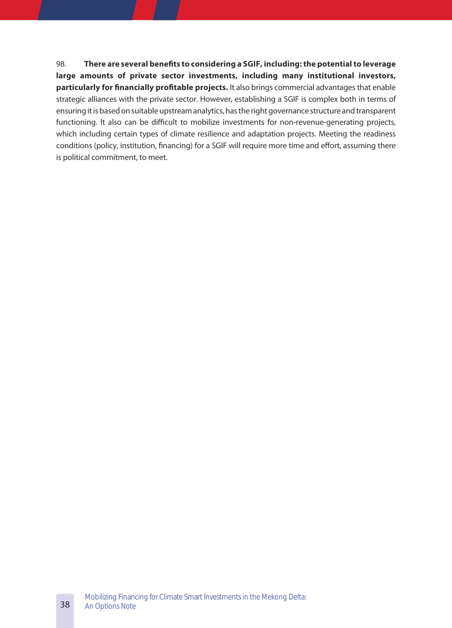98. **There are several benefits to considering a SGIF, including: the potential to leverage large amounts of private sector investments, including many institutional investors,**  particularly for financially profitable projects. It also brings commercial advantages that enable strategic alliances with the private sector. However, establishing a SGIF is complex both in terms of ensuring it is based on suitable upstream analytics, has the right governance structure and transparent functioning. It also can be difficult to mobilize investments for non-revenue-generating projects, which including certain types of climate resilience and adaptation projects. Meeting the readiness conditions (policy, institution, financing) for a SGIF will require more time and effort, assuming there is political commitment, to meet.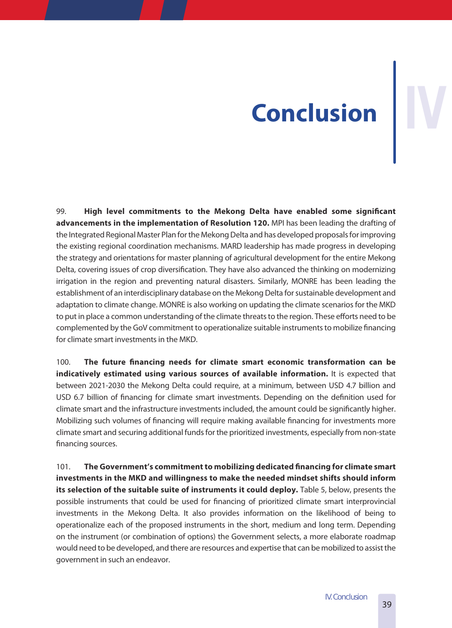# **Conclusion IV**

99. **High level commitments to the Mekong Delta have enabled some significant advancements in the implementation of Resolution 120�** MPI has been leading the drafting of the Integrated Regional Master Plan for the Mekong Delta and has developed proposals for improving the existing regional coordination mechanisms. MARD leadership has made progress in developing the strategy and orientations for master planning of agricultural development for the entire Mekong Delta, covering issues of crop diversification. They have also advanced the thinking on modernizing irrigation in the region and preventing natural disasters. Similarly, MONRE has been leading the establishment of an interdisciplinary database on the Mekong Delta for sustainable development and adaptation to climate change. MONRE is also working on updating the climate scenarios for the MKD to put in place a common understanding of the climate threats to the region. These efforts need to be complemented by the GoV commitment to operationalize suitable instruments to mobilize financing for climate smart investments in the MKD.

100. **The future financing needs for climate smart economic transformation can be indicatively estimated using various sources of available information.** It is expected that between 2021-2030 the Mekong Delta could require, at a minimum, between USD 4.7 billion and USD 6.7 billion of financing for climate smart investments. Depending on the definition used for climate smart and the infrastructure investments included, the amount could be significantly higher. Mobilizing such volumes of financing will require making available financing for investments more climate smart and securing additional funds for the prioritized investments, especially from non-state financing sources.

101. **The Government's commitment to mobilizing dedicated financing for climate smart investments in the MKD and willingness to make the needed mindset shifts should inform**  its selection of the suitable suite of instruments it could deploy. Table 5, below, presents the possible instruments that could be used for financing of prioritized climate smart interprovincial investments in the Mekong Delta. It also provides information on the likelihood of being to operationalize each of the proposed instruments in the short, medium and long term. Depending on the instrument (or combination of options) the Government selects, a more elaborate roadmap would need to be developed, and there are resources and expertise that can be mobilized to assist the government in such an endeavor.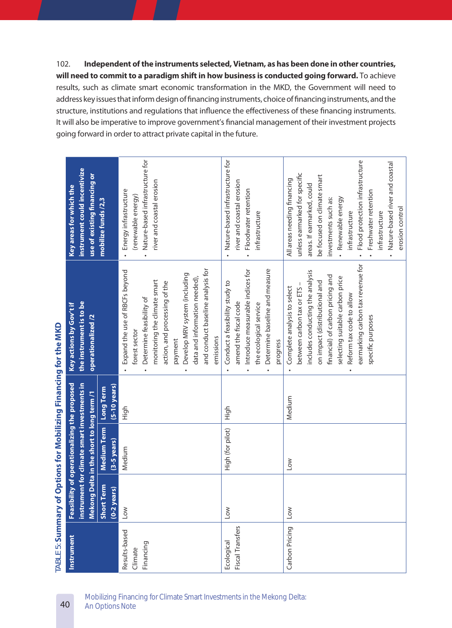102. **Independent of the instruments selected, Vietnam, as has been done in other countries,**  will need to commit to a paradigm shift in how business is conducted going forward. To achieve results, such as climate smart economic transformation in the MKD, the Government will need to address key issues that inform design of financing instruments, choice of financing instruments, and the structure, institutions and regulations that influence the effectiveness of these financing instruments. It will also be imperative to improve government's financial management of their investment projects going forward in order to attract private capital in the future.

|                                       |                                 |                                                                                             |                                     | $\sqrt{ABLE}$ 5: Summary of Options for Mobilizing Financing for the MKD                                                                                                                                                                                                                   |                                                                                                                                                                                                                                                                                                                           |
|---------------------------------------|---------------------------------|---------------------------------------------------------------------------------------------|-------------------------------------|--------------------------------------------------------------------------------------------------------------------------------------------------------------------------------------------------------------------------------------------------------------------------------------------|---------------------------------------------------------------------------------------------------------------------------------------------------------------------------------------------------------------------------------------------------------------------------------------------------------------------------|
| Instrument                            |                                 | Feasibility of operationalizing the proposed<br>instrument for climate smart investments in |                                     | the instrument is to be<br>Key actions by Gov't if                                                                                                                                                                                                                                         | instrument could incentivize<br>Key areas for which the                                                                                                                                                                                                                                                                   |
|                                       | Mek                             | ong Delta in the short to long term /1                                                      |                                     | <b>operationalized</b> /2                                                                                                                                                                                                                                                                  | use of existing financing or                                                                                                                                                                                                                                                                                              |
|                                       | Short Term<br>years)<br>$(0-2)$ | <b>Medium Term</b><br>$(3-5$ years)                                                         | $(5-10 \text{ years})$<br>Long Term |                                                                                                                                                                                                                                                                                            | mobilize funds /2,3                                                                                                                                                                                                                                                                                                       |
| Results-based<br>Financing<br>Climate | Low                             | Medium                                                                                      | High                                | and conduct baseline analysis for<br>Expand the use of RBCFs beyond<br>Develop MRV system (including<br>data and information needed),<br>monitoring the climate smart<br>action, and processing of the<br>Determine feasibility of<br>forest sector<br>emissions<br>payment                | Nature-based infrastructure for<br>river and coastal erosion<br>Energy infrastructure<br>(renewable energy)                                                                                                                                                                                                               |
| Fiscal Transfers<br>Ecological        | Low                             | High (for pilot)                                                                            | High                                | Determine baseline and measure<br>Introduce measurable indices for<br>Conduct a feasibility study to<br>amend the fiscal code<br>the ecological service<br>progress                                                                                                                        | Nature-based infrastructure for<br>river and coastal erosion<br>Floodwater retention<br>infrastructure                                                                                                                                                                                                                    |
| Carbon Pricing                        | Low                             | $\overline{\mathsf{S}}$                                                                     | Medium                              | earmarking carbon tax revenue for<br>includes conducting the analysis<br>financial) of carbon pricing and<br>selecting suitable carbon price<br>on impact (distributional and<br>between carbon tax or ETS<br>Complete analysis to select<br>Reform tax code to allow<br>specific purposes | Flood protection infrastructure<br>Nature-based river and coastal<br>unless earmarked for specific<br>be focused on climate smart<br>All areas needing financing<br>areas. If earmarked, could<br>Freshwater retention<br>Renewable energy<br>investments such as:<br>erosion control<br>infrastructure<br>infrastructure |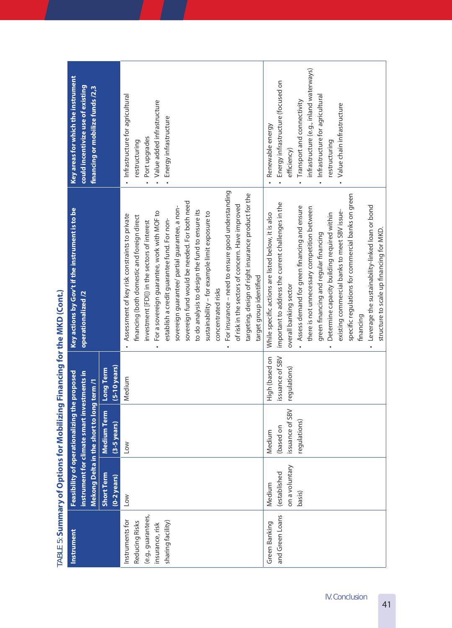|                                                                                                 |                                                    |                                                        |                                                   | ("Well" of Summary Summary of Alberta Political Summary of the Microsoft Control ("Discussion")                                                                                                                                                                                                                                                                                                                                                                                                                                                                                                                                                                     |                                                                                                                                                                                                                                 |
|-------------------------------------------------------------------------------------------------|----------------------------------------------------|--------------------------------------------------------|---------------------------------------------------|---------------------------------------------------------------------------------------------------------------------------------------------------------------------------------------------------------------------------------------------------------------------------------------------------------------------------------------------------------------------------------------------------------------------------------------------------------------------------------------------------------------------------------------------------------------------------------------------------------------------------------------------------------------------|---------------------------------------------------------------------------------------------------------------------------------------------------------------------------------------------------------------------------------|
| Instrument                                                                                      |                                                    | Feasibility of operationalizing t                      | he proposed                                       | Key actions by Gov't if the instrument is to be                                                                                                                                                                                                                                                                                                                                                                                                                                                                                                                                                                                                                     | Key areas for which the instrument                                                                                                                                                                                              |
|                                                                                                 |                                                    | instrument for climate smart investments in            |                                                   | <b>operationalized</b> /2                                                                                                                                                                                                                                                                                                                                                                                                                                                                                                                                                                                                                                           | could incentivize use of existing                                                                                                                                                                                               |
|                                                                                                 |                                                    | Mekong Delta in the short to long term /1              |                                                   |                                                                                                                                                                                                                                                                                                                                                                                                                                                                                                                                                                                                                                                                     | financing or mobilize funds /2,3                                                                                                                                                                                                |
|                                                                                                 | Short Term<br>$(0-2 \text{ years})$                | <b>Medium Term</b><br>$(3-5 \text{ years})$            | $(5-10 \text{ years})$<br>Long Term               |                                                                                                                                                                                                                                                                                                                                                                                                                                                                                                                                                                                                                                                                     |                                                                                                                                                                                                                                 |
| (e.g., guarantees,<br>Instruments for<br>Reducing Risks<br>sharing facility)<br>insurance, risk | Low                                                | Low                                                    | Medium                                            | For insurance - need to ensure good understanding<br>targeting, design of right insurance product for the<br>sovereign fund would be needed. For both need<br>of risk in the sectors of concern. Have improved<br>sovereign guarantee/ partial guarantee, a non-<br>to do analysis to design the fund to ensure its<br>For a sovereign guarantee, work with MOF to<br>sustainability - for example limit exposure to<br>Assessment of key risk constraints to private<br>financing (both domestic and foreign direct<br>establish a credit guarantee fund. For non-<br>investment [FDI]) in the sectors of interest<br>concentrated risks<br>$\bullet$<br>$\bullet$ | Infrastructure for agricultural<br>Value added infrastructure<br>Energy infrastructure<br>Port upgrades<br>restructuring                                                                                                        |
| and Green Loans<br>Green Banking                                                                | on a voluntary<br>(established<br>Medium<br>basis) | issuance of SBV<br>regulations)<br>(based on<br>Medium | issuance of SBV<br>High (based on<br>regulations) | specific regulations for commercial banks on green<br>important to address the current challenges in the<br>Leverage the sustainability-linked loan or bond<br>Assess demand for green financing and ensure<br>there is not unnecessary competition between<br>existing commercial banks to meet SBV issue-<br>Determine capacity building required within<br>While specific actions are listed below, it is also<br>structure to scale up financing for MKD.<br>green financing and regular financing<br>target group identified<br>overall banking sector<br>financing<br>$\ddot{\phantom{0}}$                                                                    | infrastructure (e.g., inland waterways)<br>Energy infrastructure (focused on<br>Infrastructure for agricultural<br>Transport and connectivity<br>Value chain infrastructure<br>Renewable energy<br>restructuring<br>efficiency) |

 $TAR \models F$  Summary of Options for Mobilizing Financing for the MKD (Cont.) TABLE 5: **Summary of Options for Mobilizing Financing for the MKD (Cont�)**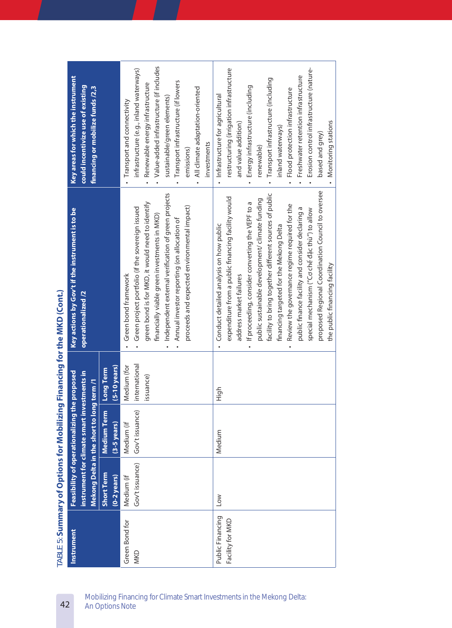|                                      |                                 |                                           |                                           | (Apple of Summary of Christian Montered Entertainment) or the window of the control of the control of the control of the control of the control of the control of the control of the control of the control of the control of                                                                                                                                                                                                                                                                                                                                                    |                                                                                                                                                                                                                                                                                                                                                                                              |
|--------------------------------------|---------------------------------|-------------------------------------------|-------------------------------------------|----------------------------------------------------------------------------------------------------------------------------------------------------------------------------------------------------------------------------------------------------------------------------------------------------------------------------------------------------------------------------------------------------------------------------------------------------------------------------------------------------------------------------------------------------------------------------------|----------------------------------------------------------------------------------------------------------------------------------------------------------------------------------------------------------------------------------------------------------------------------------------------------------------------------------------------------------------------------------------------|
| <b>Instrument</b>                    |                                 | <b>Feasibility of operationalizing t</b>  | he proposed                               | Key actions by Gov't if the instrument is to be                                                                                                                                                                                                                                                                                                                                                                                                                                                                                                                                  | Key areas for which the instrument                                                                                                                                                                                                                                                                                                                                                           |
|                                      | instrument for climate smart in | Mekong Delta in the short to long term /1 | vestments in                              | <b>operationalized</b> /2                                                                                                                                                                                                                                                                                                                                                                                                                                                                                                                                                        | could incentivize use of existing<br>financing or mobilize funds /2,3                                                                                                                                                                                                                                                                                                                        |
|                                      | Short Term<br>$(0-2$ years)     | <b>Medium Term</b><br>$(3-5)$ years)      | $(5-10$ years)<br>Long Term               |                                                                                                                                                                                                                                                                                                                                                                                                                                                                                                                                                                                  |                                                                                                                                                                                                                                                                                                                                                                                              |
| Green Bond for<br><b>MKD</b>         | Gov't issuance)<br>Medium (if   | Gov't issuance)<br>Medium (if             | international<br>Medium (for<br>issuance) | Independent external verification of green projects<br>green bond is for MKD, it would need to identify<br>proceeds and expected environmental impact)<br>Green project portfolio (if the sovereign issued<br>financially viable green investments in MKD)<br>Annual investor reporting (on allocation of<br>Green bond framework                                                                                                                                                                                                                                                | Value-added infrastructure (if includes<br>infrastructure (e.g., inland waterways)<br>Transport infrastructure (if lowers<br>Renewable energy infrastructure<br>All climate adaptation-oriented<br>sustainable/green elements)<br>Transport and connectivity<br>investments<br>emissions)                                                                                                    |
| Public Financing<br>Facility for MKD | Low                             | Medium                                    | High                                      | proposed Regional Coordination Council to oversee<br>facility to bring together different sources of public<br>expenditure from a public financing facility would<br>public sustainable development/ climate funding<br>If proceeding, consider converting the VEPF to a<br>Review the governance regime required for the<br>public finance facility and consider declaring a<br>special mechanism ("Cơ chế đặc thù") to allow<br>Conduct detailed analysis on how public<br>financing targeted for the Mekong Delta<br>the public financing facility<br>address market failures | restructuring (irrigation infrastructure<br>Erosion control infrastructure (nature-<br>Freshwater retention infrastructure<br>Transport infrastructure (including<br>Energy infrastructure (including<br>Flood protection infrastructure<br>Infrastructure for agricultural<br>Monitoring stations<br>and value addition)<br>inland waterways)<br>based and grey)<br>renewable)<br>$\bullet$ |

 $\Gamma$ ARLE 5: Summary of Options for Mobilizing Financing for the MKD (Cont.) TABLE 5: **Summary of Options for Mobilizing Financing for the MKD (Cont�)**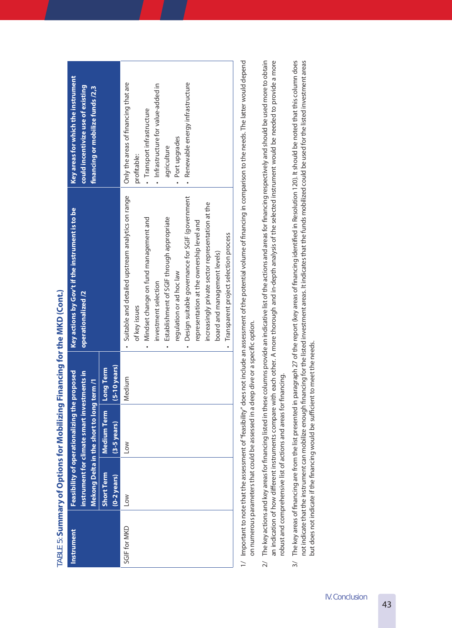|                   |                                     |                                                                                                                                          |                             | ADEL J. Sunning y on oppulating ringing in the wing it is the wind (Conic)                                                                                                                                                                                                                                                                                                                              |                                                                                                                                                                                                 |
|-------------------|-------------------------------------|------------------------------------------------------------------------------------------------------------------------------------------|-----------------------------|---------------------------------------------------------------------------------------------------------------------------------------------------------------------------------------------------------------------------------------------------------------------------------------------------------------------------------------------------------------------------------------------------------|-------------------------------------------------------------------------------------------------------------------------------------------------------------------------------------------------|
| <b>Instrument</b> |                                     | Feasibility of operationalizing the proposed<br>instrument for climate smart investments in<br>Mekong Delta in the short to long term /1 |                             | Key actions by Gov't if the instrument is to be<br><b>operationalized</b> /2                                                                                                                                                                                                                                                                                                                            | Key areas for which the instrument<br>could incentivize use of existing<br>financing or mobilize funds /2,3                                                                                     |
|                   | Short Term<br>$(0-2 \text{ years})$ | Medium Term<br>$(3-5 \text{ years})$                                                                                                     | $(5-10$ years)<br>Long Term |                                                                                                                                                                                                                                                                                                                                                                                                         |                                                                                                                                                                                                 |
| SGIF for MKD      | <b>NOT</b>                          | Low                                                                                                                                      | Medium                      | · Suitable and detailed upstream analytics on range<br>- Design suitable governance for SGIF (government<br>increasingly private sector representation at the<br>Establishment of SGIF through appropriate<br>• Mindset change on fund management and<br>representation at the ownership level and<br>board and management levels)<br>regulation or ad hoc law<br>investment selection<br>of key issues | · Renewable energy infrastructure<br>Only the areas of financing that are<br>· Infrastructure for value-added in<br>· Transport infrastructure<br>· Port upgrades<br>agriculture<br>profitable: |
|                   |                                     |                                                                                                                                          |                             | · Transparent project selection process                                                                                                                                                                                                                                                                                                                                                                 |                                                                                                                                                                                                 |

 $TAB \vdash F$  . Summary of Options for Mobilizing Financing for the MKD (Cont.) TABLE 5: **Summary of Options for Mobilizing Financing for the MKD (Cont�)**

- Important to note that the assessment of "feasibility" does not include an assessment of the potential volume of financing in comparison to the needs. The latter would depend 1/ Important to note that the assessment of "feasibility" does not include an assessment of the potential volume of financing in comparison to the needs. The latter would depend on numerous parameters that could be assessed in a deep dive or a specific option. on numerous parameters that could be assessed in a deep dive or a specific option.  $\geq$
- The key actions and key areas for financing listed in these columns provide an indicative list of the actions and areas for financing respectively and should be used more to obtain  $2/$  The key actions and key areas for financing listed in these columns provide an indicative list of the actions and areas for financing respectively and should be used more to obtain an indication of how different instruments compare with each other. A more thorough and in-depth analysis of the selected instrument would be needed to provide a more an indication of how different instruments compare with each other. A more thorough and in-depth analysis of the selected instrument would be needed to provide a more robust and comprehensive list of actions and areas for financing. robust and comprehensive list of actions and areas for financing.  $\overline{2}$
- The key areas of financing are from the list presented in paragraph 27 of the report (key areas of financing identified in Resolution 120). It should be noted that this column does 3/ The key areas of financing are from the list presented in paragraph 27 of the report (key areas of financing identified in Resolution 120). It should be noted that this column does not indicate that the instrument can mobilize enough financing for the listed investment areas. It indicates that the funds mobilized could be used for the listed investment areas not indicate that the instrument can mobilize enough financing for the listed investment areas. It indicates that the funds mobilized could be used for the listed investment areas but does not indicate if the financing would be sufficient to meet the needs. but does not indicate if the financing would be sufficient to meet the needs.  $\frac{1}{2}$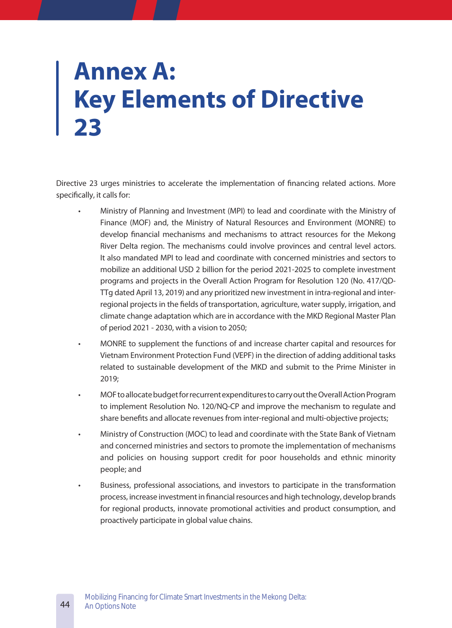# **Annex A: Key Elements of Directive 23**

Directive 23 urges ministries to accelerate the implementation of financing related actions. More specifically, it calls for:

- Ministry of Planning and Investment (MPI) to lead and coordinate with the Ministry of Finance (MOF) and, the Ministry of Natural Resources and Environment (MONRE) to develop financial mechanisms and mechanisms to attract resources for the Mekong River Delta region. The mechanisms could involve provinces and central level actors. It also mandated MPI to lead and coordinate with concerned ministries and sectors to mobilize an additional USD 2 billion for the period 2021-2025 to complete investment programs and projects in the Overall Action Program for Resolution 120 (No. 417/QD-TTg dated April 13, 2019) and any prioritized new investment in intra-regional and interregional projects in the fields of transportation, agriculture, water supply, irrigation, and climate change adaptation which are in accordance with the MKD Regional Master Plan of period 2021 - 2030, with a vision to 2050;
- MONRE to supplement the functions of and increase charter capital and resources for Vietnam Environment Protection Fund (VEPF) in the direction of adding additional tasks related to sustainable development of the MKD and submit to the Prime Minister in 2019;
- MOF to allocate budget for recurrent expenditures to carry out the Overall Action Program to implement Resolution No. 120/NQ-CP and improve the mechanism to regulate and share benefits and allocate revenues from inter-regional and multi-objective projects;
- Ministry of Construction (MOC) to lead and coordinate with the State Bank of Vietnam and concerned ministries and sectors to promote the implementation of mechanisms and policies on housing support credit for poor households and ethnic minority people; and
- Business, professional associations, and investors to participate in the transformation process, increase investment in financial resources and high technology, develop brands for regional products, innovate promotional activities and product consumption, and proactively participate in global value chains.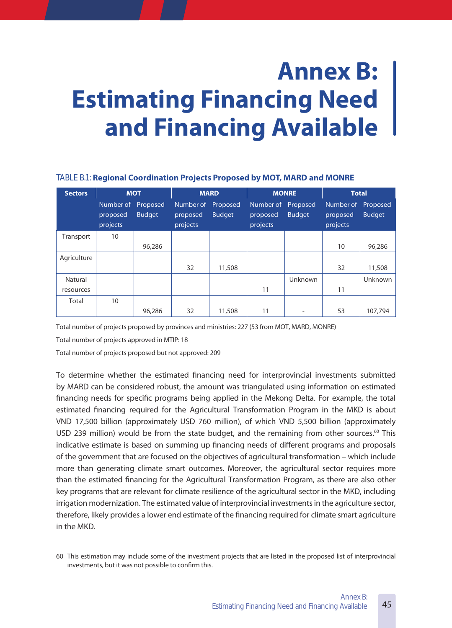# **Annex B: Estimating Financing Need and Financing Available**

#### TABLE B.1: **Regional Coordination Projects Proposed by MOT, MARD and MONRE**

| <b>Sectors</b> | <b>MOT</b>                        |                           |                                            | <b>MARD</b>   | <b>MONRE</b>                               |               | <b>Total</b>                               |                |
|----------------|-----------------------------------|---------------------------|--------------------------------------------|---------------|--------------------------------------------|---------------|--------------------------------------------|----------------|
|                | Number of<br>proposed<br>projects | Proposed<br><b>Budget</b> | Number of Proposed<br>proposed<br>projects | <b>Budget</b> | Number of Proposed<br>proposed<br>projects | <b>Budget</b> | Number of Proposed<br>proposed<br>projects | <b>Budget</b>  |
| Transport      | 10                                |                           |                                            |               |                                            |               |                                            |                |
|                |                                   | 96,286                    |                                            |               |                                            |               | 10                                         | 96,286         |
| Agriculture    |                                   |                           |                                            |               |                                            |               |                                            |                |
|                |                                   |                           | 32                                         | 11,508        |                                            |               | 32                                         | 11,508         |
| Natural        |                                   |                           |                                            |               |                                            | Unknown       |                                            | <b>Unknown</b> |
| resources      |                                   |                           |                                            |               | 11                                         |               | 11                                         |                |
| Total          | 10                                |                           |                                            |               |                                            |               |                                            |                |
|                |                                   | 96,286                    | 32                                         | 11,508        | 11                                         |               | 53                                         | 107,794        |

Total number of projects proposed by provinces and ministries: 227 (53 from MOT, MARD, MONRE)

Total number of projects approved in MTIP: 18

Total number of projects proposed but not approved: 209

To determine whether the estimated financing need for interprovincial investments submitted by MARD can be considered robust, the amount was triangulated using information on estimated financing needs for specific programs being applied in the Mekong Delta. For example, the total estimated financing required for the Agricultural Transformation Program in the MKD is about VND 17,500 billion (approximately USD 760 million), of which VND 5,500 billion (approximately USD 239 million) would be from the state budget, and the remaining from other sources.<sup>60</sup> This indicative estimate is based on summing up financing needs of different programs and proposals of the government that are focused on the objectives of agricultural transformation – which include more than generating climate smart outcomes. Moreover, the agricultural sector requires more than the estimated financing for the Agricultural Transformation Program, as there are also other key programs that are relevant for climate resilience of the agricultural sector in the MKD, including irrigation modernization. The estimated value of interprovincial investments in the agriculture sector, therefore, likely provides a lower end estimate of the financing required for climate smart agriculture in the MKD.

<sup>60</sup> This estimation may include some of the investment projects that are listed in the proposed list of interprovincial investments, but it was not possible to confirm this.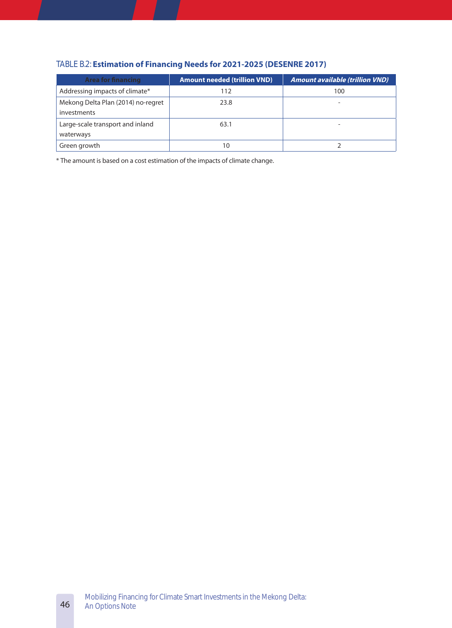| <b>Area for financing</b>          | <b>Amount needed (trillion VND)</b> | <b>Amount available (trillion VND)</b> |
|------------------------------------|-------------------------------------|----------------------------------------|
| Addressing impacts of climate*     | 112                                 | 100                                    |
| Mekong Delta Plan (2014) no-regret | 23.8                                |                                        |
| investments                        |                                     |                                        |
| Large-scale transport and inland   | 63.1                                |                                        |
| waterways                          |                                     |                                        |
| Green growth                       | 10                                  |                                        |

#### TABLE B.2: **Estimation of Financing Needs for 2021-2025 (DESENRE 2017)**

\* The amount is based on a cost estimation of the impacts of climate change.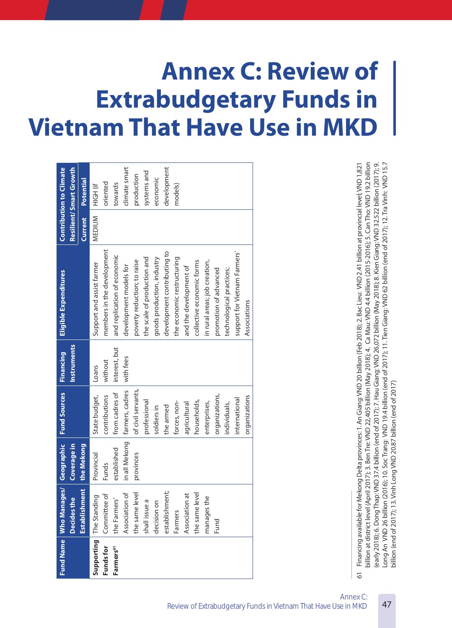# **Annex C: Review of Extrabudgetary Funds in Vietnam That Have Use in MKD**

| <b>Fund Name</b>                                   | nages/<br>Who Mai                | Geographic    | <b>Fund Sources</b> | Financing     | Eligible Expenditures                                                                                                                                                                                                                                            |         | <b>Contribution to Climate</b> |
|----------------------------------------------------|----------------------------------|---------------|---------------------|---------------|------------------------------------------------------------------------------------------------------------------------------------------------------------------------------------------------------------------------------------------------------------------|---------|--------------------------------|
|                                                    | the<br><b>Decides</b>            | Coverage in   |                     | Instruments   |                                                                                                                                                                                                                                                                  |         | Resilient/Smart Growth         |
|                                                    | <b>Iment</b><br><b>Establish</b> | the Mekong    |                     |               |                                                                                                                                                                                                                                                                  | Current | Potential                      |
| Supporting                                         | The Standing                     | Provincial    | State budget,       | Loans         | Support and assist farmer                                                                                                                                                                                                                                        | MEDIUM  | HIGH (if                       |
| Funds for                                          | Committee of                     | Funds         | contributions       | without       | members in the development                                                                                                                                                                                                                                       |         | oriented                       |
| Farmers <sup>61</sup>                              | the Farmers'                     | established   | from cadres of      | interest, but | and replication of economic                                                                                                                                                                                                                                      |         | towards                        |
|                                                    | Association of                   | in all Mekong | farmers, cadres     | with fees     | development models for                                                                                                                                                                                                                                           |         | climate smart                  |
|                                                    | the same level                   | provinces     | of civil servants,  |               | poverty reduction; to raise                                                                                                                                                                                                                                      |         | production                     |
|                                                    | shall issue a                    |               | professional        |               | the scale of production and                                                                                                                                                                                                                                      |         | systems and                    |
|                                                    | decision on                      |               | soldiers in         |               | goods production, industry                                                                                                                                                                                                                                       |         | economic                       |
|                                                    | establishment;                   |               | the armed           |               | development contributing to                                                                                                                                                                                                                                      |         | development                    |
|                                                    | Farmers                          |               | forces, non-        |               | the economic restructuring                                                                                                                                                                                                                                       |         | models)                        |
|                                                    | Association at                   |               | agricultural        |               | and the development of                                                                                                                                                                                                                                           |         |                                |
|                                                    | the same level                   |               | households,         |               | collective economic forms                                                                                                                                                                                                                                        |         |                                |
|                                                    | the<br>manages                   |               | enterprises,        |               | in rural areas; job creation,                                                                                                                                                                                                                                    |         |                                |
|                                                    | Fund                             |               | organizations,      |               | promotion of advanced                                                                                                                                                                                                                                            |         |                                |
|                                                    |                                  |               | individuals,        |               | technological practices;                                                                                                                                                                                                                                         |         |                                |
|                                                    |                                  |               | international       |               | support for Vietnam Farmers'                                                                                                                                                                                                                                     |         |                                |
|                                                    |                                  |               | organizations       |               | Associations                                                                                                                                                                                                                                                     |         |                                |
|                                                    |                                  |               |                     |               |                                                                                                                                                                                                                                                                  |         |                                |
|                                                    |                                  |               |                     |               |                                                                                                                                                                                                                                                                  |         |                                |
|                                                    |                                  |               |                     |               |                                                                                                                                                                                                                                                                  |         |                                |
|                                                    |                                  |               |                     |               |                                                                                                                                                                                                                                                                  |         |                                |
|                                                    |                                  |               |                     |               |                                                                                                                                                                                                                                                                  |         |                                |
|                                                    |                                  |               |                     |               |                                                                                                                                                                                                                                                                  |         |                                |
|                                                    |                                  |               |                     |               |                                                                                                                                                                                                                                                                  |         |                                |
|                                                    |                                  |               |                     |               |                                                                                                                                                                                                                                                                  |         |                                |
|                                                    |                                  |               |                     |               |                                                                                                                                                                                                                                                                  |         |                                |
|                                                    |                                  |               |                     |               |                                                                                                                                                                                                                                                                  |         |                                |
| 61                                                 |                                  |               |                     |               | Financing available for Mekong Delta provinces: 1. An Giang: VND 20 billion (Feb 2018); 2. Bac Lieu: VND 2.41 billion at provincial level; VND 1,821                                                                                                             |         |                                |
| billion at district level<br>(early 2018); 6. Dong |                                  |               |                     |               | (April 2017); 3. Ben Tre: VND 22,405 billion (May 2018); 4. Ca Mau: VND 4.4 billion (2015-2016); 5. Can Tho: VND 19.2 billion<br>Thap: VND 37.4 billion (end of 2017); 7. Hau Giang: VND 26,072 billion (May 2018); 8. Kien Giang: VND 32.522 billion (2017); 9. |         |                                |

Long An VND 26 billion (2016); 10. Soc Trang: VND 19.4 billion (end of 2017); 11. Tien Giang: VND 62 billion (end of 2017); 12. Tra Vinh: VND 15.7 billion (end of 2017); 13. Vinh Long VND 20.87 billion (end of 2017) billion (end of 2017); 13. Vinh Long VND 20.87 billion (end of 2017)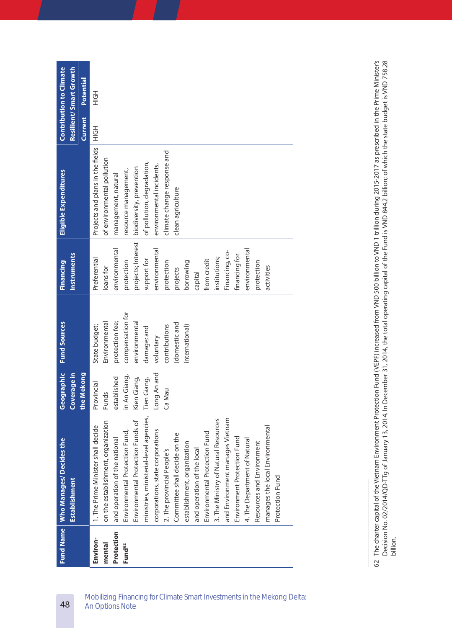|                    | Fund Name   Who Manages/ Decides the<br><b>Establishment</b> | Geographic<br>Coverage in | <b>Fund Sources</b> | <b>Instruments</b><br>Financing | Eligible Expenditures            |         | Resilient/Smart Growth<br><b>Contribution to Climate</b> |
|--------------------|--------------------------------------------------------------|---------------------------|---------------------|---------------------------------|----------------------------------|---------|----------------------------------------------------------|
|                    |                                                              | the Mekong                |                     |                                 |                                  | Current | <b>Potential</b>                                         |
| Environ-           | 1. The Prime Minister shall decide                           | Provincial                | State budget;       | Preferential                    | Projects and plans in the fields | エクテ     | H <sub>OH</sub>                                          |
| mental             | on the establishment, organization                           | Funds                     | Environmental       | loans for                       | of environmental pollution       |         |                                                          |
| Protection         | and operation of the national                                | established               | protection fee;     | environmental                   | management, natural              |         |                                                          |
| Fund <sup>62</sup> | Environmental Protection Fund,                               | in An Giang,              | compensation for    | protection                      | resource management,             |         |                                                          |
|                    | Environmental Protection Funds of                            | Kien Giang,               | environmental       | projects; Interest              | biodiversity, prevention         |         |                                                          |
|                    | ministries, ministerial-level agencies,                      | Tien Giang,               | damage; and         | support for                     | of pollution, degradation,       |         |                                                          |
|                    | corporations, state corporations                             | Long An and               | voluntary           | environmental                   | environmental incidents,         |         |                                                          |
|                    | 2. The provincial People's                                   | Ca Mau                    | contributions       | protection                      | climate change response and      |         |                                                          |
|                    | Committee shall decide on the                                |                           | (domestic and       | projects                        | clean agriculture                |         |                                                          |
|                    | establishment, organization                                  |                           | international)      | borrowing                       |                                  |         |                                                          |
|                    | and operation of the local                                   |                           |                     | capital                         |                                  |         |                                                          |
|                    | Environmental Protection Fund                                |                           |                     | from credit                     |                                  |         |                                                          |
|                    | 3. The Ministry of Natural Resources                         |                           |                     | institutions;                   |                                  |         |                                                          |
|                    | and Environment manages Vietnam                              |                           |                     | Financing, co-                  |                                  |         |                                                          |
|                    | Environment Protection Fund                                  |                           |                     | financing for                   |                                  |         |                                                          |
|                    | 4. The Department of Natural                                 |                           |                     | environmental                   |                                  |         |                                                          |
|                    | Resources and Environment                                    |                           |                     | protection                      |                                  |         |                                                          |
|                    | manages the local Environmental                              |                           |                     | activities                      |                                  |         |                                                          |
|                    | Protection Fund                                              |                           |                     |                                 |                                  |         |                                                          |
|                    |                                                              |                           |                     |                                 |                                  |         |                                                          |

The charter capital of the Vietnam Environment Protection Fund (VEPF) increased from VND 500 billion to VND 1 trillion during 2015-2017 as prescribed in the Prime Minister's<br>Decision No. 02/2014/QD-TTg of January 13, 2014. 62 The charter capital of the Vietnam Environment Protection Fund (VEPF) increased from VND 500 billion to VND 1 trillion during 2015-2017 as prescribed in the Prime Minister's Decision No. 02/2014/QD-TTg of January 13, 2014. In December 31, 2014, the total operating capital of the Fund is VND 844.2 billion; of which the state budget is VND 758.28  $62$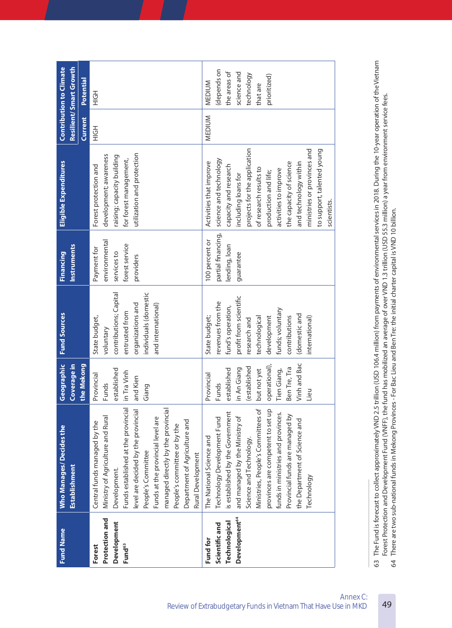| Ministry of Agriculture and Rural<br>Central funds managed by the<br>Development.<br>Protection and<br>Development<br>Forest<br>Fund <sup>63</sup> |                                     | Coverage in         |                            | <b>Instruments</b>           |                                                 | Resilient/Smart Growth |                 |
|----------------------------------------------------------------------------------------------------------------------------------------------------|-------------------------------------|---------------------|----------------------------|------------------------------|-------------------------------------------------|------------------------|-----------------|
|                                                                                                                                                    |                                     | the Mekong          |                            |                              |                                                 | Current                | Potential       |
|                                                                                                                                                    |                                     | Provincial<br>Funds | State budget,<br>voluntary | environmental<br>Payment for | development; awareness<br>Forest protection and | H <sub>OH</sub>        | H <sub>OH</sub> |
|                                                                                                                                                    |                                     | established         | contributions; Capital     | services to                  | raising; capacity building                      |                        |                 |
|                                                                                                                                                    | Funds established at the provincial | in Tra Vinh         | entrusted from             | forest service               | for forest management,                          |                        |                 |
|                                                                                                                                                    | level are decided by the provincial | and Kien            | organizations and          | providers                    | utilization and protection                      |                        |                 |
| People's Committee                                                                                                                                 |                                     | Giang               | individuals (domestic      |                              |                                                 |                        |                 |
|                                                                                                                                                    | Funds at the provincial level are   |                     | and international)         |                              |                                                 |                        |                 |
|                                                                                                                                                    | managed directly by the provincial  |                     |                            |                              |                                                 |                        |                 |
|                                                                                                                                                    | People's committee or by the        |                     |                            |                              |                                                 |                        |                 |
|                                                                                                                                                    | Department of Agriculture and       |                     |                            |                              |                                                 |                        |                 |
| Rural Development                                                                                                                                  |                                     |                     |                            |                              |                                                 |                        |                 |
| The National Science and<br>Fund for                                                                                                               |                                     | Provincial          | State budget;              | 100 percent or               | Activities that improve                         | MEDIUM                 | <b>MEDIUM</b>   |
| Scientific and                                                                                                                                     | Technology Development Fund         | <b>Funds</b>        | revenues from the          | partial financing,           | science and technology                          |                        | (depends on     |
| <b>Technological</b>                                                                                                                               | is established by the Government    | established         | fund's operation,          | lending, loan                | capacity and research                           |                        | the areas of    |
| Development <sup>64</sup>                                                                                                                          | and managed by the Ministry of      | in An Giang         | profit from scientific     | guarantee                    | including loans for                             |                        | science and     |
| Science and Technology.                                                                                                                            |                                     | (established        | research and               |                              | projects for the application                    |                        | technology      |
|                                                                                                                                                    | Ministries, People's Committees of  | but not yet         | technological              |                              | of research results to                          |                        | that are        |
|                                                                                                                                                    | provinces are competent to set up   | operational),       | development                |                              | production and life;                            |                        | prioritized)    |
|                                                                                                                                                    | funds in ministries and provinces.  | Tien Giang,         | funds; voluntary           |                              | activities to improve                           |                        |                 |
|                                                                                                                                                    | Provincial funds are managed by     | Ben Tre, Tra        | contributions              |                              | the capacity of science                         |                        |                 |
|                                                                                                                                                    | the Department of Science and       | Vinh and Bac        | (domestic and              |                              | and technology within                           |                        |                 |
| Technology                                                                                                                                         |                                     | Lieu                | international)             |                              | ministries or provinces and                     |                        |                 |
|                                                                                                                                                    |                                     |                     |                            |                              | to support, talented young                      |                        |                 |
|                                                                                                                                                    |                                     |                     |                            |                              | scientists.                                     |                        |                 |

63 The Fund is forecast to collect approximately VND 2.5 trillion (USD 106.4 million) from payments of environmental services in 2018. During the 10-year operation of the Vietnam<br>Forest Protection and Development Fund (VNF 63 The Fund is forecast to collect approximately VND 2.5 trillion (USD 106.4 million) from payments of environmental services in 2018. During the 10-year operation of the Vietnam Forest Protection and Development Fund (VNFF), the fund has mobilized an average of over VND 1.3 trillion (USD 55.3 million) a year from environment service fees. 64 There are two sub-national funds in Mekong Provinces - For Bac Lieu and Ben Tre: the initial charter capital is VND 10 billion.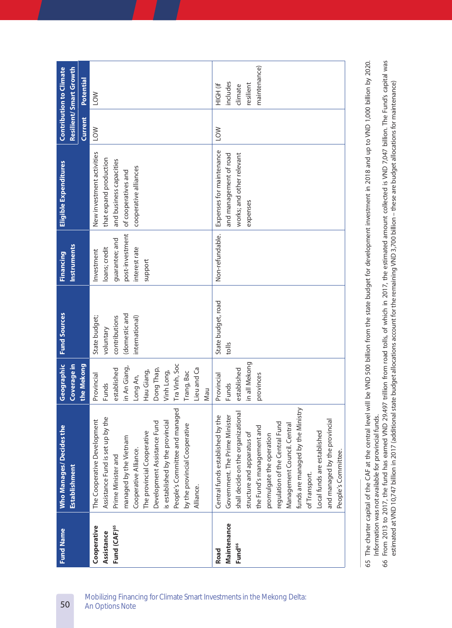| Resilient/Smart Growth<br>Potential<br>includes<br>HIGH (if<br>resilient<br>climate<br><b>NOT</b><br>Current<br>LOW<br><b>NO7</b><br>Expenses for maintenance<br>New investment activities<br>and management of road<br>works; and other relevant<br>that expand production<br>and business capacities<br>cooperative alliances<br>of cooperatives and<br>expenses<br>post-investment<br>Non-refundable.<br>guarantee; and<br><b>Instruments</b><br>loans; credit<br>interest rate<br>Investment<br>support<br>State budget, road<br>(domestic and<br>contributions<br>State budget;<br>international)<br>voluntary<br>tolls<br>in all Mekong<br>Tra Vinh, Soc<br>Coverage in<br>the Mekong<br>in An Giang,<br>Dong Thap,<br>Lieu and Ca<br>established<br>Vinh Long,<br>established<br>Hau Giang,<br>Trang, Bac<br>provinces<br>Provincial<br>Provincial<br>Long An,<br>Funds<br><b>Funds</b><br>Nau<br>funds are managed by the Ministry<br>People's Committee and managed<br>shall decide on the organizational<br>Central funds established by the<br>Government. The Prime Minister<br>Assistance Fund is set up by the<br>and managed by the provincial<br>The Cooperative Development<br>is established by the provincial<br>Development Assistance Fund<br>regulation of the Central Fund<br>by the provincial Cooperative<br>Management Council. Central<br>the Fund's management and<br>Local funds are established<br>The provincial Cooperative<br>structure and apparatus of<br>promulgate the operation<br>managed by the Vietnam<br>Cooperative Alliance.<br>People's Committee.<br>Prime Minister and<br><b>Establishment</b><br>of Transport.<br>Alliance.<br>Maintenance<br>Cooperative<br>Fund (CAF) <sup>65</sup><br>Assistance<br>Fund <sup>66</sup><br>Road | <b>Fund Name</b> | <b>Who Manages/ Decides the</b> | Geographic | <b>Fund Sources</b> | Financing | <b>Eligible Expenditures</b> | <b>Contribution to Climate</b> |
|-----------------------------------------------------------------------------------------------------------------------------------------------------------------------------------------------------------------------------------------------------------------------------------------------------------------------------------------------------------------------------------------------------------------------------------------------------------------------------------------------------------------------------------------------------------------------------------------------------------------------------------------------------------------------------------------------------------------------------------------------------------------------------------------------------------------------------------------------------------------------------------------------------------------------------------------------------------------------------------------------------------------------------------------------------------------------------------------------------------------------------------------------------------------------------------------------------------------------------------------------------------------------------------------------------------------------------------------------------------------------------------------------------------------------------------------------------------------------------------------------------------------------------------------------------------------------------------------------------------------------------------------------------------------------------------------------------------------------------------------------------------------------------------|------------------|---------------------------------|------------|---------------------|-----------|------------------------------|--------------------------------|
|                                                                                                                                                                                                                                                                                                                                                                                                                                                                                                                                                                                                                                                                                                                                                                                                                                                                                                                                                                                                                                                                                                                                                                                                                                                                                                                                                                                                                                                                                                                                                                                                                                                                                                                                                                                   |                  |                                 |            |                     |           |                              |                                |
|                                                                                                                                                                                                                                                                                                                                                                                                                                                                                                                                                                                                                                                                                                                                                                                                                                                                                                                                                                                                                                                                                                                                                                                                                                                                                                                                                                                                                                                                                                                                                                                                                                                                                                                                                                                   |                  |                                 |            |                     |           |                              |                                |
|                                                                                                                                                                                                                                                                                                                                                                                                                                                                                                                                                                                                                                                                                                                                                                                                                                                                                                                                                                                                                                                                                                                                                                                                                                                                                                                                                                                                                                                                                                                                                                                                                                                                                                                                                                                   |                  |                                 |            |                     |           |                              |                                |
|                                                                                                                                                                                                                                                                                                                                                                                                                                                                                                                                                                                                                                                                                                                                                                                                                                                                                                                                                                                                                                                                                                                                                                                                                                                                                                                                                                                                                                                                                                                                                                                                                                                                                                                                                                                   |                  |                                 |            |                     |           |                              | maintenance)                   |

The charter capital of the CAF at the central level will be VND 500 billion from the state budget for development investment in 2018 and up to VND 1,000 billion by 2020. 65 The charter capital of the CAF at the central level will be VND 500 billion from the state budget for development investment in 2018 and up to VND 1,000 billion by 2020. Information was not available for provincial funds. Information was not available for provincial funds. 65

66 From 2013 to 2017, the fund has earned VND 29.497 trillion from road tolls, of which in 2017, the estimated amount collected is VND 7,047 billion. The Fund's capital was<br>estimated at VND 10,747 billion in 2017 (addition 66 From 2013 to 2017, the fund has earned VND 29.497 trillion from road tolls, of which in 2017, the estimated amount collected is VND 7,047 billion. The Fund's capital was estimated at VND 10,747 billion in 2017 (additional state budget allocations account for the remaining VND 3,700 billion – these are budget allocations for maintenance)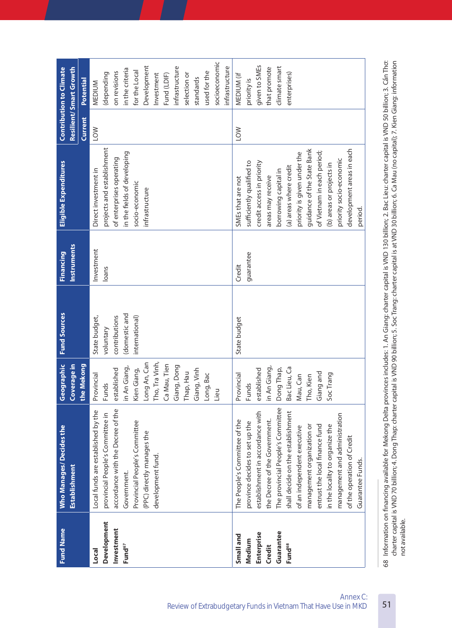| voluntary<br>Tho, Tra Vinh,<br>Long An, Can<br>Ca Mau, Tien<br>Geographic<br>Coverage in<br>the Mekong<br>Giang, Dong<br>in An Giang,<br>in An Giang,<br>Dong Thap,<br>Bac Lieu, Ca<br>Giang, Vinh<br>Kien Giang,<br>established<br>established<br>Thap, Hau<br>Long, Bac<br>Provincial<br>Provincial<br>Mau, Can<br><b>Funds</b><br>Funds<br>Lieu<br>The provincial People's Committee<br>accordance with the Decree of the<br>Local funds are established by the<br>establishment in accordance with<br>shall decide on the establishment<br>provincial People's Committee in<br>the Decree of the Government.<br>The People's Committee of the<br>Provincial People's Committee<br>province decides to set up the<br><b>Who Manages/ Decides the</b><br>of an independent executive<br>(PPC) directly manages the<br>development fund.<br><b>Establishment</b><br>Government.<br><b>Development</b><br>Investment<br>Guarantee<br>Enterprise<br>Small and<br>Medium<br>Fund <sup>68</sup><br>Fund <sup>67</sup><br>Credit<br>Local | (domestic and<br>contributions<br>State budget,<br>international) | Instruments<br>Investment<br><b>Financing</b><br>loans | projects and establishment<br>in the fields of developing<br>of enterprises operating<br>Eligible Expenditures<br>Direct investment in<br>socio-economic<br>infrastructure | Current<br><b>NO1</b> | Development<br>Resilient/Smart Growth<br>infrastructure<br>in the criteria<br>for the Local<br>on revisions<br>used for the<br>(depending<br>selection or<br>Investment<br>Fund (LDIF)<br>standards<br>Potential<br>MEDIUM |
|---------------------------------------------------------------------------------------------------------------------------------------------------------------------------------------------------------------------------------------------------------------------------------------------------------------------------------------------------------------------------------------------------------------------------------------------------------------------------------------------------------------------------------------------------------------------------------------------------------------------------------------------------------------------------------------------------------------------------------------------------------------------------------------------------------------------------------------------------------------------------------------------------------------------------------------------------------------------------------------------------------------------------------------|-------------------------------------------------------------------|--------------------------------------------------------|----------------------------------------------------------------------------------------------------------------------------------------------------------------------------|-----------------------|----------------------------------------------------------------------------------------------------------------------------------------------------------------------------------------------------------------------------|
|                                                                                                                                                                                                                                                                                                                                                                                                                                                                                                                                                                                                                                                                                                                                                                                                                                                                                                                                                                                                                                       |                                                                   |                                                        |                                                                                                                                                                            |                       |                                                                                                                                                                                                                            |
|                                                                                                                                                                                                                                                                                                                                                                                                                                                                                                                                                                                                                                                                                                                                                                                                                                                                                                                                                                                                                                       |                                                                   |                                                        |                                                                                                                                                                            |                       |                                                                                                                                                                                                                            |
|                                                                                                                                                                                                                                                                                                                                                                                                                                                                                                                                                                                                                                                                                                                                                                                                                                                                                                                                                                                                                                       |                                                                   |                                                        |                                                                                                                                                                            |                       |                                                                                                                                                                                                                            |
|                                                                                                                                                                                                                                                                                                                                                                                                                                                                                                                                                                                                                                                                                                                                                                                                                                                                                                                                                                                                                                       |                                                                   |                                                        |                                                                                                                                                                            |                       |                                                                                                                                                                                                                            |
|                                                                                                                                                                                                                                                                                                                                                                                                                                                                                                                                                                                                                                                                                                                                                                                                                                                                                                                                                                                                                                       |                                                                   |                                                        |                                                                                                                                                                            |                       |                                                                                                                                                                                                                            |
|                                                                                                                                                                                                                                                                                                                                                                                                                                                                                                                                                                                                                                                                                                                                                                                                                                                                                                                                                                                                                                       |                                                                   |                                                        |                                                                                                                                                                            |                       |                                                                                                                                                                                                                            |
|                                                                                                                                                                                                                                                                                                                                                                                                                                                                                                                                                                                                                                                                                                                                                                                                                                                                                                                                                                                                                                       |                                                                   |                                                        |                                                                                                                                                                            |                       |                                                                                                                                                                                                                            |
|                                                                                                                                                                                                                                                                                                                                                                                                                                                                                                                                                                                                                                                                                                                                                                                                                                                                                                                                                                                                                                       |                                                                   |                                                        |                                                                                                                                                                            |                       |                                                                                                                                                                                                                            |
|                                                                                                                                                                                                                                                                                                                                                                                                                                                                                                                                                                                                                                                                                                                                                                                                                                                                                                                                                                                                                                       |                                                                   |                                                        |                                                                                                                                                                            |                       |                                                                                                                                                                                                                            |
|                                                                                                                                                                                                                                                                                                                                                                                                                                                                                                                                                                                                                                                                                                                                                                                                                                                                                                                                                                                                                                       |                                                                   |                                                        |                                                                                                                                                                            |                       |                                                                                                                                                                                                                            |
|                                                                                                                                                                                                                                                                                                                                                                                                                                                                                                                                                                                                                                                                                                                                                                                                                                                                                                                                                                                                                                       |                                                                   |                                                        |                                                                                                                                                                            |                       |                                                                                                                                                                                                                            |
|                                                                                                                                                                                                                                                                                                                                                                                                                                                                                                                                                                                                                                                                                                                                                                                                                                                                                                                                                                                                                                       |                                                                   |                                                        |                                                                                                                                                                            |                       |                                                                                                                                                                                                                            |
|                                                                                                                                                                                                                                                                                                                                                                                                                                                                                                                                                                                                                                                                                                                                                                                                                                                                                                                                                                                                                                       |                                                                   |                                                        |                                                                                                                                                                            |                       |                                                                                                                                                                                                                            |
|                                                                                                                                                                                                                                                                                                                                                                                                                                                                                                                                                                                                                                                                                                                                                                                                                                                                                                                                                                                                                                       |                                                                   |                                                        |                                                                                                                                                                            |                       |                                                                                                                                                                                                                            |
|                                                                                                                                                                                                                                                                                                                                                                                                                                                                                                                                                                                                                                                                                                                                                                                                                                                                                                                                                                                                                                       |                                                                   |                                                        |                                                                                                                                                                            |                       | socioeconomic                                                                                                                                                                                                              |
|                                                                                                                                                                                                                                                                                                                                                                                                                                                                                                                                                                                                                                                                                                                                                                                                                                                                                                                                                                                                                                       |                                                                   |                                                        |                                                                                                                                                                            |                       | infrastructure                                                                                                                                                                                                             |
|                                                                                                                                                                                                                                                                                                                                                                                                                                                                                                                                                                                                                                                                                                                                                                                                                                                                                                                                                                                                                                       | State budget                                                      | Credit                                                 | SMEs that are not                                                                                                                                                          | <b>NO7</b>            | MEDIUM (if                                                                                                                                                                                                                 |
|                                                                                                                                                                                                                                                                                                                                                                                                                                                                                                                                                                                                                                                                                                                                                                                                                                                                                                                                                                                                                                       |                                                                   | guarantee                                              | sufficiently qualified to                                                                                                                                                  |                       | priority is                                                                                                                                                                                                                |
|                                                                                                                                                                                                                                                                                                                                                                                                                                                                                                                                                                                                                                                                                                                                                                                                                                                                                                                                                                                                                                       |                                                                   |                                                        | credit access in priority                                                                                                                                                  |                       | given to SMEs                                                                                                                                                                                                              |
|                                                                                                                                                                                                                                                                                                                                                                                                                                                                                                                                                                                                                                                                                                                                                                                                                                                                                                                                                                                                                                       |                                                                   |                                                        | areas may receive                                                                                                                                                          |                       | that promote                                                                                                                                                                                                               |
|                                                                                                                                                                                                                                                                                                                                                                                                                                                                                                                                                                                                                                                                                                                                                                                                                                                                                                                                                                                                                                       |                                                                   |                                                        | borrowing capital in                                                                                                                                                       |                       | climate smart                                                                                                                                                                                                              |
|                                                                                                                                                                                                                                                                                                                                                                                                                                                                                                                                                                                                                                                                                                                                                                                                                                                                                                                                                                                                                                       |                                                                   |                                                        | (a) areas where credit                                                                                                                                                     |                       | enterprises)                                                                                                                                                                                                               |
|                                                                                                                                                                                                                                                                                                                                                                                                                                                                                                                                                                                                                                                                                                                                                                                                                                                                                                                                                                                                                                       |                                                                   |                                                        | priority is given under the                                                                                                                                                |                       |                                                                                                                                                                                                                            |
| Tho, Kien<br>management organization or                                                                                                                                                                                                                                                                                                                                                                                                                                                                                                                                                                                                                                                                                                                                                                                                                                                                                                                                                                                               |                                                                   |                                                        | guidance of the State Bank                                                                                                                                                 |                       |                                                                                                                                                                                                                            |
| Giang and<br>entrust the local finance fund                                                                                                                                                                                                                                                                                                                                                                                                                                                                                                                                                                                                                                                                                                                                                                                                                                                                                                                                                                                           |                                                                   |                                                        | of Vietnam in each period;                                                                                                                                                 |                       |                                                                                                                                                                                                                            |
| SocTrang<br>in the locality to organize the                                                                                                                                                                                                                                                                                                                                                                                                                                                                                                                                                                                                                                                                                                                                                                                                                                                                                                                                                                                           |                                                                   |                                                        | (b) areas or projects in                                                                                                                                                   |                       |                                                                                                                                                                                                                            |
| management and administration                                                                                                                                                                                                                                                                                                                                                                                                                                                                                                                                                                                                                                                                                                                                                                                                                                                                                                                                                                                                         |                                                                   |                                                        | priority socio-economic                                                                                                                                                    |                       |                                                                                                                                                                                                                            |
| of the operation of Credit                                                                                                                                                                                                                                                                                                                                                                                                                                                                                                                                                                                                                                                                                                                                                                                                                                                                                                                                                                                                            |                                                                   |                                                        | development areas in each                                                                                                                                                  |                       |                                                                                                                                                                                                                            |
| Guarantee Funds.                                                                                                                                                                                                                                                                                                                                                                                                                                                                                                                                                                                                                                                                                                                                                                                                                                                                                                                                                                                                                      |                                                                   |                                                        | period.                                                                                                                                                                    |                       |                                                                                                                                                                                                                            |

68 Information on financing available for Mekong Delta provinces includes: 1. An Giang: charter capital is VND 130 billion; 2. Bac Lieu: charter capital is VND 50 billion; 3. Cán Thơ:<br>charter capital is VND 70 billion; 4 68 Information on financing available for Mekong Delta provinces includes: 1. An Giang: charter capital is VND 130 billion; 2. Bac Lieu: charter capital is VND 50 billion; 3. Cần Thơ: charter capital is VND 70 billion; 4. Dong Thap: charter capital is VND 90 billion; 5. Soc Trang: charter capital is at VND 30 billion; 6. Ca Mau (no capital); 7. Kien Giang: information not available. not available.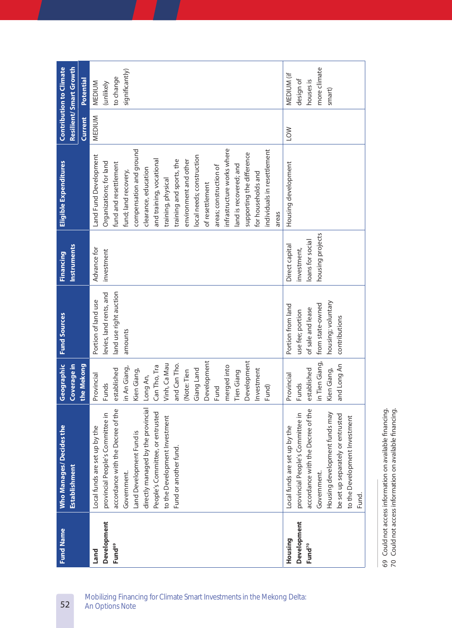| <b>Fund Name</b>   | <b>Who Manages/ Decides the</b>    | Geographic     | <b>Fund Sources</b>     | Financing          | Eligible Expenditures       |            | <b>Contribution to Climate</b> |
|--------------------|------------------------------------|----------------|-------------------------|--------------------|-----------------------------|------------|--------------------------------|
|                    | Establishment                      | Coverage in    |                         | <b>Instruments</b> |                             |            | Resilient/Smart Growth         |
|                    |                                    | the Mekong     |                         |                    |                             | Current    | Potential                      |
| Land               | Local funds are set up by the      | Provincial     | Portion of land use     | Advance for        | Land Fund Development       | MEDIUM     | MEDIUM                         |
| <b>Development</b> | provincial People's Committee in   | <b>Funds</b>   | levies, land rents, and | investment         | Organizations; for land     |            | (unlikely                      |
| Fund <sup>69</sup> | accordance with the Decree of the  | established    | land use right auction  |                    | fund and resettlement       |            | to change                      |
|                    | Government.                        | in An Giang,   | amounts                 |                    | fund; land recovery,        |            | significantly)                 |
|                    | Land Development Fund is           | Kien Giang,    |                         |                    | compensation and ground     |            |                                |
|                    | directly managed by the provincial | Long An,       |                         |                    | clearance, education        |            |                                |
|                    | People's Committee, or entrusted   | Can Tho, Tra   |                         |                    | and training, vocational    |            |                                |
|                    | to the Development Investment      | Vinh, Ca Mau   |                         |                    | training, physical          |            |                                |
|                    | Fund or another fund.              | and Can Tho.   |                         |                    | training and sports, the    |            |                                |
|                    |                                    | (Note: Tien    |                         |                    | environment and other       |            |                                |
|                    |                                    | Giang Land     |                         |                    | local needs; construction   |            |                                |
|                    |                                    | Development    |                         |                    | of resettlement             |            |                                |
|                    |                                    | Fund           |                         |                    | areas; construction of      |            |                                |
|                    |                                    | merged into    |                         |                    | infrastructure works where  |            |                                |
|                    |                                    | Tien Giang     |                         |                    | land is recovered; and      |            |                                |
|                    |                                    | Development    |                         |                    | supporting the difference   |            |                                |
|                    |                                    | Investment     |                         |                    | for households and          |            |                                |
|                    |                                    | Fund)          |                         |                    | individuals in resettlement |            |                                |
|                    |                                    |                |                         |                    | areas                       |            |                                |
| Housing            | Local funds are set up by the      | Provincial     | Portion from land       | Direct capital     | Housing development         | <b>MOT</b> | MEDIUM (if                     |
| Development        | provincial People's Committee in   | Funds          | use fee; portion        | investment,        |                             |            | design of                      |
| Fund <sup>70</sup> | accordance with the Decree of the  | established    | of sale and lease       | loans for social   |                             |            | houses is                      |
|                    | Government.                        | in Tien Giang, | from state-owned        | housing projects   |                             |            | more climate                   |
|                    | Housing development funds may      | Kien Giang,    | housing; voluntary      |                    |                             |            | smart)                         |
|                    | be set up separately or entrusted  | and Long An    | contributions           |                    |                             |            |                                |
|                    | to the Development Investment      |                |                         |                    |                             |            |                                |
|                    | Fund.                              |                |                         |                    |                             |            |                                |

69 Could not access information on available financing.<br>70 Could not access information on available financing. 69 Could not access information on available financing. 70 Could not access information on available financing.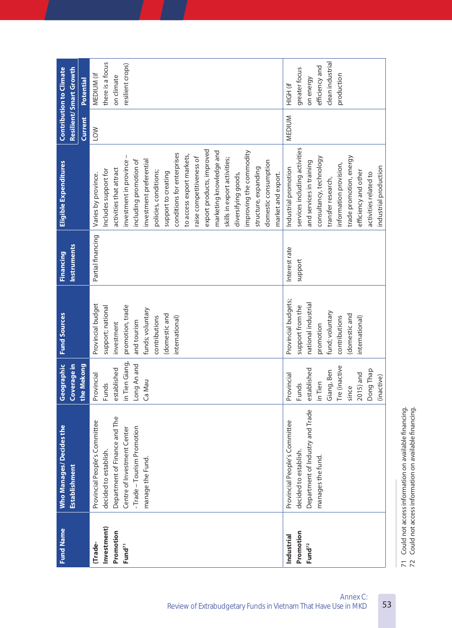| <b>Fund Name</b>                                         | <b>Who Manages/ Decides the</b><br>Establishment                                                                                                                         | Coverage in<br>Geographic                                                                                                     | <b>Fund Sources</b>                                                                                                                                             | Instruments<br>Financing | Eligible Expenditures                                                                                                                                                                                                                                                                                                                                                                                                                                                                                          |            | Resilient/Smart Growth<br><b>Contribution to Climate</b>                                   |
|----------------------------------------------------------|--------------------------------------------------------------------------------------------------------------------------------------------------------------------------|-------------------------------------------------------------------------------------------------------------------------------|-----------------------------------------------------------------------------------------------------------------------------------------------------------------|--------------------------|----------------------------------------------------------------------------------------------------------------------------------------------------------------------------------------------------------------------------------------------------------------------------------------------------------------------------------------------------------------------------------------------------------------------------------------------------------------------------------------------------------------|------------|--------------------------------------------------------------------------------------------|
|                                                          |                                                                                                                                                                          | the Mekong                                                                                                                    |                                                                                                                                                                 |                          |                                                                                                                                                                                                                                                                                                                                                                                                                                                                                                                | Current    | Potential                                                                                  |
| Investment)<br>Promotion<br>Trade-<br>Fund <sup>71</sup> | Department of Finance and The<br>Provincial People's Committee<br>-Trade - Tourism Promotion<br>Centre of Investment Center<br>decided to establish.<br>manage the Fund. | in Tien Giang,<br>Long An and<br>established<br>Provincial<br>Ca Mau<br>Funds                                                 | Provincial budget<br>support; national<br>promotion, trade<br>funds; voluntary<br>(domestic and<br>contributions<br>international)<br>and tourism<br>investment | Partial financing        | export products, improved<br>marketing knowledge and<br>improving the commodity<br>conditions for enterprises<br>to access export markets,<br>investment in province -<br>raise competitiveness of<br>skills in export activities;<br>including promotion of<br>investment preferential<br>domestic consumption<br>structure, expanding<br>activities that attract<br>Includes support for<br>policies, conditions;<br>support to creating<br>market and export.<br>diversifying goods,<br>Varies by province. | <b>NO7</b> | there is a focus<br>resilient crops)<br>MEDIUM (if<br>on climate                           |
| Promotion<br>Industrial<br>Fund <sup>72</sup>            | Department of Industry and Trade<br>Provincial People's Committee<br>decided to establish.<br>manages the fund.                                                          | Tre (inactive<br>established<br>Dong Thap<br>Giang, Ben<br>2015) and<br>Provincial<br>(inactive)<br>in Tien<br>Funds<br>since | Provincial budgets;<br>national industrial<br>support from the<br>fund; voluntary<br>domestic and<br>contributions<br>international)<br>promotion               | Interest rate<br>support | services including activities<br>trade promotion, energy<br>consultancy, technology<br>and services in training<br>information provision,<br>industrial production<br>Industrial promotion<br>efficiency and other<br>activities related to<br>transfer research,                                                                                                                                                                                                                                              | MEDIUM     | clean industrial<br>efficiency and<br>greater focus<br>production<br>on energy<br>HIGH (if |

71 Could not access information on available financing.<br>72 Could not access information on available financing. 71 Could not access information on available financing. 72 Could not access information on available financing.

53 Annex C:

Review of Extrabudgetary Funds in Vietnam That Have Use in MKD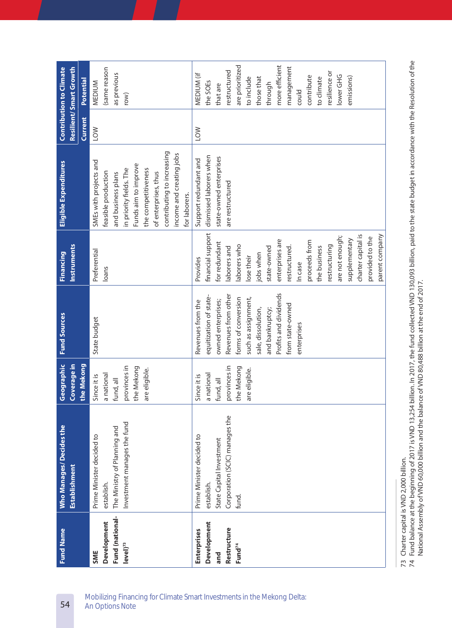| Profits and dividends<br>Revenues from other<br>equitization of state-<br>such as assignment,<br>forms of conversion<br>owned enterprises;<br>Revenues from the<br>from state-owned<br>sale, dissolution,<br>and bankruptcy;<br>State budget<br>enterprises<br>Coverage in<br>the Mekong<br>Geographic<br>provinces in<br>provinces in<br>the Mekong<br>the Mekong<br>are eligible.<br>are eligible.<br>a national<br>a national<br>Since it is<br>Since it is<br>fund, all<br>fund, all<br>Corporation (SCIC) manages the<br>Investment manages the fund<br><b>Who Manages/ Decides the</b><br>The Ministry of Planning and<br>Prime Minister decided to<br>Prime Minister decided to<br>State Capital Investment<br>Establishment<br>establish.<br>establish.<br>fund.<br>Fund (national-<br>Development<br>Development<br>Restructure<br>Enterprises<br>$level$ <sup>73</sup><br>Fund <sup>74</sup><br>SME<br>and |  | Instruments<br><b>Financing</b> | SMEs with projects and<br>Eligible Expenditures | Current    | Resilient/Smart Growth<br>Potential |
|----------------------------------------------------------------------------------------------------------------------------------------------------------------------------------------------------------------------------------------------------------------------------------------------------------------------------------------------------------------------------------------------------------------------------------------------------------------------------------------------------------------------------------------------------------------------------------------------------------------------------------------------------------------------------------------------------------------------------------------------------------------------------------------------------------------------------------------------------------------------------------------------------------------------|--|---------------------------------|-------------------------------------------------|------------|-------------------------------------|
|                                                                                                                                                                                                                                                                                                                                                                                                                                                                                                                                                                                                                                                                                                                                                                                                                                                                                                                      |  |                                 |                                                 |            |                                     |
|                                                                                                                                                                                                                                                                                                                                                                                                                                                                                                                                                                                                                                                                                                                                                                                                                                                                                                                      |  |                                 |                                                 |            |                                     |
|                                                                                                                                                                                                                                                                                                                                                                                                                                                                                                                                                                                                                                                                                                                                                                                                                                                                                                                      |  | Preferential                    |                                                 | <b>NO7</b> | MEDIUM                              |
|                                                                                                                                                                                                                                                                                                                                                                                                                                                                                                                                                                                                                                                                                                                                                                                                                                                                                                                      |  | loans                           | feasible production                             |            | (same reason                        |
|                                                                                                                                                                                                                                                                                                                                                                                                                                                                                                                                                                                                                                                                                                                                                                                                                                                                                                                      |  |                                 | and business plans                              |            | as previous                         |
|                                                                                                                                                                                                                                                                                                                                                                                                                                                                                                                                                                                                                                                                                                                                                                                                                                                                                                                      |  |                                 | in priority fields. The                         |            | row)                                |
|                                                                                                                                                                                                                                                                                                                                                                                                                                                                                                                                                                                                                                                                                                                                                                                                                                                                                                                      |  |                                 | Funds aim to improve                            |            |                                     |
|                                                                                                                                                                                                                                                                                                                                                                                                                                                                                                                                                                                                                                                                                                                                                                                                                                                                                                                      |  |                                 | the competitiveness                             |            |                                     |
|                                                                                                                                                                                                                                                                                                                                                                                                                                                                                                                                                                                                                                                                                                                                                                                                                                                                                                                      |  |                                 | of enterprises, thus                            |            |                                     |
|                                                                                                                                                                                                                                                                                                                                                                                                                                                                                                                                                                                                                                                                                                                                                                                                                                                                                                                      |  |                                 | contributing to increasing                      |            |                                     |
|                                                                                                                                                                                                                                                                                                                                                                                                                                                                                                                                                                                                                                                                                                                                                                                                                                                                                                                      |  |                                 | income and creating jobs                        |            |                                     |
|                                                                                                                                                                                                                                                                                                                                                                                                                                                                                                                                                                                                                                                                                                                                                                                                                                                                                                                      |  |                                 | for laborers.                                   |            |                                     |
|                                                                                                                                                                                                                                                                                                                                                                                                                                                                                                                                                                                                                                                                                                                                                                                                                                                                                                                      |  | Provides                        | Support redundant and                           | <b>NOT</b> | MEDIUM (if                          |
|                                                                                                                                                                                                                                                                                                                                                                                                                                                                                                                                                                                                                                                                                                                                                                                                                                                                                                                      |  | financial support               | dismissed laborers when                         |            | the SOEs                            |
|                                                                                                                                                                                                                                                                                                                                                                                                                                                                                                                                                                                                                                                                                                                                                                                                                                                                                                                      |  | for redundant                   | state-owned enterprises                         |            | that are                            |
|                                                                                                                                                                                                                                                                                                                                                                                                                                                                                                                                                                                                                                                                                                                                                                                                                                                                                                                      |  | laborers and                    | are restructured                                |            | restructured                        |
|                                                                                                                                                                                                                                                                                                                                                                                                                                                                                                                                                                                                                                                                                                                                                                                                                                                                                                                      |  | laborers who                    |                                                 |            | are prioritized                     |
|                                                                                                                                                                                                                                                                                                                                                                                                                                                                                                                                                                                                                                                                                                                                                                                                                                                                                                                      |  | lose their                      |                                                 |            | to include                          |
|                                                                                                                                                                                                                                                                                                                                                                                                                                                                                                                                                                                                                                                                                                                                                                                                                                                                                                                      |  | jobs when                       |                                                 |            | those that                          |
|                                                                                                                                                                                                                                                                                                                                                                                                                                                                                                                                                                                                                                                                                                                                                                                                                                                                                                                      |  | state-owned                     |                                                 |            | through                             |
|                                                                                                                                                                                                                                                                                                                                                                                                                                                                                                                                                                                                                                                                                                                                                                                                                                                                                                                      |  | enterprises are                 |                                                 |            | more efficient                      |
|                                                                                                                                                                                                                                                                                                                                                                                                                                                                                                                                                                                                                                                                                                                                                                                                                                                                                                                      |  | restructured.                   |                                                 |            | management                          |
|                                                                                                                                                                                                                                                                                                                                                                                                                                                                                                                                                                                                                                                                                                                                                                                                                                                                                                                      |  | In case                         |                                                 |            | could                               |
|                                                                                                                                                                                                                                                                                                                                                                                                                                                                                                                                                                                                                                                                                                                                                                                                                                                                                                                      |  | proceeds from                   |                                                 |            | contribute                          |
|                                                                                                                                                                                                                                                                                                                                                                                                                                                                                                                                                                                                                                                                                                                                                                                                                                                                                                                      |  | the business                    |                                                 |            | to climate                          |
|                                                                                                                                                                                                                                                                                                                                                                                                                                                                                                                                                                                                                                                                                                                                                                                                                                                                                                                      |  | restructuring                   |                                                 |            | resilience or                       |
|                                                                                                                                                                                                                                                                                                                                                                                                                                                                                                                                                                                                                                                                                                                                                                                                                                                                                                                      |  | are not enough;                 |                                                 |            | lower GHG                           |
|                                                                                                                                                                                                                                                                                                                                                                                                                                                                                                                                                                                                                                                                                                                                                                                                                                                                                                                      |  | supplementary                   |                                                 |            | emissions)                          |
|                                                                                                                                                                                                                                                                                                                                                                                                                                                                                                                                                                                                                                                                                                                                                                                                                                                                                                                      |  | charter capital is              |                                                 |            |                                     |
|                                                                                                                                                                                                                                                                                                                                                                                                                                                                                                                                                                                                                                                                                                                                                                                                                                                                                                                      |  | provided to the                 |                                                 |            |                                     |
|                                                                                                                                                                                                                                                                                                                                                                                                                                                                                                                                                                                                                                                                                                                                                                                                                                                                                                                      |  | parent company                  |                                                 |            |                                     |

73 Charter capital is VND 2,000 billion.

73 Charter capital is VND 2,000 billion.<br>74 Fund balance at the beginning of 2017 is VND 13,254 billion. In 2017, the fund collected VND 130,093 billion, paid to the state budget in accordance with the Resolution of the<br>Na 74 Fund balance at the beginning of 2017 is VND 13,254 billion. In 2017, the fund collected VND 130,093 billion, paid to the state budget in accordance with the Resolution of the National Assembly of VND 60,000 billion and the balance of VND 80,488 billion at the end of 2017.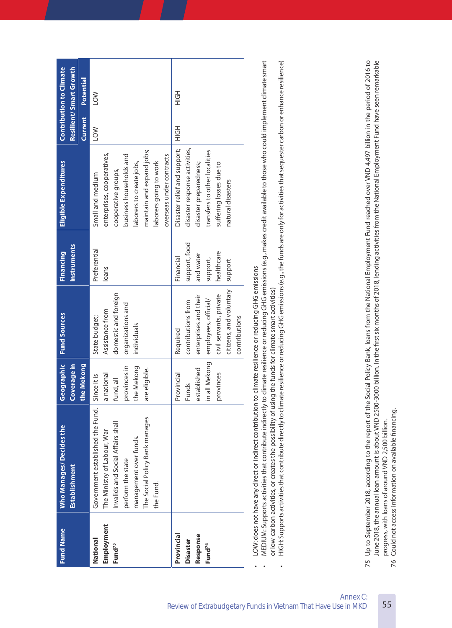|                    | <b>Who Manages/ Decides the</b>   | Geographic    | <b>Fund Sources</b>     | <b>Financing</b>   | Eligible Expenditures         |                | <b>Contribution to Climate</b> |
|--------------------|-----------------------------------|---------------|-------------------------|--------------------|-------------------------------|----------------|--------------------------------|
|                    | <b>Establishment</b>              | Coverage in   |                         | <b>Instruments</b> |                               |                | Resilient/Smart Growth         |
|                    |                                   | the Mekong    |                         |                    |                               | <b>Current</b> | Potential                      |
| National           | Government established the Fund.  | Since it is   | State budget;           | Preferential       | Small and medium              | LOW            | <b>NO1</b>                     |
| Employment         | The Ministry of Labour, War       | a national    | Assistance from         | loans              | enterprises, cooperatives,    |                |                                |
| Fund <sup>75</sup> | Invalids and Social Affairs shall | fund, all     | domestic and foreign    |                    | cooperative groups,           |                |                                |
|                    | perform the state                 | provinces in  | organizations and       |                    | business households and       |                |                                |
|                    | management over funds.            | the Mekong    | individuals             |                    | laborers to create jobs,      |                |                                |
|                    | The Social Policy Bank manages    | are eligible. |                         |                    | maintain and expand jobs;     |                |                                |
|                    | the Fund.                         |               |                         |                    | laborers going to work        |                |                                |
|                    |                                   |               |                         |                    | overseas under contracts      |                |                                |
| Provincial         |                                   | Provincial    | Required                | Financial          | Disaster relief and support;  | こっエ            | こうエ                            |
| <b>Disaster</b>    |                                   | <b>Funds</b>  | contributions from      | support, food      | disaster response activities, |                |                                |
| Response           |                                   | established   | enterprises and their   | and water          | disaster preparedness;        |                |                                |
| Fund <sup>76</sup> |                                   | in all Mekong | employees, official/    | support,           | transfers to other localities |                |                                |
|                    |                                   | provinces     | civil servants, private | healthcare         | suffering losses due to       |                |                                |
|                    |                                   |               | citizens, and voluntary | support            | natural disasters             |                |                                |
|                    |                                   |               | contributions           |                    |                               |                |                                |

LOW: does not have any direct or indirect contribution to climate resilience or reducing GHG emissions LOW: does not have any direct or indirect contribution to climate resilience or reducing GHG emissions •

MEDIUM: Supports activities that contribute indirectly to climate resilience or reducing GHG emissions (e.g., makes credit available to those who could implement climate smart MEDIUM: Supports activities that contribute indirectly to climate resilience or reducing GHG emissions (e.g., makes credit available to those who could implement climate smart or low-carbon activities, or creates the possibility of using the funds for climate smart activities) or low-carbon activities, or creates the possibility of using the funds for climate smart activities) •

HIGH: Supports activities that contribute directly to climate resilience or reducing GHG emissions (e.g., the funds are only for activities that sequester carbon or enhance resilience)  $\cdot$  HIGH: Supports activities that contribute directly to climate resilience or reducing GHG emissions (e.g., the funds are only for activities that sequester carbon or enhance resilience) •

June 2018, the annual loan amount is about VND 2500-3000 billion. In the first six months of 2018, lending activities from the National Employment Fund have seen remarkable 75 Up to September 2018, according to the report of the Social Policy Bank, loans from the National Employment Fund reached over VND 4,497 billion in the period of 2016 to 75 Up to September 2018, according to the report of the Social Policy Bank, loans from the National Employment Fund reached over VND 4,497 billion in the period of 2016 to June 2018, the annual loan amount is about VND 2500-3000 billion. In the first six months of 2018, lending activities from the National Employment Fund have seen remarkable progress, with loans of around VND 2,500 billion. progress, with loans of around VND 2,500 billion.

Could not access information on available financing. 76 Could not access information on available financing. 76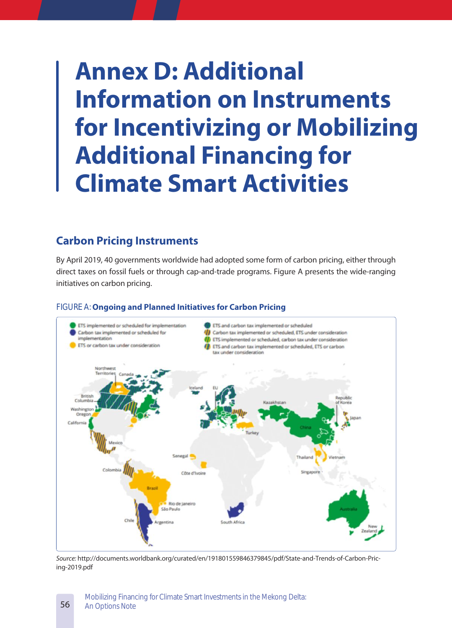# **Annex D: Additional Information on Instruments for Incentivizing or Mobilizing Additional Financing for Climate Smart Activities**

## **Carbon Pricing Instruments**

By April 2019, 40 governments worldwide had adopted some form of carbon pricing, either through direct taxes on fossil fuels or through cap-and-trade programs. Figure A presents the wide-ranging initiatives on carbon pricing.

## ETS implemented or scheduled for implementation ETS and carbon tax implemented or scheduled Carbon tax implemented or scheduled, ETS under consideration Carbon tax implemented or scheduled for implementation ETS implemented or scheduled, carbon tax under consideration ETS or carbon tax under consideration ETS and carbon tax implemented or scheduled, ETS or carbon tax under consideration Öri Californi Côte d'Ivoire Rio de Janeiro São Paulo South Africa

#### FIGURE A: **Ongoing and Planned Initiatives for Carbon Pricing**

*Source:* http://documents.worldbank.org/curated/en/191801559846379845/pdf/State-and-Trends-of-Carbon-Pricing-2019.pdf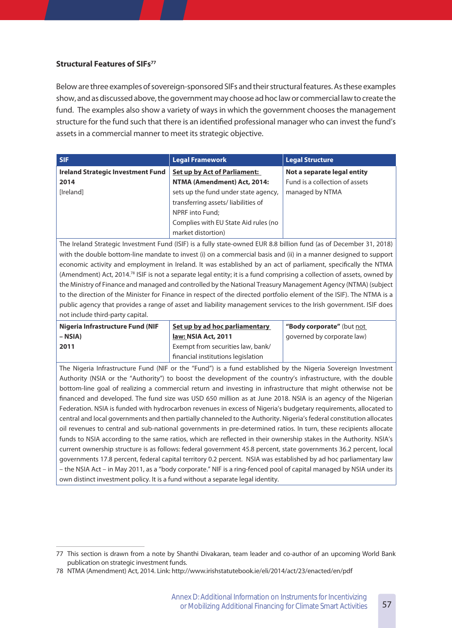#### **Structural Features of SIFs77**

Below are three examples of sovereign-sponsored SIFs and their structural features. As these examples show, and as discussed above, the government may choose ad hoc law or commercial law to create the fund. The examples also show a variety of ways in which the government chooses the management structure for the fund such that there is an identified professional manager who can invest the fund's assets in a commercial manner to meet its strategic objective.

| SIF.                                     | <b>Legal Framework</b>               | <b>Legal Structure</b>         |
|------------------------------------------|--------------------------------------|--------------------------------|
| <b>Ireland Strategic Investment Fund</b> | <b>Set up by Act of Parliament:</b>  | Not a separate legal entity    |
| 2014                                     | NTMA (Amendment) Act, 2014:          | Fund is a collection of assets |
| [Ireland]                                | sets up the fund under state agency, | managed by NTMA                |
|                                          | transferring assets/liabilities of   |                                |
|                                          | NPRF into Fund;                      |                                |
|                                          | Complies with EU State Aid rules (no |                                |
|                                          | market distortion)                   |                                |

The Ireland Strategic Investment Fund (ISIF) is a fully state-owned EUR 8.8 billion fund (as of December 31, 2018) with the double bottom-line mandate to invest (i) on a commercial basis and (ii) in a manner designed to support economic activity and employment in Ireland. It was established by an act of parliament, specifically the NTMA (Amendment) Act, 2014.78 ISIF is not a separate legal entity; it is a fund comprising a collection of assets, owned by the Ministry of Finance and managed and controlled by the National Treasury Management Agency (NTMA) (subject to the direction of the Minister for Finance in respect of the directed portfolio element of the ISIF). The NTMA is a public agency that provides a range of asset and liability management services to the Irish government. ISIF does not include third-party capital.

| Nigeria Infrastructure Fund (NIF |
|----------------------------------|
| – NSIA)                          |
| 2011                             |

**Set up by ad hoc parliamentary law: NSIA Act, 2011** Exempt from securities law, bank/ financial institutions legislation

**"Body corporate"** (but not governed by corporate law)

The Nigeria Infrastructure Fund (NIF or the "Fund") is a fund established by the Nigeria Sovereign Investment Authority (NSIA or the "Authority") to boost the development of the country's infrastructure, with the double bottom-line goal of realizing a commercial return and investing in infrastructure that might otherwise not be financed and developed. The fund size was USD 650 million as at June 2018. NSIA is an agency of the Nigerian Federation. NSIA is funded with hydrocarbon revenues in excess of Nigeria's budgetary requirements, allocated to central and local governments and then partially channeled to the Authority. Nigeria's federal constitution allocates oil revenues to central and sub-national governments in pre-determined ratios. In turn, these recipients allocate funds to NSIA according to the same ratios, which are reflected in their ownership stakes in the Authority. NSIA's current ownership structure is as follows: federal government 45.8 percent, state governments 36.2 percent, local governments 17.8 percent, federal capital territory 0.2 percent. NSIA was established by ad hoc parliamentary law – the NSIA Act – in May 2011, as a "body corporate." NIF is a ring-fenced pool of capital managed by NSIA under its own distinct investment policy. It is a fund without a separate legal identity.

<sup>77</sup> This section is drawn from a note by Shanthi Divakaran, team leader and co-author of an upcoming World Bank publication on strategic investment funds.

<sup>78</sup> NTMA (Amendment) Act, 2014. Link: http://www.irishstatutebook.ie/eli/2014/act/23/enacted/en/pdf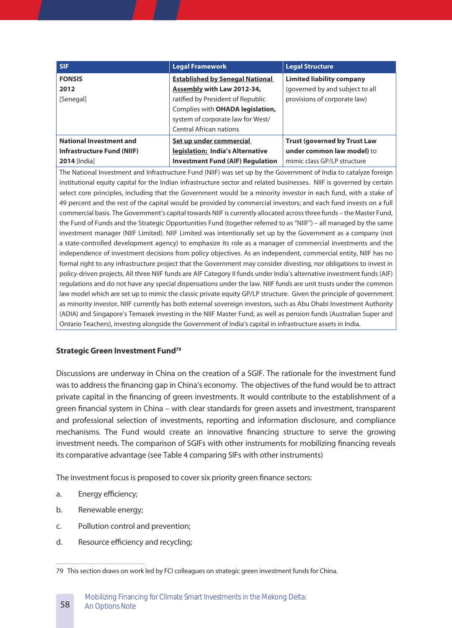| <b>SIF</b>                        | <b>Legal Framework</b>                   | <b>Legal Structure</b>              |
|-----------------------------------|------------------------------------------|-------------------------------------|
| <b>FONSIS</b>                     | <b>Established by Senegal National</b>   | <b>Limited liability company</b>    |
| 2012                              | <b>Assembly with Law 2012-34,</b>        | (governed by and subject to all     |
| [Senegal]                         | ratified by President of Republic        | provisions of corporate law)        |
|                                   | Complies with <b>OHADA legislation</b> , |                                     |
|                                   | system of corporate law for West/        |                                     |
|                                   | <b>Central African nations</b>           |                                     |
| <b>National Investment and</b>    | Set up under commercial                  | <b>Trust (governed by Trust Law</b> |
| <b>Infrastructure Fund (NIIF)</b> | legislation: India's Alternative         | under common law model) to          |
| <b>2014</b> [India]               | <b>Investment Fund (AIF) Regulation</b>  | mimic class GP/LP structure         |

The National Investment and Infrastructure Fund (NIIF) was set up by the Government of India to catalyze foreign institutional equity capital for the Indian infrastructure sector and related businesses. NIIF is governed by certain select core principles, including that the Government would be a minority investor in each fund, with a stake of 49 percent and the rest of the capital would be provided by commercial investors; and each fund invests on a full commercial basis. The Government's capital towards NIIF is currently allocated across three funds – the Master Fund, the Fund of Funds and the Strategic Opportunities Fund (together referred to as "NIIF") – all managed by the same investment manager (NIIF Limited). NIIF Limited was intentionally set up by the Government as a company (not a state-controlled development agency) to emphasize its role as a manager of commercial investments and the independence of investment decisions from policy objectives. As an independent, commercial entity, NIIF has no formal right to any infrastructure project that the Government may consider divesting, nor obligations to invest in policy-driven projects. All three NIIF funds are AIF Category II funds under India's alternative investment funds (AIF) regulations and do not have any special dispensations under the law. NIIF funds are unit trusts under the common law model which are set up to mimic the classic private equity GP/LP structure. Given the principle of government as minority investor, NIIF currently has both external sovereign investors, such as Abu Dhabi Investment Authority (ADIA) and Singapore's Temasek investing in the NIIF Master Fund, as well as pension funds (Australian Super and Ontario Teachers), investing alongside the Government of India's capital in infrastructure assets in India.

#### **Strategic Green Investment Fund79**

Discussions are underway in China on the creation of a SGIF. The rationale for the investment fund was to address the financing gap in China's economy. The objectives of the fund would be to attract private capital in the financing of green investments. It would contribute to the establishment of a green financial system in China – with clear standards for green assets and investment, transparent and professional selection of investments, reporting and information disclosure, and compliance mechanisms. The Fund would create an innovative financing structure to serve the growing investment needs. The comparison of SGIFs with other instruments for mobilizing financing reveals its comparative advantage (see Table 4 comparing SIFs with other instruments)

The investment focus is proposed to cover six priority green finance sectors:

- a. Energy efficiency;
- b. Renewable energy;

58

- c. Pollution control and prevention;
- d. Resource efficiency and recycling;

<sup>79</sup> This section draws on work led by FCI colleagues on strategic green investment funds for China.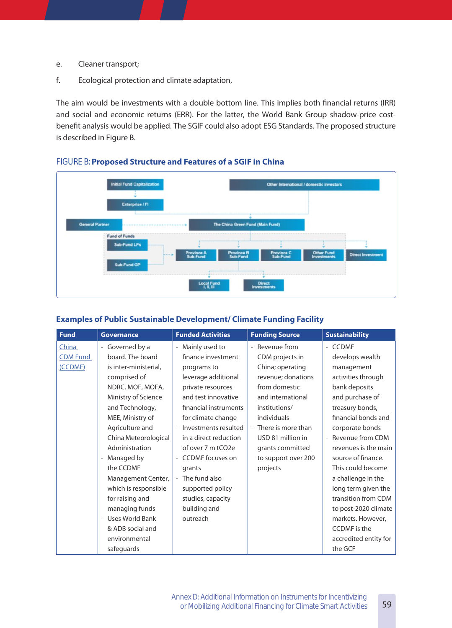- e. Cleaner transport;
- f. Ecological protection and climate adaptation,

The aim would be investments with a double bottom line. This implies both financial returns (IRR) and social and economic returns (ERR). For the latter, the World Bank Group shadow-price costbenefit analysis would be applied. The SGIF could also adopt ESG Standards. The proposed structure is described in Figure B.



### FIGURE B: **Proposed Structure and Features of a SGIF in China**

#### **Examples of Public Sustainable Development/ Climate Funding Facility**

| <b>Fund</b>     | <b>Governance</b>                      | <b>Funded Activities</b> | <b>Funding Source</b>                          | <b>Sustainability</b> |
|-----------------|----------------------------------------|--------------------------|------------------------------------------------|-----------------------|
| China           | - Governed by a                        | Mainly used to           | Revenue from<br>$\equiv$                       | - CCDMF               |
| <b>CDM Fund</b> | board. The board                       | finance investment       | CDM projects in                                | develops wealth       |
| (CCDMF)         | is inter-ministerial,                  | programs to              | China; operating                               | management            |
|                 | comprised of                           | leverage additional      | revenue; donations                             | activities through    |
|                 | NDRC, MOF, MOFA,                       | private resources        | from domestic                                  | bank deposits         |
|                 | Ministry of Science                    | and test innovative      | and international                              | and purchase of       |
|                 | and Technology,                        | financial instruments    | institutions/                                  | treasury bonds,       |
|                 | MEE, Ministry of                       | for climate change       | individuals                                    | financial bonds and   |
|                 | Agriculture and                        | - Investments resulted   | There is more than<br>$\overline{\phantom{0}}$ | corporate bonds       |
|                 | China Meteorological                   | in a direct reduction    | USD 81 million in                              | Revenue from CDM      |
|                 | Administration                         | of over 7 m tCO2e        | grants committed                               | revenues is the main  |
|                 | Managed by<br>$\overline{\phantom{0}}$ | - CCDMF focuses on       | to support over 200                            | source of finance.    |
|                 | the CCDMF                              | grants                   | projects                                       | This could become     |
|                 | Management Center,                     | - The fund also          |                                                | a challenge in the    |
|                 | which is responsible                   | supported policy         |                                                | long term given the   |
|                 | for raising and                        | studies, capacity        |                                                | transition from CDM   |
|                 | managing funds                         | building and             |                                                | to post-2020 climate  |
|                 | - Uses World Bank                      | outreach                 |                                                | markets. However,     |
|                 | & ADB social and                       |                          |                                                | CCDMF is the          |
|                 | environmental                          |                          |                                                | accredited entity for |
|                 | safeguards                             |                          |                                                | the GCF               |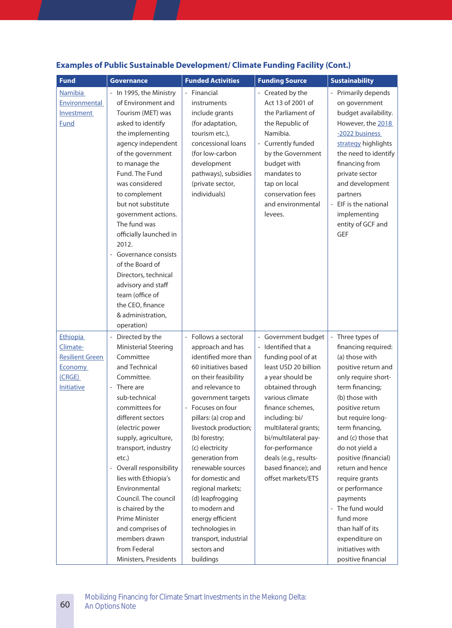| <b>Fund</b>                                                                       | <b>Governance</b>                                                                                                                                                                                                                                                                                                                                                                                                                                                                                | <b>Funded Activities</b>                                                                                                                                                                                                                                                                                                                                                                                                                                                                                          | <b>Funding Source</b>                                                                                                                                                                                                                                                                                                              | <b>Sustainability</b>                                                                                                                                                                                                                                                                                                                                                                                                                                        |
|-----------------------------------------------------------------------------------|--------------------------------------------------------------------------------------------------------------------------------------------------------------------------------------------------------------------------------------------------------------------------------------------------------------------------------------------------------------------------------------------------------------------------------------------------------------------------------------------------|-------------------------------------------------------------------------------------------------------------------------------------------------------------------------------------------------------------------------------------------------------------------------------------------------------------------------------------------------------------------------------------------------------------------------------------------------------------------------------------------------------------------|------------------------------------------------------------------------------------------------------------------------------------------------------------------------------------------------------------------------------------------------------------------------------------------------------------------------------------|--------------------------------------------------------------------------------------------------------------------------------------------------------------------------------------------------------------------------------------------------------------------------------------------------------------------------------------------------------------------------------------------------------------------------------------------------------------|
| <b>Namibia</b><br>Environmental<br>Investment<br><b>Fund</b>                      | - In 1995, the Ministry<br>of Environment and<br>Tourism (MET) was<br>asked to identify<br>the implementing<br>agency independent<br>of the government<br>to manage the<br>Fund. The Fund<br>was considered<br>to complement<br>but not substitute<br>government actions.<br>The fund was<br>officially launched in<br>2012.<br>- Governance consists<br>of the Board of<br>Directors, technical<br>advisory and staff<br>team (office of<br>the CEO, finance<br>& administration,<br>operation) | - Financial<br>instruments<br>include grants<br>(for adaptation,<br>tourism etc.),<br>concessional loans<br>(for low-carbon<br>development<br>pathways), subsidies<br>(private sector,<br>individuals)                                                                                                                                                                                                                                                                                                            | - Created by the<br>Act 13 of 2001 of<br>the Parliament of<br>the Republic of<br>Namibia.<br>- Currently funded<br>by the Government<br>budget with<br>mandates to<br>tap on local<br>conservation fees<br>and environmental<br>levees.                                                                                            | - Primarily depends<br>on government<br>budget availability.<br>However, the 2018<br>-2022 business<br>strategy highlights<br>the need to identify<br>financing from<br>private sector<br>and development<br>partners<br>- EIF is the national<br>implementing<br>entity of GCF and<br><b>GEF</b>                                                                                                                                                            |
| Ethiopia<br>Climate-<br><b>Resilient Green</b><br>Economy<br>(CRGE)<br>Initiative | - Directed by the<br>Ministerial Steering<br>Committee<br>and Technical<br>Committee.<br>- There are<br>sub-technical<br>committees for<br>different sectors<br>(electric power<br>supply, agriculture,<br>transport, industry<br>etc.)<br>- Overall responsibility<br>lies with Ethiopia's<br>Environmental<br>Council. The council<br>is chaired by the<br><b>Prime Minister</b><br>and comprises of<br>members drawn<br>from Federal<br>Ministers, Presidents                                 | - Follows a sectoral<br>approach and has<br>identified more than<br>60 initiatives based<br>on their feasibility<br>and relevance to<br>government targets<br>Focuses on four<br>$\overline{\phantom{a}}$<br>pillars: (a) crop and<br>livestock production;<br>(b) forestry;<br>(c) electricity<br>generation from<br>renewable sources<br>for domestic and<br>regional markets;<br>(d) leapfrogging<br>to modern and<br>energy efficient<br>technologies in<br>transport, industrial<br>sectors and<br>buildings | - Government budget<br>- Identified that a<br>funding pool of at<br>least USD 20 billion<br>a year should be<br>obtained through<br>various climate<br>finance schemes,<br>including: bi/<br>multilateral grants;<br>bi/multilateral pay-<br>for-performance<br>deals (e.g., results-<br>based finance); and<br>offset markets/ETS | - Three types of<br>financing required:<br>(a) those with<br>positive return and<br>only require short-<br>term financing;<br>(b) those with<br>positive return<br>but require long-<br>term financing,<br>and (c) those that<br>do not yield a<br>positive (financial)<br>return and hence<br>require grants<br>or performance<br>payments<br>- The fund would<br>fund more<br>than half of its<br>expenditure on<br>initiatives with<br>positive financial |

## **Examples of Public Sustainable Development/ Climate Funding Facility (Cont�)**

60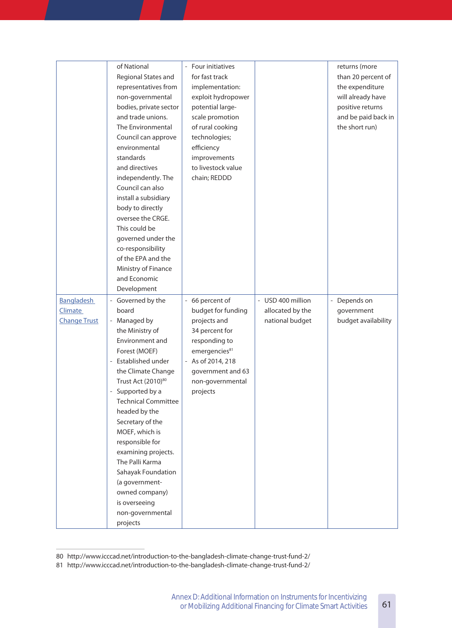| representatives from<br>non-governmental<br>bodies, private sector<br>and trade unions.<br>The Environmental                                                                                                                                                                                                                                                                                                                      | for fast track<br>implementation:<br>exploit hydropower<br>potential large-<br>scale promotion<br>of rural cooking                                                                  |                                                          | than 20 percent of<br>the expenditure<br>will already have<br>positive returns<br>and be paid back in<br>the short run) |
|-----------------------------------------------------------------------------------------------------------------------------------------------------------------------------------------------------------------------------------------------------------------------------------------------------------------------------------------------------------------------------------------------------------------------------------|-------------------------------------------------------------------------------------------------------------------------------------------------------------------------------------|----------------------------------------------------------|-------------------------------------------------------------------------------------------------------------------------|
| environmental<br>standards<br>and directives<br>independently. The<br>Council can also<br>install a subsidiary<br>body to directly<br>oversee the CRGE.<br>This could be<br>governed under the<br>co-responsibility<br>of the EPA and the<br>Ministry of Finance                                                                                                                                                                  | efficiency<br>improvements<br>to livestock value<br>chain; REDDD                                                                                                                    |                                                          |                                                                                                                         |
| Development                                                                                                                                                                                                                                                                                                                                                                                                                       |                                                                                                                                                                                     |                                                          |                                                                                                                         |
| - Governed by the<br>board<br>- Managed by<br>the Ministry of<br>Environment and<br>Forest (MOEF)<br>- Established under<br>the Climate Change<br>Trust Act (2010) <sup>80</sup><br>- Supported by a<br><b>Technical Committee</b><br>headed by the<br>Secretary of the<br>MOEF, which is<br>responsible for<br>examining projects.<br>The Palli Karma<br>Sahayak Foundation<br>(a government-<br>owned company)<br>is overseeing | - 66 percent of<br>budget for funding<br>projects and<br>34 percent for<br>responding to<br>emergencies81<br>- As of 2014, 218<br>government and 63<br>non-governmental<br>projects | - USD 400 million<br>allocated by the<br>national budget | - Depends on<br>government<br>budget availability                                                                       |
|                                                                                                                                                                                                                                                                                                                                                                                                                                   | Council can approve<br>and Economic<br>non-governmental<br>projects                                                                                                                 | technologies;                                            |                                                                                                                         |

<sup>80</sup> http://www.icccad.net/introduction-to-the-bangladesh-climate-change-trust-fund-2/

<sup>81</sup> http://www.icccad.net/introduction-to-the-bangladesh-climate-change-trust-fund-2/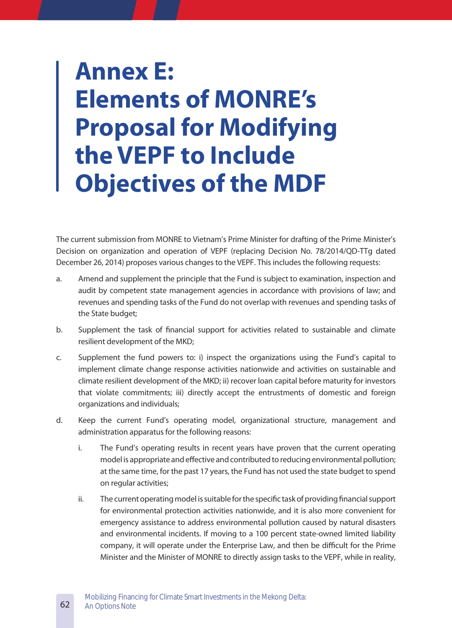# **Annex E: Elements of MONRE's Proposal for Modifying the VEPF to Include Objectives of the MDF**

The current submission from MONRE to Vietnam's Prime Minister for drafting of the Prime Minister's Decision on organization and operation of VEPF (replacing Decision No. 78/2014/QD-TTg dated December 26, 2014) proposes various changes to the VEPF. This includes the following requests:

- a. Amend and supplement the principle that the Fund is subject to examination, inspection and audit by competent state management agencies in accordance with provisions of law; and revenues and spending tasks of the Fund do not overlap with revenues and spending tasks of the State budget;
- b. Supplement the task of financial support for activities related to sustainable and climate resilient development of the MKD;
- c. Supplement the fund powers to: i) inspect the organizations using the Fund's capital to implement climate change response activities nationwide and activities on sustainable and climate resilient development of the MKD; ii) recover loan capital before maturity for investors that violate commitments; iii) directly accept the entrustments of domestic and foreign organizations and individuals;
- d. Keep the current Fund's operating model, organizational structure, management and administration apparatus for the following reasons:
	- i. The Fund's operating results in recent years have proven that the current operating model is appropriate and effective and contributed to reducing environmental pollution; at the same time, for the past 17 years, the Fund has not used the state budget to spend on regular activities;
	- ii. The current operating model is suitable for the specific task of providing financial support for environmental protection activities nationwide, and it is also more convenient for emergency assistance to address environmental pollution caused by natural disasters and environmental incidents. If moving to a 100 percent state-owned limited liability company, it will operate under the Enterprise Law, and then be difficult for the Prime Minister and the Minister of MONRE to directly assign tasks to the VEPF, while in reality,

62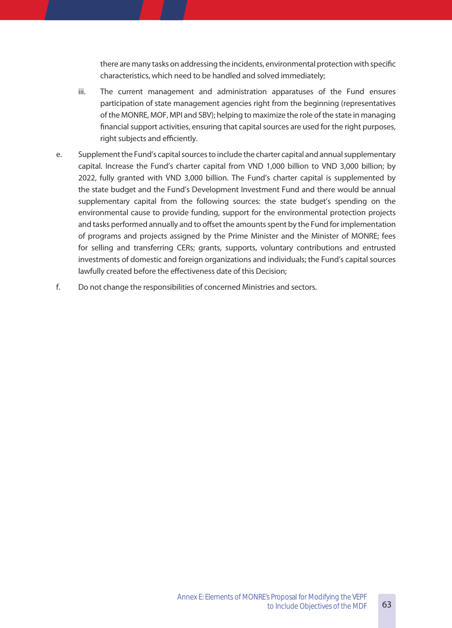there are many tasks on addressing the incidents, environmental protection with specific characteristics, which need to be handled and solved immediately;

- iii. The current management and administration apparatuses of the Fund ensures participation of state management agencies right from the beginning (representatives of the MONRE, MOF, MPI and SBV); helping to maximize the role of the state in managing financial support activities, ensuring that capital sources are used for the right purposes, right subjects and efficiently.
- e. Supplement the Fund's capital sources to include the charter capital and annual supplementary capital. Increase the Fund's charter capital from VND 1,000 billion to VND 3,000 billion; by 2022, fully granted with VND 3,000 billion. The Fund's charter capital is supplemented by the state budget and the Fund's Development Investment Fund and there would be annual supplementary capital from the following sources: the state budget's spending on the environmental cause to provide funding, support for the environmental protection projects and tasks performed annually and to offset the amounts spent by the Fund for implementation of programs and projects assigned by the Prime Minister and the Minister of MONRE; fees for selling and transferring CERs; grants, supports, voluntary contributions and entrusted investments of domestic and foreign organizations and individuals; the Fund's capital sources lawfully created before the effectiveness date of this Decision;
- f. Do not change the responsibilities of concerned Ministries and sectors.